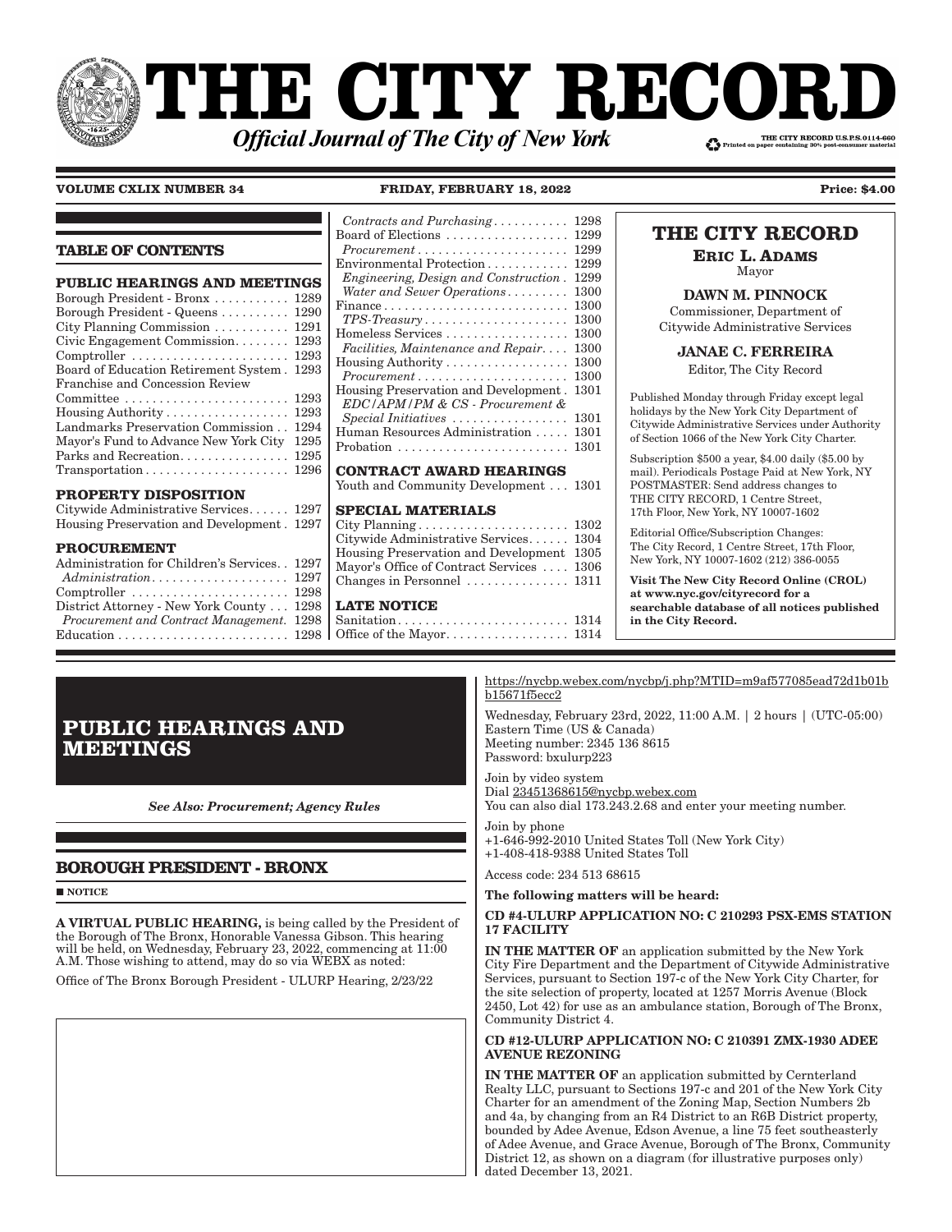# **THE CITY RECOI** THE CITY RECORD U.S.P.S.0114-660 **Official Journal of The City of New York**

**VOLUME CXLIX NUMBER 34 FRIDAY, FEBRUARY 18, 2022 Price: \$4.00**

## **TABLE OF CONTENTS**

| <b>PUBLIC HEARINGS AND MEETINGS</b>                               |      |
|-------------------------------------------------------------------|------|
| Borough President - Bronx  1289                                   |      |
| Borough President - Queens  1290                                  |      |
| City Planning Commission $\ldots \ldots \ldots 1291$              |      |
| Civic Engagement Commission 1293                                  |      |
|                                                                   |      |
| Board of Education Retirement System. 1293                        |      |
| Franchise and Concession Review                                   |      |
| $Committee \dots \dots \dots \dots \dots \dots \dots \dots \dots$ | 1293 |
| Housing Authority 1293                                            |      |
| Landmarks Preservation Commission                                 | 1294 |
| Mayor's Fund to Advance New York City                             | 1295 |
| Parks and Recreation.                                             | 1295 |
| $Transportation \ldots \ldots \ldots \ldots \ldots \ldots 1296$   |      |
|                                                                   |      |

#### **PROPERTY DISPOSITION**

| Citywide Administrative Services 1297      |  |
|--------------------------------------------|--|
| Housing Preservation and Development. 1297 |  |

#### **PROCUREMENT**

| Administration for Children's Services. . 1297                   |  |
|------------------------------------------------------------------|--|
|                                                                  |  |
| $Computer \ldots \ldots \ldots \ldots \ldots \ldots \ldots 1298$ |  |
| District Attorney - New York County 1298                         |  |
| Procurement and Contract Management. 1298                        |  |
|                                                                  |  |
|                                                                  |  |

| Contracts and Purchasing                                        | 1298 |
|-----------------------------------------------------------------|------|
| Board of Elections                                              | 1299 |
|                                                                 | 1299 |
| Environmental Protection                                        | 1299 |
| Engineering, Design and Construction.                           | 1299 |
| Water and Sewer Operations                                      | 1300 |
|                                                                 | 1300 |
| $TPS\text{-}Treasury \ldots \ldots \ldots \ldots \ldots \ldots$ | 1300 |
| Homeless Services                                               | 1300 |
| Facilities, Maintenance and Repair                              | 1300 |
| Housing Authority                                               | 1300 |
| $Procurrent \ldots \ldots \ldots \ldots \ldots \ldots \ldots$   | 1300 |
| Housing Preservation and Development.                           | 1301 |
| EDC/APM/PM & CS - Procurement &                                 |      |
| Special Initiatives                                             | 1301 |
| Human Resources Administration                                  | 1301 |
|                                                                 | 1301 |
|                                                                 |      |
| <b>CONTRACT AWARD HEARINGS</b>                                  |      |
| Youth and Community Development 1301                            |      |
| <b>CDECIAI MATEDIAIC</b>                                        |      |

#### **SPECIAL MATERIALS**

| Citywide Administrative Services 1304     |  |
|-------------------------------------------|--|
| Housing Preservation and Development 1305 |  |
| Mayor's Office of Contract Services  1306 |  |
| Changes in Personnel  1311                |  |
|                                           |  |

# **LATE NOTICE**

# **THE CITY RECORD**

**ERIC L. ADAMS** Mayor

DAWN M. PINNOCK

Commissioner, Department of Citywide Administrative Services

JANAE C. FERREIRA

Editor, The City Record

Published Monday through Friday except legal holidays by the New York City Department of Citywide Administrative Services under Authority of Section 1066 of the New York City Charter.

Subscription \$500 a year, \$4.00 daily (\$5.00 by mail). Periodicals Postage Paid at New York, NY POSTMASTER: Send address changes to THE CITY RECORD, 1 Centre Street, 17th Floor, New York, NY 10007-1602

Editorial Office/Subscription Changes: The City Record, 1 Centre Street, 17th Floor, New York, NY 10007-1602 (212) 386-0055

Visit The New City Record Online (CROL) at www.nyc.gov/cityrecord for a searchable database of all notices published in the City Record.

# **PUBLIC HEARINGS AND MEETINGS**

*See Also: Procurement; Agency Rules*

# **BOROUGH PRESIDENT - BRONX**

**NOTICE** 

A VIRTUAL PUBLIC HEARING, is being called by the President of the Borough of The Bronx, Honorable Vanessa Gibson. This hearing will be held, on Wednesday, February 23, 2022, commencing at  $11:00$ A.M. Those wishing to attend, may do so via WEBX as noted:

Office of The Bronx Borough President - ULURP Hearing, 2/23/22

https://nycbp.webex.com/nycbp/j.php?MTID=m9af577085ead72d1b01b b15671f5ecc2

Wednesday, February 23rd, 2022, 11:00 A.M. | 2 hours | (UTC-05:00) Eastern Time (US & Canada) Meeting number: 2345 136 8615 Password: bxulurp223

Join by video system Dial 23451368615@nycbp.webex.com You can also dial  $173.243.2.68$  and enter your meeting number.

Join by phone +1-646-992-2010 United States Toll (New York City)

+1-408-418-9388 United States Toll

Access code: 234 513 68615

#### The following matters will be heard:

#### CD #4-ULURP APPLICATION NO: C 210293 PSX-EMS STATION 17 FACILITY

IN THE MATTER OF an application submitted by the New York City Fire Department and the Department of Citywide Administrative Services, pursuant to Section 197-c of the New York City Charter, for the site selection of property, located at 1257 Morris Avenue (Block 2450, Lot 42) for use as an ambulance station, Borough of The Bronx, Community District 4.

### CD #12-ULURP APPLICATION NO: C 210391 ZMX-1930 ADEE AVENUE REZONING

IN THE MATTER OF an application submitted by Cernterland Realty LLC, pursuant to Sections 197-c and 201 of the New York City Charter for an amendment of the Zoning Map, Section Numbers 2b and 4a, by changing from an R4 District to an R6B District property, bounded by Adee Avenue, Edson Avenue, a line 75 feet southeasterly of Adee Avenue, and Grace Avenue, Borough of The Bronx, Community District 12, as shown on a diagram (for illustrative purposes only) dated December 13, 2021.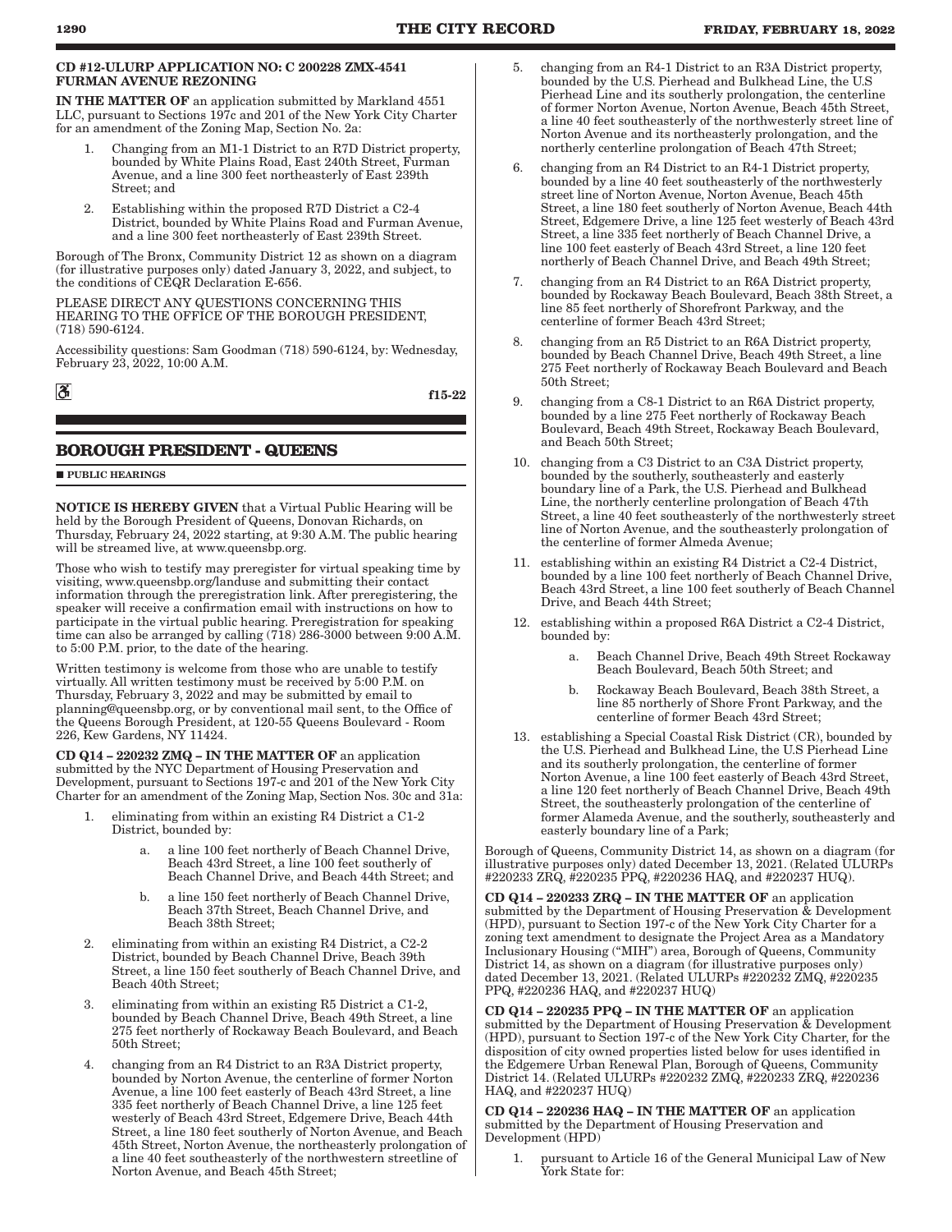#### CD #12-ULURP APPLICATION NO: C 200228 ZMX-4541 FURMAN AVENUE REZONING

IN THE MATTER OF an application submitted by Markland 4551 LLC, pursuant to Sections 197c and 201 of the New York City Charter for an amendment of the Zoning Map, Section No. 2a:

- 1. Changing from an M1-1 District to an R7D District property, bounded by White Plains Road, East 240th Street, Furman Avenue, and a line 300 feet northeasterly of East 239th Street; and
- 2. Establishing within the proposed R7D District a C2-4 District, bounded by White Plains Road and Furman Avenue, and a line 300 feet northeasterly of East 239th Street.

Borough of The Bronx, Community District 12 as shown on a diagram (for illustrative purposes only) dated January 3, 2022, and subject, to the conditions of CEQR Declaration E-656.

PLEASE DIRECT ANY QUESTIONS CONCERNING THIS HEARING TO THE OFFICE OF THE BOROUGH PRESIDENT, (718) 590-6124.

Accessibility questions: Sam Goodman (718) 590-6124, by: Wednesday, February 23, 2022, 10:00 A.M.

f15-22

# **BOROUGH PRESIDENT - QUEENS**

#### **PUBLIC HEARINGS**

 $\mathbf{a}$ 

NOTICE IS HEREBY GIVEN that a Virtual Public Hearing will be held by the Borough President of Queens, Donovan Richards, on Thursday, February 24, 2022 starting, at 9:30 A.M. The public hearing will be streamed live, at www.queensbp.org.

Those who wish to testify may preregister for virtual speaking time by visiting, www.queensbp.org/landuse and submitting their contact information through the preregistration link. After preregistering, the speaker will receive a confirmation email with instructions on how to participate in the virtual public hearing. Preregistration for speaking time can also be arranged by calling  $(7\bar{1}8)$  286-3000 between  $9:00$  A.M. to 5:00 P.M. prior, to the date of the hearing.

Written testimony is welcome from those who are unable to testify virtually. All written testimony must be received by 5:00 P.M. on Thursday, February 3, 2022 and may be submitted by email to planning@queensbp.org, or by conventional mail sent, to the Office of the Queens Borough President, at 120-55 Queens Boulevard - Room 226, Kew Gardens, NY 11424.

CD Q14 – 220232 ZMQ – IN THE MATTER OF an application submitted by the NYC Department of Housing Preservation and Development, pursuant to Sections 197-c and 201 of the New York City Charter for an amendment of the Zoning Map, Section Nos. 30c and 31a:

- 1. eliminating from within an existing R4 District a C1-2 District, bounded by:
	- a. a line 100 feet northerly of Beach Channel Drive, Beach 43rd Street, a line 100 feet southerly of Beach Channel Drive, and Beach 44th Street; and
	- b. a line 150 feet northerly of Beach Channel Drive, Beach 37th Street, Beach Channel Drive, and Beach 38th Street;
- 2. eliminating from within an existing R4 District, a C2-2 District, bounded by Beach Channel Drive, Beach 39th Street, a line 150 feet southerly of Beach Channel Drive, and Beach 40th Street;
- 3. eliminating from within an existing R5 District a C1-2, bounded by Beach Channel Drive, Beach 49th Street, a line 275 feet northerly of Rockaway Beach Boulevard, and Beach 50th Street;
- 4. changing from an R4 District to an R3A District property, bounded by Norton Avenue, the centerline of former Norton Avenue, a line 100 feet easterly of Beach 43rd Street, a line 335 feet northerly of Beach Channel Drive, a line 125 feet westerly of Beach 43rd Street, Edgemere Drive, Beach 44th Street, a line 180 feet southerly of Norton Avenue, and Beach 45th Street, Norton Avenue, the northeasterly prolongation of a line 40 feet southeasterly of the northwestern streetline of Norton Avenue, and Beach 45th Street;
- 5. changing from an R4-1 District to an R3A District property, bounded by the U.S. Pierhead and Bulkhead Line, the U.S Pierhead Line and its southerly prolongation, the centerline of former Norton Avenue, Norton Avenue, Beach 45th Street, a line 40 feet southeasterly of the northwesterly street line of Norton Avenue and its northeasterly prolongation, and the northerly centerline prolongation of Beach 47th Street;
- 6. changing from an R4 District to an R4-1 District property, bounded by a line 40 feet southeasterly of the northwesterly street line of Norton Avenue, Norton Avenue, Beach 45th Street, a line 180 feet southerly of Norton Avenue, Beach 44th Street, Edgemere Drive, a line 125 feet westerly of Beach 43rd Street, a line 335 feet northerly of Beach Channel Drive, a line 100 feet easterly of Beach 43rd Street, a line 120 feet northerly of Beach Channel Drive, and Beach 49th Street;
- 7. changing from an R4 District to an R6A District property, bounded by Rockaway Beach Boulevard, Beach 38th Street, a line 85 feet northerly of Shorefront Parkway, and the centerline of former Beach 43rd Street;
- 8. changing from an R5 District to an R6A District property, bounded by Beach Channel Drive, Beach 49th Street, a line 275 Feet northerly of Rockaway Beach Boulevard and Beach 50th Street;
- 9. changing from a C8-1 District to an R6A District property, bounded by a line 275 Feet northerly of Rockaway Beach Boulevard, Beach 49th Street, Rockaway Beach Boulevard, and Beach 50th Street;
- 10. changing from a C3 District to an C3A District property, bounded by the southerly, southeasterly and easterly boundary line of a Park, the U.S. Pierhead and Bulkhead Line, the northerly centerline prolongation of Beach 47th Street, a line 40 feet southeasterly of the northwesterly street line of Norton Avenue, and the southeasterly prolongation of the centerline of former Almeda Avenue;
- 11. establishing within an existing R4 District a C2-4 District, bounded by a line 100 feet northerly of Beach Channel Drive, Beach 43rd Street, a line 100 feet southerly of Beach Channel Drive, and Beach 44th Street;
- 12. establishing within a proposed R6A District a C2-4 District, bounded by:
	- a. Beach Channel Drive, Beach 49th Street Rockaway Beach Boulevard, Beach 50th Street; and
	- b. Rockaway Beach Boulevard, Beach 38th Street, a line 85 northerly of Shore Front Parkway, and the centerline of former Beach 43rd Street;
- 13. establishing a Special Coastal Risk District (CR), bounded by the U.S. Pierhead and Bulkhead Line, the U.S Pierhead Line and its southerly prolongation, the centerline of former Norton Avenue, a line 100 feet easterly of Beach 43rd Street, a line 120 feet northerly of Beach Channel Drive, Beach 49th Street, the southeasterly prolongation of the centerline of former Alameda Avenue, and the southerly, southeasterly and easterly boundary line of a Park;

Borough of Queens, Community District 14, as shown on a diagram (for illustrative purposes only) dated December 13, 2021. (Related ULURPs #220233 ZRQ, #220235 PPQ, #220236 HAQ, and #220237 HUQ).

CD Q14 – 220233 ZRQ – IN THE MATTER OF an application submitted by the Department of Housing Preservation & Development (HPD), pursuant to Section 197-c of the New York City Charter for a zoning text amendment to designate the Project Area as a Mandatory Inclusionary Housing ("MIH") area, Borough of Queens, Community District 14, as shown on a diagram (for illustrative purposes only) dated December 13, 2021. (Related ULURPs #220232 ZMQ, #220235 PPQ, #220236 HAQ, and #220237 HUQ)

CD Q14 – 220235 PPQ – IN THE MATTER OF an application submitted by the Department of Housing Preservation & Development (HPD), pursuant to Section 197-c of the New York City Charter, for the disposition of city owned properties listed below for uses identified in the Edgemere Urban Renewal Plan, Borough of Queens, Community District 14. (Related ULURPs #220232 ZMQ, #220233 ZRQ, #220236 HAQ, and #220237 HUQ)

CD Q14 – 220236 HAQ – IN THE MATTER OF an application submitted by the Department of Housing Preservation and Development (HPD)

1. pursuant to Article 16 of the General Municipal Law of New York State for: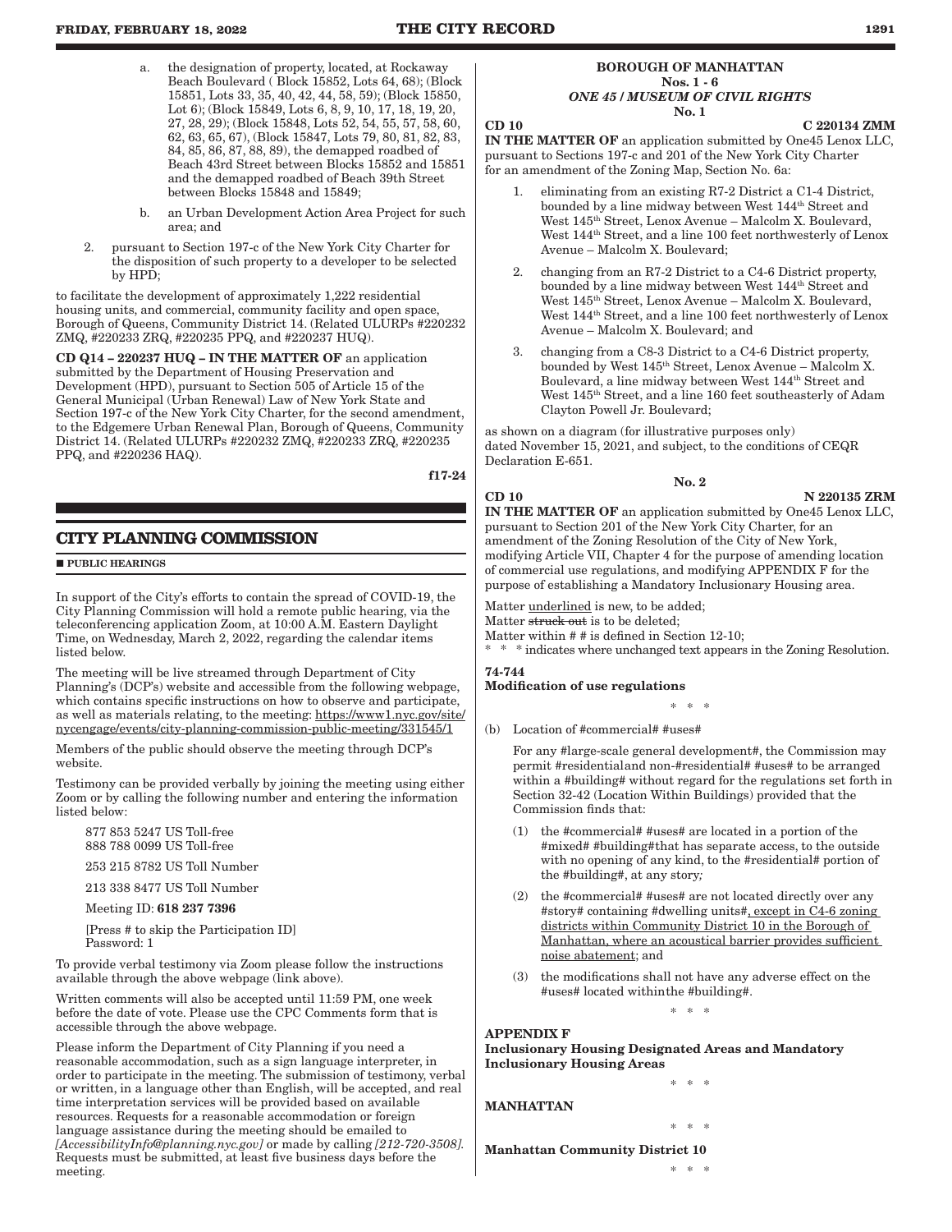- a. the designation of property, located, at Rockaway Beach Boulevard ( Block 15852, Lots 64, 68); (Block 15851, Lots 33, 35, 40, 42, 44, 58, 59); (Block 15850, Lot 6); (Block 15849, Lots 6, 8, 9, 10, 17, 18, 19, 20, 27, 28, 29); (Block 15848, Lots 52, 54, 55, 57, 58, 60, 62, 63, 65, 67), (Block 15847, Lots 79, 80, 81, 82, 83, 84, 85, 86, 87, 88, 89), the demapped roadbed of Beach 43rd Street between Blocks 15852 and 15851 and the demapped roadbed of Beach 39th Street between Blocks 15848 and 15849;
- b. an Urban Development Action Area Project for such area; and
- 2. pursuant to Section 197-c of the New York City Charter for the disposition of such property to a developer to be selected by HPD;

to facilitate the development of approximately 1,222 residential housing units, and commercial, community facility and open space, Borough of Queens, Community District 14. (Related ULURPs #220232 ZMQ, #220233 ZRQ, #220235 PPQ, and #220237 HUQ).

CD Q14 – 220237 HUQ – IN THE MATTER OF an application submitted by the Department of Housing Preservation and Development (HPD), pursuant to Section 505 of Article 15 of the General Municipal (Urban Renewal) Law of New York State and Section 197-c of the New York City Charter, for the second amendment, to the Edgemere Urban Renewal Plan, Borough of Queens, Community District 14. (Related ULURPs #220232 ZMQ, #220233 ZRQ, #220235 PPQ, and #220236 HAQ).

f17-24

# **CITY PLANNING COMMISSION**

#### **PUBLIC HEARINGS**

In support of the City's efforts to contain the spread of COVID-19, the City Planning Commission will hold a remote public hearing, via the teleconferencing application Zoom, at 10:00 A.M. Eastern Daylight Time, on Wednesday, March 2, 2022, regarding the calendar items listed below.

The meeting will be live streamed through Department of City Planning's (DCP's) website and accessible from the following webpage, which contains specific instructions on how to observe and participate, as well as materials relating, to the meeting: https://www1.nyc.gov/site/ nycengage/events/city-planning-commission-public-meeting/331545/1

Members of the public should observe the meeting through DCP's website.

Testimony can be provided verbally by joining the meeting using either Zoom or by calling the following number and entering the information listed below:

877 853 5247 US Toll-free 888 788 0099 US Toll-free

253 215 8782 US Toll Number

213 338 8477 US Toll Number

Meeting ID: 618 237 7396

[Press # to skip the Participation ID] Password: 1

To provide verbal testimony via Zoom please follow the instructions available through the above webpage (link above).

Written comments will also be accepted until 11:59 PM, one week before the date of vote. Please use the CPC Comments form that is accessible through the above webpage.

Please inform the Department of City Planning if you need a reasonable accommodation, such as a sign language interpreter, in order to participate in the meeting. The submission of testimony, verbal or written, in a language other than English, will be accepted, and real time interpretation services will be provided based on available resources. Requests for a reasonable accommodation or foreign language assistance during the meeting should be emailed to *[AccessibilityInfo@planning.nyc.gov]* or made by calling *[212-720-3508].* Requests must be submitted, at least five business days before the meeting.

#### BOROUGH OF MANHATTAN Nos. 1 - 6 *ONE 45 / MUSEUM OF CIVIL RIGHTS* No. 1

 $CD 10$   $C 220134 ZMM$ 

IN THE MATTER OF an application submitted by One45 Lenox LLC, pursuant to Sections 197-c and 201 of the New York City Charter for an amendment of the Zoning Map, Section No. 6a:

- eliminating from an existing R7-2 District a C1-4 District, bounded by a line midway between West  $144^{\rm th}$  Street and West 145th Street, Lenox Avenue – Malcolm X. Boulevard, West  $144<sup>th</sup> Street$ , and a line 100 feet northwesterly of Lenox Avenue – Malcolm X. Boulevard;
- 2. changing from an R7-2 District to a C4-6 District property, bounded by a line midway between West 144th Street and West 145th Street, Lenox Avenue – Malcolm X. Boulevard, West  $144<sup>th</sup> Street, and a line 100 feet northwesterly of Lenox$ Avenue – Malcolm X. Boulevard; and
- 3. changing from a C8-3 District to a C4-6 District property, bounded by West 145th Street, Lenox Avenue – Malcolm X. Boulevard, a line midway between West 144th Street and West 145th Street, and a line 160 feet southeasterly of Adam Clayton Powell Jr. Boulevard;

as shown on a diagram (for illustrative purposes only) dated November 15, 2021, and subject, to the conditions of CEQR Declaration E-651.

No. 2

CD 10 N 220135 ZRM

IN THE MATTER OF an application submitted by One45 Lenox LLC, pursuant to Section 201 of the New York City Charter, for an amendment of the Zoning Resolution of the City of New York, modifying Article VII, Chapter 4 for the purpose of amending location of commercial use regulations, and modifying APPENDIX F for the purpose of establishing a Mandatory Inclusionary Housing area.

Matter underlined is new, to be added;

Matter struck out is to be deleted:

Matter within # # is defined in Section 12-10;

 $\hspace{0.1mm}^*$  \* indicates where unchanged text appears in the Zoning Resolution.

#### 74-744 Modification of use regulations

\* \* \*

(b) Location of #commercial# #uses#

For any #large-scale general development#, the Commission may permit #residential and non-#residential# #uses# to be arranged within a #building# without regard for the regulations set forth in Section 32-42 (Location Within Buildings) provided that the Commission finds that:

- (1) the #commercial# #uses# are located in a portion of the #mixed# #building# that has separate access, to the outside with no opening of any kind, to the #residential# portion of the #building#, at any story*;*
- (2) the #commercial# #uses# are not located directly over any #story# containing #dwelling units#, except in C4-6 zoning districts within Community District 10 in the Borough of Manhattan, where an acoustical barrier provides sufficient noise abatement; and
- (3) the modifications shall not have any adverse effect on the #uses# located within the #building#.

\* \* \*

\* \* \*

\* \* \*

# APPENDIX F

Inclusionary Housing Designated Areas and Mandatory Inclusionary Housing Areas

MANHATTAN

Manhattan Community District 10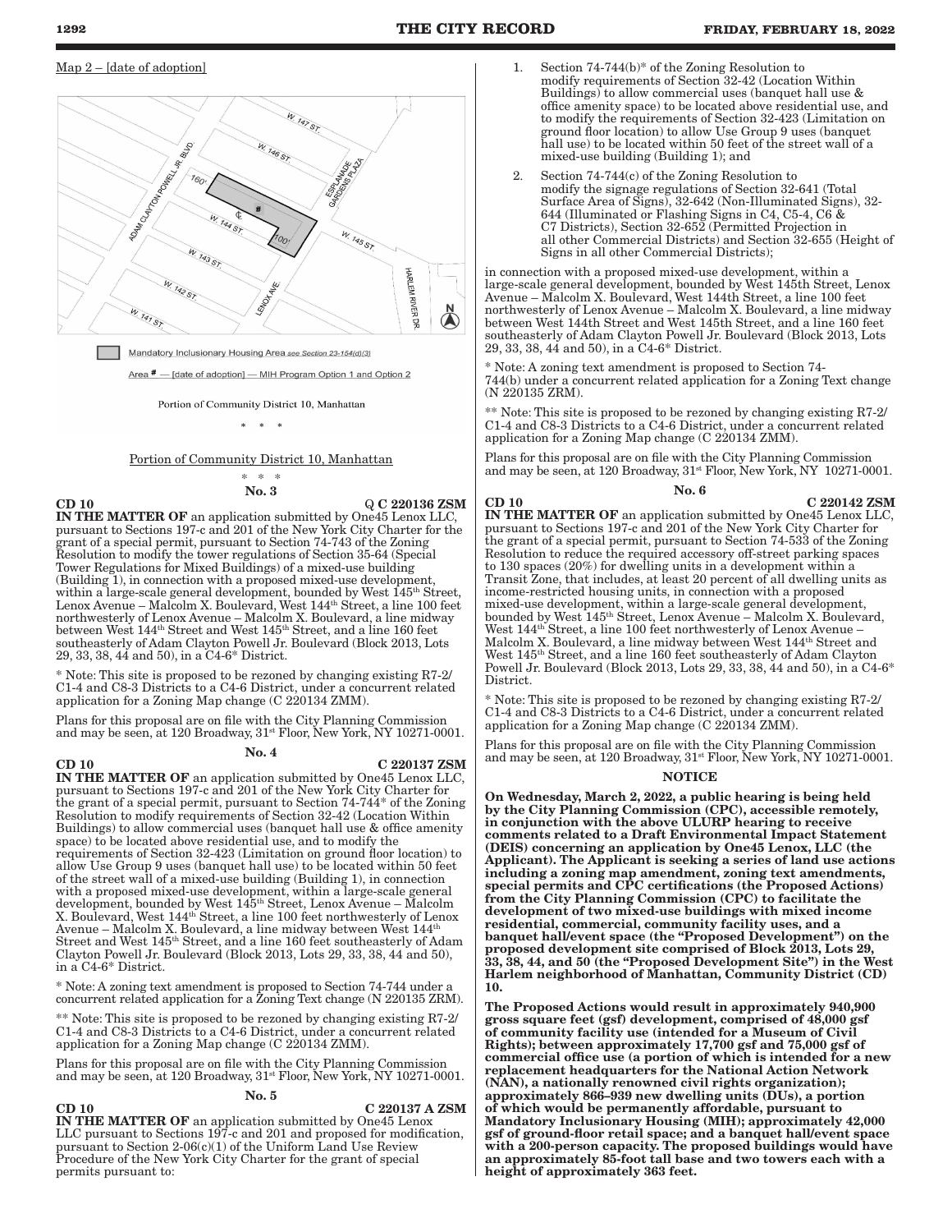#### Map 2 – [date of adoption]



Mandatory Inclusionary Housing Area see Section 23-154(d)(3)

Area # - [date of adoption] - MIH Program Option 1 and Option 2

Portion of Community District 10, Manhattan

 $\mathbf{a}$ 

Portion of Community District 10, Manhattan

\* \* \* No. 3

 $\overline{Q}$  C 220136 ZSM IN THE MATTER OF an application submitted by One45 Lenox LLC, pursuant to Sections 197-c and 201 of the New York City Charter for the grant of a special permit, pursuant to Section 74-743 of the Zoning Resolution to modify the tower regulations of Section 35-64 (Special Tower Regulations for Mixed Buildings) of a mixed-use building (Building 1), in connection with a proposed mixed-use development, within a large-scale general development, bounded by West 145<sup>th</sup> Street, Lenox Avenue – Malcolm X. Boulevard, West 144th Street, a line 100 feet northwesterly of Lenox Avenue – Malcolm X. Boulevard, a line midway between West 144th Street and West 145th Street, and a line 160 feet southeasterly of Adam Clayton Powell Jr. Boulevard (Block 2013, Lots 29, 33, 38, 44 and 50), in a C4-6\* District.

\* Note: This site is proposed to be rezoned by changing existing R7-2/ C1-4 and C8-3 Districts to a C4-6 District, under a concurrent related application for a Zoning Map change (C 220134 ZMM).

Plans for this proposal are on file with the City Planning Commission and may be seen, at 120 Broadway,  $31^{st}$  Floor, New York, NY 10271-0001.

# No. 4

#### $CD 10$   $C 220137 ZSM$

IN THE MATTER OF an application submitted by One45 Lenox LLC, pursuant to Sections 197-c and 201 of the New York City Charter for the grant of a special permit, pursuant to Section 74-744\* of the Zoning Resolution to modify requirements of Section 32-42 (Location Within Buildings) to allow commercial uses (banquet hall use & office amenity space) to be located above residential use, and to modify the requirements of Section 32-423 (Limitation on ground floor location) to allow Use Group 9 uses (banquet hall use) to be located within 50 feet of the street wall of a mixed-use building (Building 1), in connection with a proposed mixed-use development, within a large-scale general development, bounded by West 145th Street, Lenox Avenue – Malcolm X. Boulevard, West 144th Street, a line 100 feet northwesterly of Lenox Avenue – Malcolm X. Boulevard, a line midway between West 144th Street and West 145<sup>th</sup> Street, and a line 160 feet southeasterly of Adam Clayton Powell Jr. Boulevard (Block 2013, Lots 29, 33, 38, 44 and 50), in a C4-6\* District.

\* Note: A zoning text amendment is proposed to Section 74-744 under a concurrent related application for a Zoning Text change (N 220135 ZRM).

Note: This site is proposed to be rezoned by changing existing R7-2/ C1-4 and C8-3 Districts to a C4-6 District, under a concurrent related application for a Zoning Map change (C 220134 ZMM).

Plans for this proposal are on file with the City Planning Commission and may be seen, at 120 Broadway,  $31^{st}$  Floor, New York, NY 10271-0001.

#### No. 5

CD 10 C 220137 A ZSM

IN THE MATTER OF an application submitted by One45 Lenox LLC pursuant to Sections 197-c and 201 and proposed for modification, pursuant to Section 2-06(c)(1) of the Uniform Land Use Review Procedure of the New York City Charter for the grant of special permits pursuant to:

- Section 74-744(b)\* of the Zoning Resolution to modify requirements of Section 32-42 (Location Within Buildings) to allow commercial uses (banquet hall use & office amenity space) to be located above residential use, and to modify the requirements of Section 32-423 (Limitation on ground floor location) to allow Use Group 9 uses (banquet hall use) to be located within 50 feet of the street wall of a mixed-use building (Building 1); and
- 2. Section 74-744(c) of the Zoning Resolution to modify the signage regulations of Section 32-641 (Total Surface Area of Signs), 32-642 (Non-Illuminated Signs), 32- 644 (Illuminated or Flashing Signs in C4, C5-4, C6 & C7 Districts), Section 32-652 (Permitted Projection in all other Commercial Districts) and Section 32-655 (Height of Signs in all other Commercial Districts);

in connection with a proposed mixed-use development, within a large-scale general development, bounded by West 145th Street, Lenox Avenue – Malcolm X. Boulevard, West 144th Street, a line 100 feet northwesterly of Lenox Avenue – Malcolm X. Boulevard, a line midway between West 144th Street and West 145th Street, and a line 160 feet southeasterly of Adam Clayton Powell Jr. Boulevard (Block 2013, Lots 29, 33, 38, 44 and 50), in a C4-6\* District.

\* Note: A zoning text amendment is proposed to Section 74- 744(b) under a concurrent related application for a Zoning Text change (N 220135 ZRM).

\*\* Note: This site is proposed to be rezoned by changing existing R7-2/ C1-4 and C8-3 Districts to a C4-6 District, under a concurrent related application for a Zoning Map change (C 220134 ZMM).

Plans for this proposal are on file with the City Planning Commission and may be seen, at 120 Broadway,  $31^{st}$  Floor, New York, NY 10271-0001.

#### No. 6

 $CD 10$   $C 220142 ZSM$ 

IN THE MATTER OF an application submitted by One45 Lenox LLC, pursuant to Sections 197-c and 201 of the New York City Charter for the grant of a special permit, pursuant to Section 74-533 of the Zoning Resolution to reduce the required accessory off-street parking spaces to 130 spaces (20%) for dwelling units in a development within a Transit Zone, that includes, at least 20 percent of all dwelling units as income-restricted housing units, in connection with a proposed mixed-use development, within a large-scale general development, bounded by West 145th Street, Lenox Avenue – Malcolm X. Boulevard, West 144th Street, a line 100 feet northwesterly of Lenox Avenue – Malcolm X. Boulevard, a line midway between West 144th Street and West 145th Street, and a line 160 feet southeasterly of Adam Clayton Powell Jr. Boulevard (Block 2013, Lots 29, 33, 38, 44 and 50), in a C4-6\* District.

\* Note: This site is proposed to be rezoned by changing existing R7-2/ C1-4 and C8-3 Districts to a C4-6 District, under a concurrent related application for a Zoning Map change (C 220134 ZMM).

Plans for this proposal are on file with the City Planning Commission and may be seen, at 120 Broadway,  $31^{st}$  Floor, New York, NY 10271-0001.

#### **NOTICE**

On Wednesday, March 2, 2022, a public hearing is being held by the City Planning Commission (CPC), accessible remotely, in conjunction with the above ULURP hearing to receive comments related to a Draft Environmental Impact Statement (DEIS) concerning an application by One45 Lenox, LLC (the Applicant). The Applicant is seeking a series of land use actions including a zoning map amendment, zoning text amendments, special permits and CPC certifications (the Proposed Actions) from the City Planning Commission (CPC) to facilitate the development of two mixed-use buildings with mixed income residential, commercial, community facility uses, and a banquet hall/event space (the "Proposed Development") on the proposed development site comprised of Block 2013, Lots 29, 33, 38, 44, and 50 (the "Proposed Development Site") in the West Harlem neighborhood of Manhattan, Community District (CD) 10.

The Proposed Actions would result in approximately 940,900 gross square feet (gsf) development, comprised of 48,000 gsf of community facility use (intended for a Museum of Civil Rights); between approximately 17,700 gsf and 75,000 gsf of commercial office use (a portion of which is intended for a new replacement headquarters for the National Action Network (NAN), a nationally renowned civil rights organization); approximately 866–939 new dwelling units (DUs), a portion of which would be permanently affordable, pursuant to Mandatory Inclusionary Housing (MIH); approximately 42,000 gsf of ground-floor retail space; and a banquet hall/event space with a 200-person capacity. The proposed buildings would have an approximately 85-foot tall base and two towers each with a height of approximately 363 feet.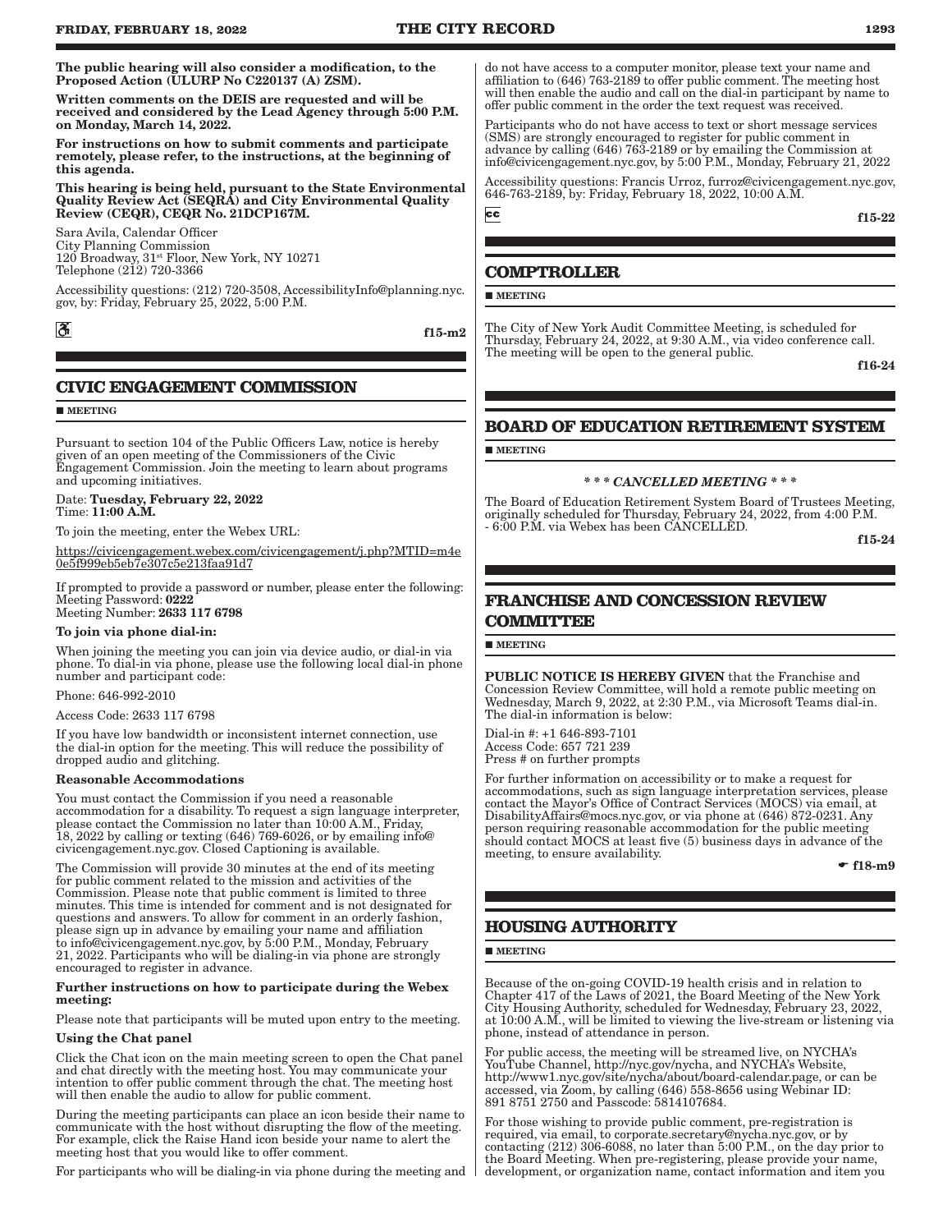The public hearing will also consider a modification, to the Proposed Action (ULURP No C220137 (A) ZSM).

Written comments on the DEIS are requested and will be received and considered by the Lead Agency through 5:00 P.M. on Monday, March 14, 2022.

For instructions on how to submit comments and participate remotely, please refer, to the instructions, at the beginning of this agenda.

This hearing is being held, pursuant to the State Environmental Quality Review Act (SEQRA) and City Environmental Quality Review (CEQR), CEQR No. 21DCP167M.

Sara Avila, Calendar Officer City Planning Commission 120 Broadway, 31st Floor, New York, NY 10271 Telephone (212) 720-3366

Accessibility questions: (212) 720-3508, AccessibilityInfo@planning.nyc. gov, by: Friday, February 25, 2022, 5:00 P.M.

 $\mathfrak{F}$ 

f15-m2

**CIVIC ENGAGEMENT COMMISSION**

**MEETING** 

Pursuant to section 104 of the Public Officers Law, notice is hereby given of an open meeting of the Commissioners of the Civic Engagement Commission. Join the meeting to learn about programs and upcoming initiatives.

Date: Tuesday, February 22, 2022 Time: 11:00 A.M.

To join the meeting, enter the Webex URL:

https://civicengagement.webex.com/civicengagement/j.php?MTID=m4e 0e5f999eb5eb7e307c5e213faa91d7

If prompted to provide a password or number, please enter the following: Meeting Password: 0222 Meeting Number: 2633 117 6798

To join via phone dial-in:

When joining the meeting you can join via device audio, or dial-in via phone. To dial-in via phone, please use the following local dial-in phone number and participant code:

Phone: 646-992-2010

Access Code: 2633 117 6798

If you have low bandwidth or inconsistent internet connection, use the dial-in option for the meeting. This will reduce the possibility of dropped audio and glitching.

#### Reasonable Accommodations

You must contact the Commission if you need a reasonable accommodation for a disability. To request a sign language interpreter, please contact the Commission no later than 10:00 A.M., Friday, 18, 2022 by calling or texting (646) 769-6026, or by emailing info@ civicengagement.nyc.gov. Closed Captioning is available.

The Commission will provide 30 minutes at the end of its meeting for public comment related to the mission and activities of the Commission. Please note that public comment is limited to three minutes. This time is intended for comment and is not designated for questions and answers. To allow for comment in an orderly fashion, please sign up in advance by emailing your name and affiliation to info@civicengagement.nyc.gov, by 5:00 P.M., Monday, February 21, 2022. Participants who will be dialing-in via phone are strongly encouraged to register in advance.

#### Further instructions on how to participate during the Webex meeting:

Please note that participants will be muted upon entry to the meeting.

#### Using the Chat panel

Click the Chat icon on the main meeting screen to open the Chat panel and chat directly with the meeting host. You may communicate your intention to offer public comment through the chat. The meeting host will then enable the audio to allow for public comment.

During the meeting participants can place an icon beside their name to communicate with the host without disrupting the flow of the meeting. For example, click the Raise Hand icon beside your name to alert the meeting host that you would like to offer comment.

For participants who will be dialing-in via phone during the meeting and

do not have access to a computer monitor, please text your name and affiliation to (646) 763-2189 to offer public comment. The meeting host will then enable the audio and call on the dial-in participant by name to offer public comment in the order the text request was received.

Participants who do not have access to text or short message services (SMS) are strongly encouraged to register for public comment in advance by calling (646) 763-2189 or by emailing the Commission at info@civicengagement.nyc.gov, by 5:00 P.M., Monday, February 21, 2022

Accessibility questions: Francis Urroz, furroz@civicengagement.nyc.gov, 646-763-2189, by: Friday, February 18, 2022, 10:00 A.M.

f15-22

### **COMPTROLLER**

**MEETING** 

 $cc$ 

The City of New York Audit Committee Meeting, is scheduled for Thursday, February 24, 2022, at 9:30 A.M., via video conference call. The meeting will be open to the general public.

f16-24

# **BOARD OF EDUCATION RETIREMENT SYSTEM**

**MEETING** 

#### *\* \* \* CANCELLED MEETING \* \* \**

The Board of Education Retirement System Board of Trustees Meeting, originally scheduled for Thursday, February 24, 2022, from 4:00 P.M. - 6:00 P.M. via Webex has been CANCELLED.

f15-24

# **FRANCHISE AND CONCESSION REVIEW COMMITTEE**

#### **MEETING**

PUBLIC NOTICE IS HEREBY GIVEN that the Franchise and Concession Review Committee, will hold a remote public meeting on Wednesday, March 9, 2022, at 2:30 P.M., via Microsoft Teams dial-in. The dial-in information is below:

Dial-in #: +1 646-893-7101 Access Code: 657 721 239 Press # on further prompts

For further information on accessibility or to make a request for accommodations, such as sign language interpretation services, please contact the Mayor's Office of Contract Services (MOCS) via email, at DisabilityAffairs@mocs.nyc.gov, or via phone at (646) 872-0231. Any person requiring reasonable accommodation for the public meeting should contact MOCS at least five (5) business days in advance of the meeting, to ensure availability.

 $\bullet$  f18-m9

# **HOUSING AUTHORITY**

#### **MEETING**

Because of the on-going COVID-19 health crisis and in relation to Chapter 417 of the Laws of 2021, the Board Meeting of the New York City Housing Authority, scheduled for Wednesday, February 23, 2022, at 10:00 A.M., will be limited to viewing the live-stream or listening via phone, instead of attendance in person.

For public access, the meeting will be streamed live, on NYCHA's YouTube Channel, http://nyc.gov/nycha, and NYCHA's Website, http://www1.nyc.gov/site/nycha/about/board-calendar.page, or can be accessed, via Zoom, by calling (646) 558-8656 using Webinar ID: 891 8751 2750 and Passcode: 5814107684.

For those wishing to provide public comment, pre-registration is required, via email, to corporate.secretary@nycha.nyc.gov, or by contacting (212) 306-6088, no later than 5:00 P.M., on the day prior to the Board Meeting. When pre-registering, please provide your name, development, or organization name, contact information and item you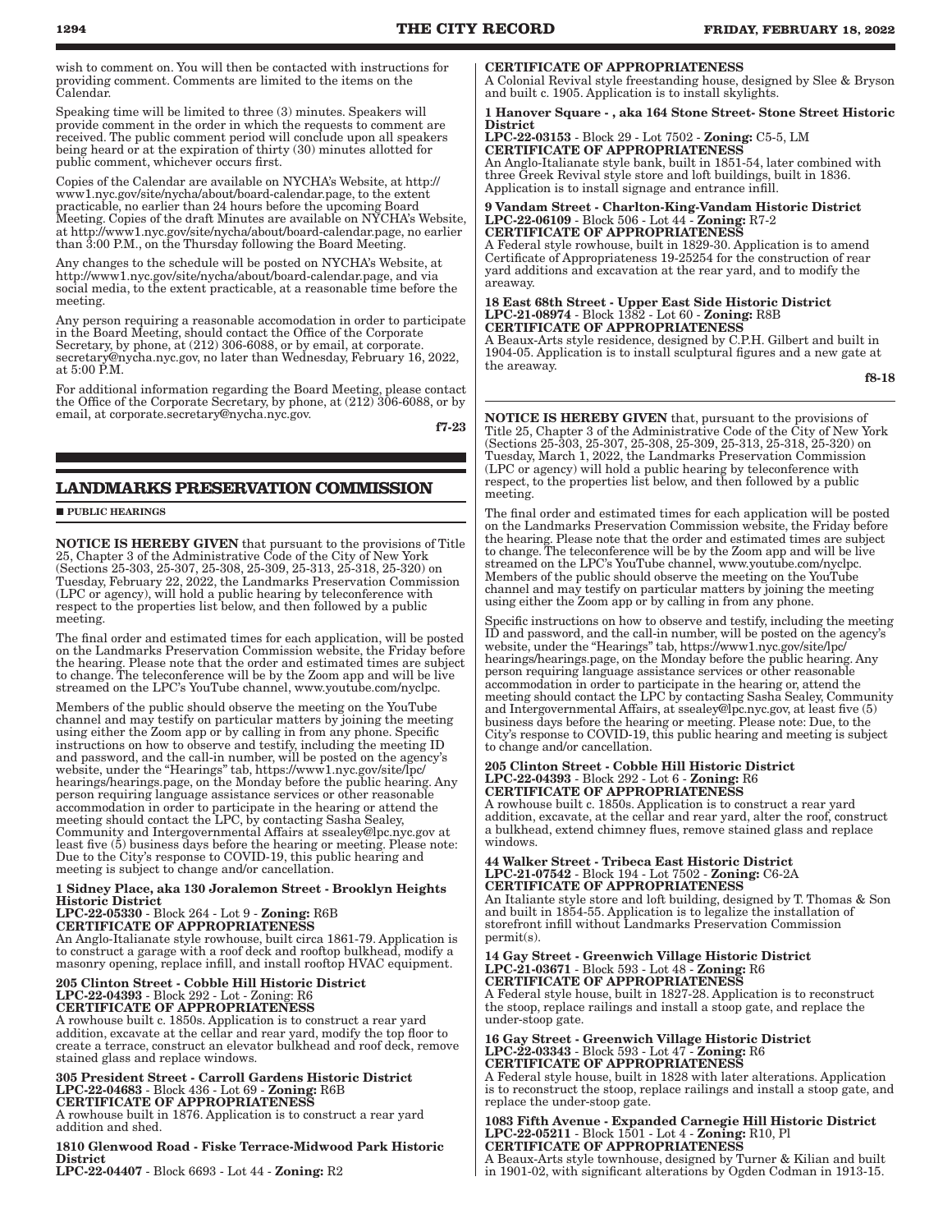wish to comment on. You will then be contacted with instructions for providing comment. Comments are limited to the items on the Calendar.

Speaking time will be limited to three (3) minutes. Speakers will provide comment in the order in which the requests to comment are received. The public comment period will conclude upon all speakers being heard or at the expiration of thirty (30) minutes allotted for public comment, whichever occurs first.

Copies of the Calendar are available on NYCHA's Website, at http:// www1.nyc.gov/site/nycha/about/board-calendar.page, to the extent practicable, no earlier than 24 hours before the upcoming Board Meeting. Copies of the draft Minutes are available on NYCHA's Website, at http://www1.nyc.gov/site/nycha/about/board-calendar.page, no earlier than 3:00 P.M., on the Thursday following the Board Meeting.

Any changes to the schedule will be posted on NYCHA's Website, at http://www1.nyc.gov/site/nycha/about/board-calendar.page, and via social media, to the extent practicable, at a reasonable time before the meeting.

Any person requiring a reasonable accomodation in order to participate in the Board Meeting, should contact the Office of the Corporate Secretary, by phone, at (212) 306-6088, or by email, at corporate. secretary@nycha.nyc.gov, no later than Wednesday, February 16, 2022, at  $5:00 \text{ P.M.}$ 

For additional information regarding the Board Meeting, please contact the Office of the Corporate Secretary, by phone, at (212) 306-6088, or by email, at corporate.secretary@nycha.nyc.gov.

f7-23

# **LANDMARKS PRESERVATION COMMISSION**

**PUBLIC HEARINGS** 

NOTICE IS HEREBY GIVEN that pursuant to the provisions of Title 25, Chapter 3 of the Administrative Code of the City of New York (Sections 25-303, 25-307, 25-308, 25-309, 25-313, 25-318, 25-320) on Tuesday, February 22, 2022, the Landmarks Preservation Commission (LPC or agency), will hold a public hearing by teleconference with respect to the properties list below, and then followed by a public meeting.

The final order and estimated times for each application, will be posted on the Landmarks Preservation Commission website, the Friday before the hearing. Please note that the order and estimated times are subject to change. The teleconference will be by the Zoom app and will be live streamed on the LPC's YouTube channel, www.youtube.com/nyclpc.

Members of the public should observe the meeting on the YouTube channel and may testify on particular matters by joining the meeting using either the Zoom app or by calling in from any phone. Specific instructions on how to observe and testify, including the meeting ID and password, and the call-in number, will be posted on the agency's website, under the "Hearings" tab, https://www1.nyc.gov/site/lpc/ hearings/hearings.page, on the Monday before the public hearing. Any person requiring language assistance services or other reasonable accommodation in order to participate in the hearing or attend the meeting should contact the LPC, by contacting Sasha Sealey, Community and Intergovernmental Affairs at ssealey@lpc.nyc.gov at least five (5) business days before the hearing or meeting. Please note: Due to the City's response to COVID-19, this public hearing and meeting is subject to change and/or cancellation.

#### 1 Sidney Place, aka 130 Joralemon Street - Brooklyn Heights Historic District

LPC-22-05330 - Block 264 - Lot 9 - Zoning: R6B CERTIFICATE OF APPROPRIATENESS

An Anglo-Italianate style rowhouse, built circa 1861-79. Application is to construct a garage with a roof deck and rooftop bulkhead, modify a masonry opening, replace infill, and install rooftop HVAC equipment.

# 205 Clinton Street - Cobble Hill Historic District LPC-22-04393 - Block 292 - Lot - Zoning: R6 CERTIFICATE OF APPROPRIATENESS

A rowhouse built c. 1850s. Application is to construct a rear yard addition, excavate at the cellar and rear yard, modify the top floor to create a terrace, construct an elevator bulkhead and roof deck, remove stained glass and replace windows.

305 President Street - Carroll Gardens Historic District LPC-22-04683 - Block 436 - Lot 69 - Zoning: R6B CERTIFICATE OF APPROPRIATENESS

A rowhouse built in 1876. Application is to construct a rear yard addition and shed.

1810 Glenwood Road - Fiske Terrace-Midwood Park Historic District

LPC-22-04407 - Block 6693 - Lot 44 - Zoning: R2

# CERTIFICATE OF APPROPRIATENESS

A Colonial Revival style freestanding house, designed by Slee & Bryson and built c. 1905. Application is to install skylights.

1 Hanover Square - , aka 164 Stone Street- Stone Street Historic District

LPC-22-03153 - Block 29 - Lot 7502 - Zoning: C5-5, LM CERTIFICATE OF APPROPRIATENESS An Anglo-Italianate style bank, built in 1851-54, later combined with

three Greek Revival style store and loft buildings, built in 1836. Application is to install signage and entrance infill.

#### 9 Vandam Street - Charlton-King-Vandam Historic District LPC-22-06109 - Block 506 - Lot 44 - Zoning: R7-2 CERTIFICATE OF APPROPRIATENESS

A Federal style rowhouse, built in 1829-30. Application is to amend Certificate of Appropriateness 19-25254 for the construction of rear yard additions and excavation at the rear yard, and to modify the areaway.

18 East 68th Street - Upper East Side Historic District LPC-21-08974 - Block 1382 - Lot 60 - Zoning: R8B CERTIFICATE OF APPROPRIATENESS

A Beaux-Arts style residence, designed by C.P.H. Gilbert and built in 1904-05. Application is to install sculptural figures and a new gate at the areaway.

f8-18

**NOTICE IS HEREBY GIVEN** that, pursuant to the provisions of Title 25, Chapter 3 of the Administrative Code of the City of New York (Sections 25-303, 25-307, 25-308, 25-309, 25-313, 25-318, 25-320) on Tuesday, March 1, 2022, the Landmarks Preservation Commission (LPC or agency) will hold a public hearing by teleconference with respect, to the properties list below, and then followed by a public meeting.

The final order and estimated times for each application will be posted on the Landmarks Preservation Commission website, the Friday before the hearing. Please note that the order and estimated times are subject to change. The teleconference will be by the Zoom app and will be live streamed on the LPC's YouTube channel, www.youtube.com/nyclpc. Members of the public should observe the meeting on the YouTube channel and may testify on particular matters by joining the meeting using either the Zoom app or by calling in from any phone.

Specific instructions on how to observe and testify, including the meeting ID and password, and the call-in number, will be posted on the agency's website, under the "Hearings" tab, https://www1.nyc.gov/site/lpc/ hearings/hearings.page, on the Monday before the public hearing. Any person requiring language assistance services or other reasonable accommodation in order to participate in the hearing or, attend the meeting should contact the LPC by contacting Sasha Sealey, Community and Intergovernmental Affairs, at ssealey@lpc.nyc.gov, at least five (5) business days before the hearing or meeting. Please note: Due, to the City's response to COVID-19, this public hearing and meeting is subject to change and/or cancellation.

#### 205 Clinton Street - Cobble Hill Historic District LPC-22-04393 - Block 292 - Lot 6 - Zoning: R6 CERTIFICATE OF APPROPRIATENESS

A rowhouse built c. 1850s. Application is to construct a rear yard addition, excavate, at the cellar and rear yard, alter the roof, construct a bulkhead, extend chimney flues, remove stained glass and replace windows.

#### 44 Walker Street - Tribeca East Historic District LPC-21-07542 - Block 194 - Lot 7502 - Zoning: C6-2A CERTIFICATE OF APPROPRIATENESS

An Italiante style store and loft building, designed by T. Thomas & Son and built in 1854-55. Application is to legalize the installation of storefront infill without Landmarks Preservation Commission permit(s).

#### 14 Gay Street - Greenwich Village Historic District LPC-21-03671 - Block 593 - Lot 48 - Zoning: R6 CERTIFICATE OF APPROPRIATENESS

A Federal style house, built in 1827-28. Application is to reconstruct the stoop, replace railings and install a stoop gate, and replace the under-stoop gate.

16 Gay Street - Greenwich Village Historic District LPC-22-03343 - Block 593 - Lot 47 - Zoning: R6 CERTIFICATE OF APPROPRIATENESS

A Federal style house, built in 1828 with later alterations. Application is to reconstruct the stoop, replace railings and install a stoop gate, and replace the under-stoop gate.

1083 Fifth Avenue - Expanded Carnegie Hill Historic District LPC-22-05211 - Block 1501 - Lot 4 - Zoning: R10, Pl CERTIFICATE OF APPROPRIATENESS

A Beaux-Arts style townhouse, designed by Turner & Kilian and built in 1901-02, with significant alterations by Ogden Codman in 1913-15.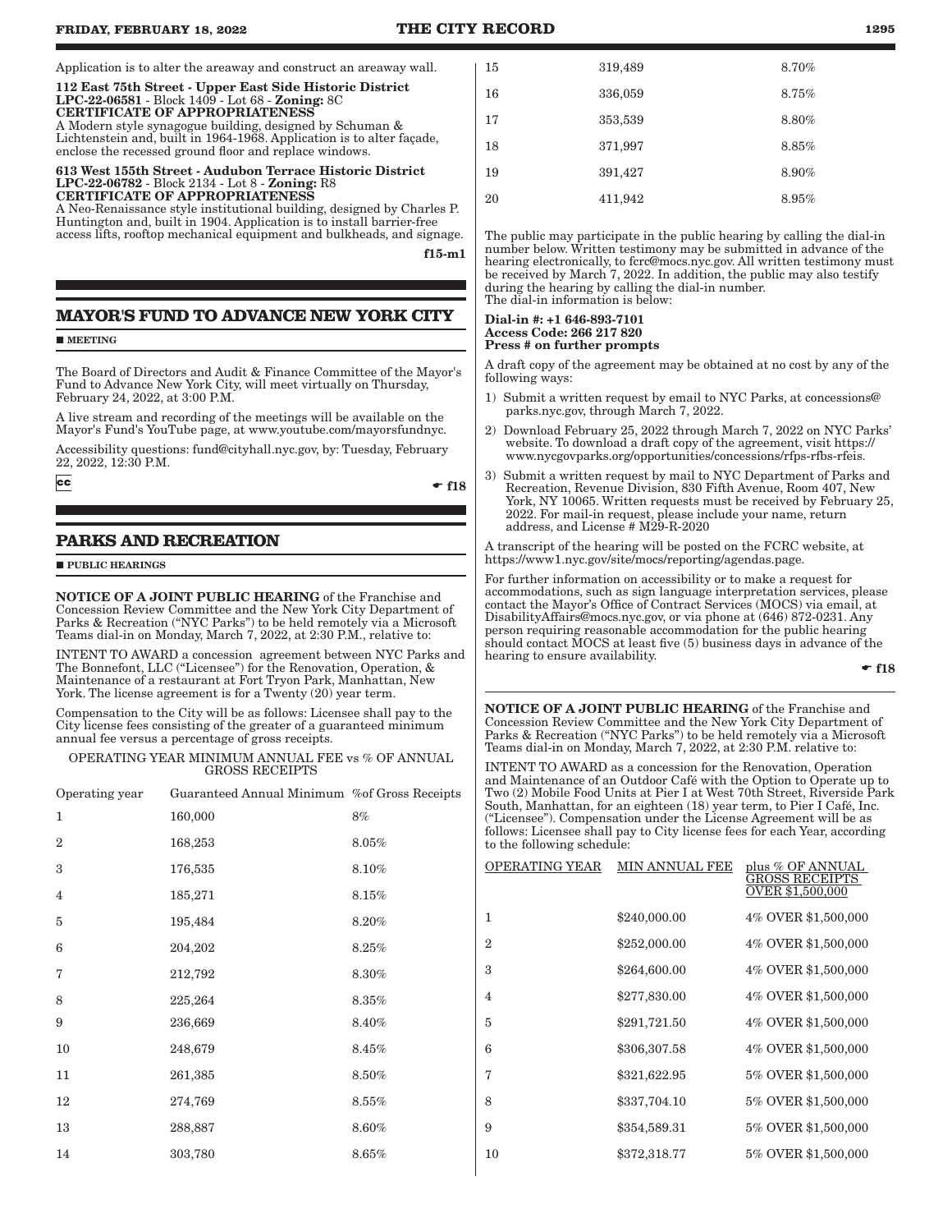#### Application is to alter the areaway and construct an areaway wall.

112 East 75th Street - Upper East Side Historic District LPC-22-06581 - Block 1409 - Lot 68 - Zoning: 8C CERTIFICATE OF APPROPRIATENESS A Modern style synagogue building, designed by Schuman & Lichtenstein and, built in 1964-1968. Application is to alter façade, enclose the recessed ground floor and replace windows.

#### 613 West 155th Street - Audubon Terrace Historic District LPC-22-06782 - Block 2134 - Lot 8 - Zoning: R8 CERTIFICATE OF APPROPRIATENESS

A Neo-Renaissance style institutional building, designed by Charles P. Huntington and, built in 1904. Application is to install barrier-free access lifts, rooftop mechanical equipment and bulkheads, and signage.

f15-m1

# **MAYOR'S FUND TO ADVANCE NEW YORK CITY**

**MEETING** 

The Board of Directors and Audit & Finance Committee of the Mayor's Fund to Advance New York City, will meet virtually on Thursday, February 24, 2022, at 3:00 P.M.

A live stream and recording of the meetings will be available on the Mayor's Fund's YouTube page, at www.youtube.com/mayorsfundnyc.

Accessibility questions: fund@cityhall.nyc.gov, by: Tuesday, February 22, 2022, 12:30 P.M.

 $cc$ 

#### $-$  f18

# **PARKS AND RECREATION**

**PUBLIC HEARINGS** 

NOTICE OF A JOINT PUBLIC HEARING of the Franchise and Concession Review Committee and the New York City Department of Parks & Recreation ("NYC Parks") to be held remotely via a Microsoft Teams dial-in on Monday, March 7, 2022, at 2:30 P.M., relative to:

INTENT TO AWARD a concession agreement between NYC Parks and The Bonnefont, LLC ("Licensee") for the Renovation, Operation, & Maintenance of a restaurant at Fort Tryon Park, Manhattan, New York. The license agreement is for a Twenty  $(20)$  year term.

Compensation to the City will be as follows: Licensee shall pay to the City license fees consisting of the greater of a guaranteed minimum annual fee versus a percentage of gross receipts.

#### OPERATING YEAR MINIMUM ANNUAL FEE vs % OF ANNUAL GROSS RECEIPTS

| Operating year | Guaranteed Annual Minimum % of Gross Receipts |          |
|----------------|-----------------------------------------------|----------|
| $\mathbf{1}$   | 160,000                                       | 8%       |
| $\overline{2}$ | 168,253                                       | 8.05%    |
| 3              | 176,535                                       | 8.10%    |
| $\overline{4}$ | 185,271                                       | 8.15%    |
| 5              | 195,484                                       | 8.20%    |
| 6              | 204,202                                       | 8.25%    |
| 7              | 212,792                                       | 8.30%    |
| 8              | 225,264                                       | 8.35%    |
| 9              | 236,669                                       | 8.40%    |
| 10             | 248,679                                       | 8.45%    |
| 11             | 261,385                                       | 8.50%    |
| 12             | 274,769                                       | $8.55\%$ |
| 13             | 288,887                                       | 8.60%    |
| 14             | 303,780                                       | 8.65%    |
|                |                                               |          |

| 15 | 319,489 | 8.70% |
|----|---------|-------|
| 16 | 336,059 | 8.75% |
| 17 | 353,539 | 8.80% |
| 18 | 371,997 | 8.85% |
| 19 | 391,427 | 8.90% |
| 20 | 411,942 | 8.95% |
|    |         |       |

The public may participate in the public hearing by calling the dial-in number below. Written testimony may be submitted in advance of the hearing electronically, to fcrc@mocs.nyc.gov. All written testimony must be received by March 7, 2022. In addition, the public may also testify during the hearing by calling the dial-in number. The dial-in information is below:

#### Dial-in #: +1 646-893-7101 Access Code: 266 217 820 Press # on further prompts

A draft copy of the agreement may be obtained at no cost by any of the following ways:

- 1) Submit a written request by email to NYC Parks, at concessions@ parks.nyc.gov, through March 7, 2022.
- 2) Download February 25, 2022 through March 7, 2022 on NYC Parks' website. To download a draft copy of the agreement, visit https:// www.nycgovparks.org/opportunities/concessions/rfps-rfbs-rfeis.
- 3) Submit a written request by mail to NYC Department of Parks and Recreation, Revenue Division, 830 Fifth Avenue, Room 407, New York, NY 10065. Written requests must be received by February 25, 2022. For mail-in request, please include your name, return address, and License # M29-R-2020

A transcript of the hearing will be posted on the FCRC website, at https://www1.nyc.gov/site/mocs/reporting/agendas.page.

For further information on accessibility or to make a request for accommodations, such as sign language interpretation services, please contact the Mayor's Office of Contract Services (MOCS) via email, at DisabilityAffairs@mocs.nyc.gov, or via phone at (646) 872-0231. Any person requiring reasonable accommodation for the public hearing should contact MOCS at least five (5) business days in advance of the hearing to ensure availability.

 $\bullet$  f18

NOTICE OF A JOINT PUBLIC HEARING of the Franchise and Concession Review Committee and the New York City Department of Parks & Recreation ("NYC Parks") to be held remotely via a Microsoft Teams dial-in on Monday, March 7, 2022, at 2:30 P.M. relative to:

INTENT TO AWARD as a concession for the Renovation, Operation and Maintenance of an Outdoor Café with the Option to Operate up to Two (2) Mobile Food Units at Pier I at West 70th Street, Riverside Park South, Manhattan, for an eighteen (18) year term, to Pier I Café, Inc. ("Licensee"). Compensation under the License Agreement will be as follows: Licensee shall pay to City license fees for each Year, according to the following schedule:

| OPERATING YEAR | MIN ANNUAL FEE | plus % OF ANNUAL<br>GROSS RECEIPTS<br>OVER \$1,500,000 |
|----------------|----------------|--------------------------------------------------------|
| 1              | \$240,000.00   | 4% OVER \$1,500,000                                    |
| $\overline{2}$ | \$252,000.00   | 4% OVER \$1,500,000                                    |
| 3              | \$264,600.00   | 4% OVER \$1,500,000                                    |
| $\overline{4}$ | \$277,830.00   | 4% OVER \$1,500,000                                    |
| 5              | \$291,721.50   | 4% OVER \$1,500,000                                    |
| 6              | \$306,307.58   | 4% OVER \$1,500,000                                    |
| 7              | \$321,622.95   | 5% OVER \$1,500,000                                    |
| 8              | \$337,704.10   | 5% OVER \$1,500,000                                    |
| 9              | \$354,589.31   | 5% OVER \$1,500,000                                    |
| 10             | \$372,318.77   | 5% OVER \$1,500,000                                    |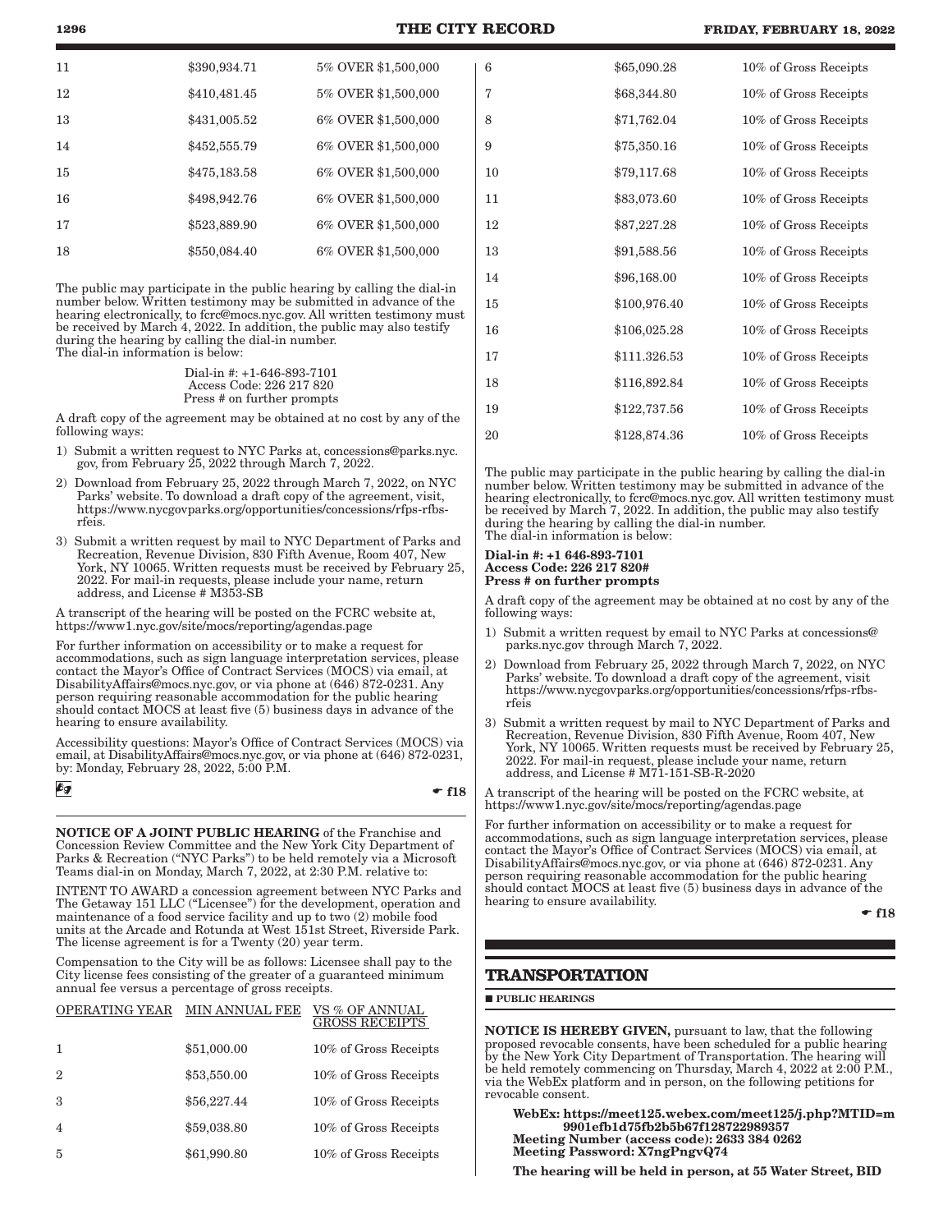|  | <b>FRIDAY, FEBRUARY 18, 2022</b> |  |  |
|--|----------------------------------|--|--|
|--|----------------------------------|--|--|

| 11 | \$390,934.71 | 5% OVER \$1,500,000 |
|----|--------------|---------------------|
| 12 | \$410,481.45 | 5% OVER \$1,500,000 |
| 13 | \$431,005.52 | 6% OVER \$1,500,000 |
| 14 | \$452,555.79 | 6% OVER \$1,500,000 |
| 15 | \$475,183.58 | 6% OVER \$1,500,000 |
| 16 | \$498,942.76 | 6% OVER \$1,500,000 |
| 17 | \$523,889.90 | 6% OVER \$1,500,000 |
| 18 | \$550,084.40 | 6% OVER \$1,500,000 |

The public may participate in the public hearing by calling the dial-in number below. Written testimony may be submitted in advance of the hearing electronically, to fcrc@mocs.nyc.gov. All written testimony must be received by March 4, 2022. In addition, the public may also testify during the hearing by calling the dial-in number. The dial-in information is below:

> Dial-in #: +1-646-893-7101 Access Code: 226 217 820 Press # on further prompts

A draft copy of the agreement may be obtained at no cost by any of the following ways:

- 1) Submit a written request to NYC Parks at, concessions@parks.nyc. gov, from February 25, 2022 through March 7, 2022.
- 2) Download from February 25, 2022 through March 7, 2022, on NYC Parks' website. To download a draft copy of the agreement, visit, https://www.nycgovparks.org/opportunities/concessions/rfps-rfbsrfeis.
- 3) Submit a written request by mail to NYC Department of Parks and Recreation, Revenue Division, 830 Fifth Avenue, Room 407, New York, NY 10065. Written requests must be received by February 25, 2022. For mail-in requests, please include your name, return address, and License # M353-SB

A transcript of the hearing will be posted on the FCRC website at, https://www1.nyc.gov/site/mocs/reporting/agendas.page

For further information on accessibility or to make a request for accommodations, such as sign language interpretation services, please contact the Mayor's Office of Contract Services (MOCS) via email, at DisabilityAffairs@mocs.nyc.gov, or via phone at (646) 872-0231. Any person requiring reasonable accommodation for the public hearing should contact MOCS at least five (5) business days in advance of the hearing to ensure availability.

Accessibility questions: Mayor's Office of Contract Services (MOCS) via email, at DisabilityAffairs@mocs.nyc.gov, or via phone at (646) 872-0231, by: Monday, February 28, 2022, 5:00 P.M.

| ∲ۇ |  |  |  |
|----|--|--|--|
|    |  |  |  |

 $-$ f18

NOTICE OF A JOINT PUBLIC HEARING of the Franchise and Concession Review Committee and the New York City Department of Parks & Recreation ("NYC Parks") to be held remotely via a Microsoft Teams dial-in on Monday, March 7, 2022, at 2:30 P.M. relative to:

INTENT TO AWARD a concession agreement between NYC Parks and The Getaway 151 LLC ("Licensee") for the development, operation and maintenance of a food service facility and up to two (2) mobile food units at the Arcade and Rotunda at West 151st Street, Riverside Park. The license agreement is for a Twenty (20) year term.

Compensation to the City will be as follows: Licensee shall pay to the City license fees consisting of the greater of a guaranteed minimum annual fee versus a percentage of gross receipts.

| OPERATING YEAR | <b>MIN ANNUAL FEE</b> | VS % OF ANNUAL<br><b>GROSS RECEIPTS</b> |
|----------------|-----------------------|-----------------------------------------|
| -1             | \$51,000.00           | 10% of Gross Receipts                   |
| $\overline{2}$ | \$53,550.00           | 10% of Gross Receipts                   |
| 3              | \$56,227.44           | 10% of Gross Receipts                   |
| $\overline{4}$ | \$59,038.80           | 10% of Gross Receipts                   |
| 5              | \$61,990.80           | 10% of Gross Receipts                   |

| 6  | \$65,090.28  | 10% of Gross Receipts |
|----|--------------|-----------------------|
| 7  | \$68,344.80  | 10% of Gross Receipts |
| 8  | \$71,762.04  | 10% of Gross Receipts |
| 9  | \$75,350.16  | 10% of Gross Receipts |
| 10 | \$79,117.68  | 10% of Gross Receipts |
| 11 | \$83,073.60  | 10% of Gross Receipts |
| 12 | \$87,227.28  | 10% of Gross Receipts |
| 13 | \$91,588.56  | 10% of Gross Receipts |
| 14 | \$96,168.00  | 10% of Gross Receipts |
| 15 | \$100,976.40 | 10% of Gross Receipts |
| 16 | \$106,025.28 | 10% of Gross Receipts |
| 17 | \$111.326.53 | 10% of Gross Receipts |
| 18 | \$116,892.84 | 10% of Gross Receipts |
| 19 | \$122,737.56 | 10% of Gross Receipts |
| 20 | \$128,874.36 | 10% of Gross Receipts |

The public may participate in the public hearing by calling the dial-in number below. Written testimony may be submitted in advance of the hearing electronically, to fcrc@mocs.nyc.gov. All written testimony must be received by March 7, 2022. In addition, the public may also testify during the hearing by calling the dial-in number. The dial-in information is below:

#### Dial-in #: +1 646-893-7101 Access Code: 226 217 820# Press # on further prompts

A draft copy of the agreement may be obtained at no cost by any of the following ways:

- Submit a written request by email to NYC Parks at concessions@ parks.nyc.gov through March 7, 2022.
- 2) Download from February 25, 2022 through March 7, 2022, on NYC Parks' website. To download a draft copy of the agreement, visit https://www.nycgovparks.org/opportunities/concessions/rfps-rfbsrfeis
- 3) Submit a written request by mail to NYC Department of Parks and Recreation, Revenue Division, 830 Fifth Avenue, Room 407, New York, NY 10065. Written requests must be received by February 25, 2022. For mail-in request, please include your name, return address, and License # M71-151-SB-R-2020

A transcript of the hearing will be posted on the FCRC website, at https://www1.nyc.gov/site/mocs/reporting/agendas.page

For further information on accessibility or to make a request for accommodations, such as sign language interpretation services, please contact the Mayor's Office of Contract Services (MOCS) via email, at DisabilityAffairs@mocs.nyc.gov, or via phone at (646) 872-0231. Any person requiring reasonable accommodation for the public hearing should contact MOCS at least five (5) business days in advance of the hearing to ensure availability.

 $\div$  f18

# **TRANSPORTATION**

**PUBLIC HEARINGS** 

NOTICE IS HEREBY GIVEN, pursuant to law, that the following proposed revocable consents, have been scheduled for a public hearing by the New York City Department of Transportation. The hearing will be held remotely commencing on Thursday, March 4, 2022 at 2:00 P.M., via the WebEx platform and in person, on the following petitions for revocable consent.

WebEx: https://meet125.webex.com/meet125/j.php?MTID=m 9901efb1d75fb2b5b67f128722989357 Meeting Number (access code): 2633 384 0262 Meeting Password: X7ngPngvQ74

The hearing will be held in person, at 55 Water Street, BID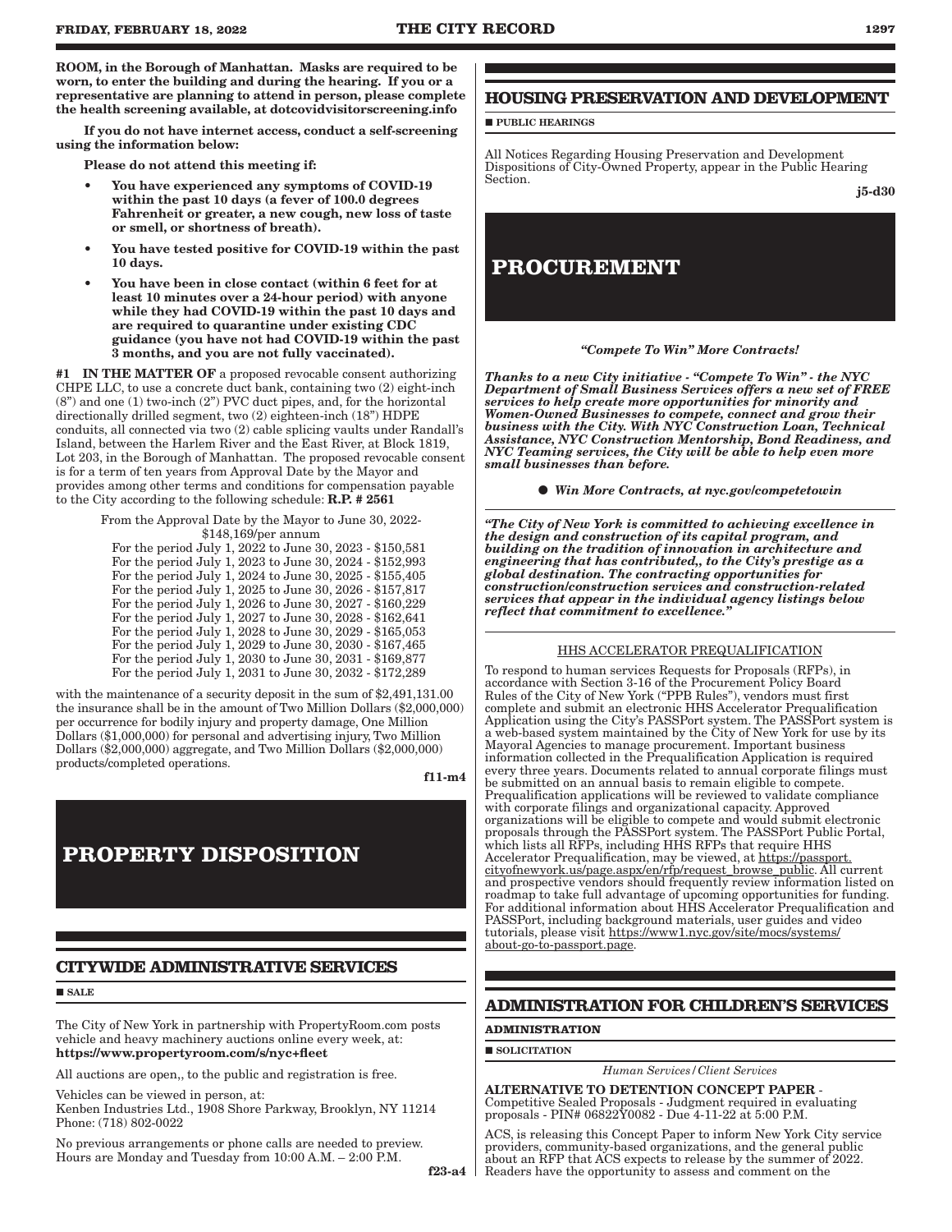ROOM, in the Borough of Manhattan. Masks are required to be worn, to enter the building and during the hearing. If you or a representative are planning to attend in person, please complete the health screening available, at dotcovidvisitorscreening.info

If you do not have internet access, conduct a self-screening using the information below:

Please do not attend this meeting if:

- You have experienced any symptoms of COVID-19 within the past 10 days (a fever of 100.0 degrees Fahrenheit or greater, a new cough, new loss of taste or smell, or shortness of breath).
- You have tested positive for COVID-19 within the past 10 days.
- You have been in close contact (within 6 feet for at least 10 minutes over a 24-hour period) with anyone while they had COVID-19 within the past 10 days and are required to quarantine under existing CDC guidance (you have not had COVID-19 within the past 3 months, and you are not fully vaccinated).

#1 IN THE MATTER OF a proposed revocable consent authorizing CHPE LLC, to use a concrete duct bank, containing two (2) eight-inch (8") and one (1) two-inch (2") PVC duct pipes, and, for the horizontal directionally drilled segment, two (2) eighteen-inch (18") HDPE conduits, all connected via two (2) cable splicing vaults under Randall's Island, between the Harlem River and the East River, at Block 1819, Lot 203, in the Borough of Manhattan. The proposed revocable consent is for a term of ten years from Approval Date by the Mayor and provides among other terms and conditions for compensation payable to the City according to the following schedule: R.P. # 2561

> From the Approval Date by the Mayor to June 30, 2022- \$148,169/per annum

For the period July 1, 2022 to June 30, 2023 - \$150,581 For the period July 1, 2023 to June 30, 2024 - \$152,993 For the period July 1, 2024 to June 30, 2025 - \$155,405 For the period July 1, 2025 to June 30, 2026 - \$157,817 For the period July 1, 2026 to June 30, 2027 - \$160,229 For the period July 1, 2027 to June 30, 2028 - \$162,641 For the period July 1, 2028 to June 30, 2029 - \$165,053 For the period July 1, 2029 to June 30, 2030 - \$167,465 For the period July 1, 2030 to June 30, 2031 - \$169,877 For the period July 1, 2031 to June 30, 2032 - \$172,289

with the maintenance of a security deposit in the sum of \$2,491,131.00 the insurance shall be in the amount of Two Million Dollars (\$2,000,000) per occurrence for bodily injury and property damage, One Million Dollars (\$1,000,000) for personal and advertising injury, Two Million Dollars (\$2,000,000) aggregate, and Two Million Dollars (\$2,000,000) products/completed operations.

f11-m4

# **PROPERTY DISPOSITION**

# **CITYWIDE ADMINISTRATIVE SERVICES**

SALE

The City of New York in partnership with PropertyRoom.com posts vehicle and heavy machinery auctions online every week, at: https://www.propertyroom.com/s/nyc+fleet

All auctions are open,, to the public and registration is free.

Vehicles can be viewed in person, at:

Kenben Industries Ltd., 1908 Shore Parkway, Brooklyn, NY 11214 Phone: (718) 802-0022

No previous arrangements or phone calls are needed to preview. Hours are Monday and Tuesday from 10:00 A.M. – 2:00 P.M.

# **HOUSING PRESERVATION AND DEVELOPMENT**

**PUBLIC HEARINGS** 

All Notices Regarding Housing Preservation and Development Dispositions of City-Owned Property, appear in the Public Hearing Section.

j5-d30

# **PROCUREMENT**



*Thanks to a new City initiative - "Compete To Win" - the NYC Department of Small Business Services offers a new set of FREE services to help create more opportunities for minority and Women-Owned Businesses to compete, connect and grow their business with the City. With NYC Construction Loan, Technical Assistance, NYC Construction Mentorship, Bond Readiness, and NYC Teaming services, the City will be able to help even more small businesses than before.*

*Win More Contracts, at nyc.gov/competetowin*

*"The City of New York is committed to achieving excellence in the design and construction of its capital program, and building on the tradition of innovation in architecture and engineering that has contributed,, to the City's prestige as a global destination. The contracting opportunities for construction/construction services and construction-related services that appear in the individual agency listings below reflect that commitment to excellence."*

#### HHS ACCELERATOR PREQUALIFICATION

To respond to human services Requests for Proposals (RFPs), in accordance with Section 3-16 of the Procurement Policy Board Rules of the City of New York ("PPB Rules"), vendors must first complete and submit an electronic HHS Accelerator Prequalification Application using the City's PASSPort system. The PASSPort system is a web-based system maintained by the City of New York for use by its Mayoral Agencies to manage procurement. Important business information collected in the Prequalification Application is required every three years. Documents related to annual corporate filings must be submitted on an annual basis to remain eligible to compete. Prequalification applications will be reviewed to validate compliance with corporate filings and organizational capacity. Approved organizations will be eligible to compete and would submit electronic proposals through the PASSPort system. The PASSPort Public Portal, which lists all RFPs, including HHS RFPs that require HHS Accelerator Prequalification, may be viewed, at https://passport. cityofnewyork.us/page.aspx/en/rfp/request\_browse\_public. All current and prospective vendors should frequently review information listed on roadmap to take full advantage of upcoming opportunities for funding. For additional information about HHS Accelerator Prequalification and PASSPort, including background materials, user guides and video tutorials, please visit https://www1.nyc.gov/site/mocs/systems/ about-go-to-passport.page.

# **ADMINISTRATION FOR CHILDREN'S SERVICES**

# **ADMINISTRATION**

SOLICITATION

*Human Services/Client Services*

ALTERNATIVE TO DETENTION CONCEPT PAPER - Competitive Sealed Proposals - Judgment required in evaluating proposals - PIN# 06822Y0082 - Due 4-11-22 at 5:00 P.M.

ACS, is releasing this Concept Paper to inform New York City service providers, community-based organizations, and the general public about an RFP that ACS expects to release by the summer of 2022. Readers have the opportunity to assess and comment on the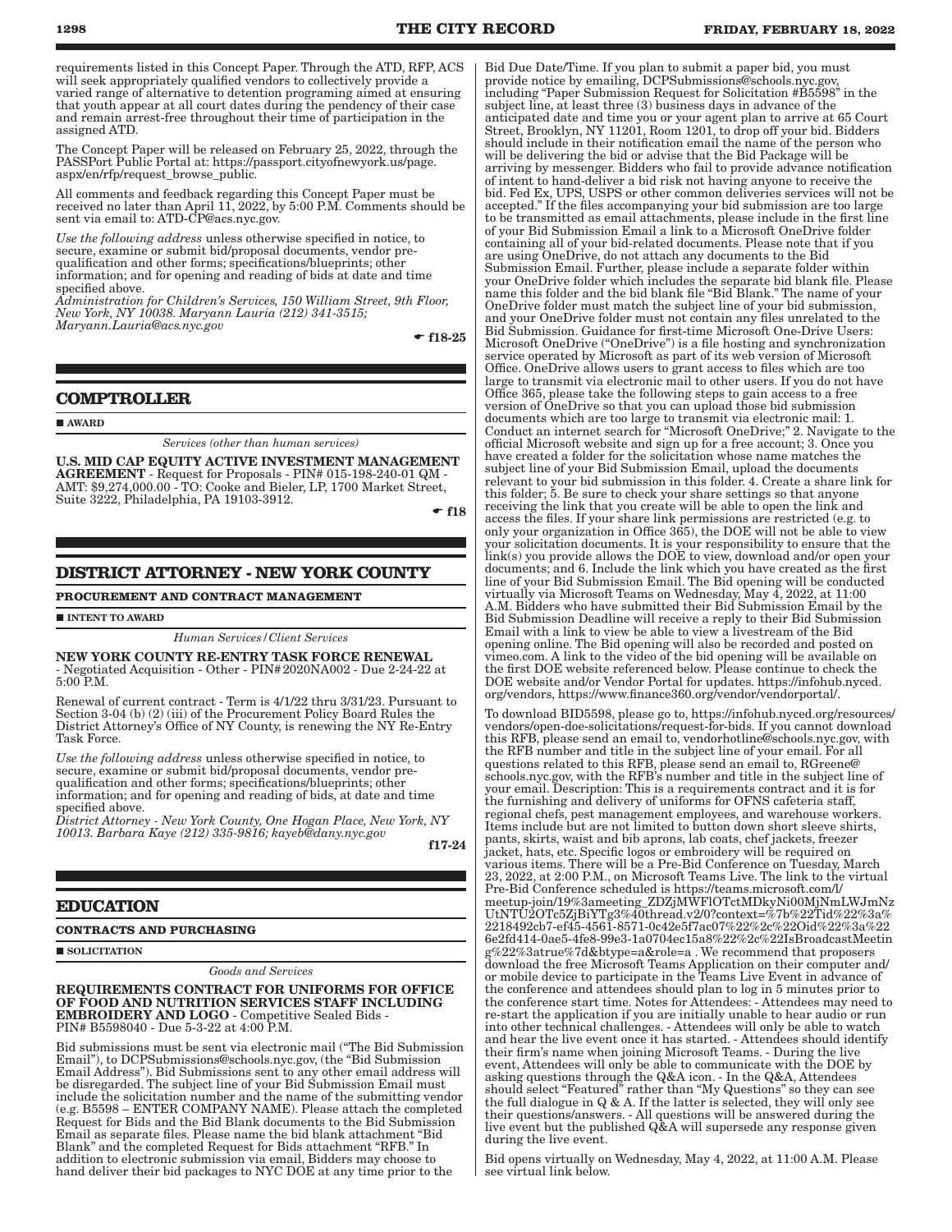requirements listed in this Concept Paper. Through the ATD, RFP, ACS will seek appropriately qualified vendors to collectively provide a varied range of alternative to detention programing aimed at ensuring that youth appear at all court dates during the pendency of their case and remain arrest-free throughout their time of participation in the assigned ATD.

The Concept Paper will be released on February 25, 2022, through the PASSPort Public Portal at: https://passport.cityofnewyork.us/page. aspx/en/rfp/request\_browse\_public.

All comments and feedback regarding this Concept Paper must be received no later than April 11, 2022, by 5:00 P.M. Comments should be sent via email to: ATD-CP@acs.nyc.gov.

*Use the following address* unless otherwise specified in notice, to secure, examine or submit bid/proposal documents, vendor prequalification and other forms; specifications/blueprints; other information; and for opening and reading of bids at date and time specified above.

*Administration for Children's Services, 150 William Street, 9th Floor, New York, NY 10038. Maryann Lauria (212) 341-3515; Maryann.Lauria@acs.nyc.gov*

 $-$  f18-25

#### **COMPTROLLER**

AWARD

*Services (other than human services)*

U.S. MID CAP EQUITY ACTIVE INVESTMENT MANAGEMENT AGREEMENT - Request for Proposals - PIN# 015-198-240-01 QM - AMT: \$9,274,000.00 - TO: Cooke and Bieler, LP, 1700 Market Street, Suite 3222, Philadelphia, PA 19103-3912.

 $-$ f18

# **DISTRICT ATTORNEY - NEW YORK COUNTY**

#### **PROCUREMENT AND CONTRACT MANAGEMENT**

**INTENT TO AWARD** 

# *Human Services/Client Services*

NEW YORK COUNTY RE-ENTRY TASK FORCE RENEWAL - Negotiated Acquisition - Other - PIN#2020NA002 - Due 2-24-22 at 5:00 P.M.

Renewal of current contract - Term is 4/1/22 thru 3/31/23. Pursuant to Section 3-04 (b) (2) (iii) of the Procurement Policy Board Rules the District Attorney's Office of NY County, is renewing the NY Re-Entry Task Force.

*Use the following address* unless otherwise specified in notice, to secure, examine or submit bid/proposal documents, vendor prequalification and other forms; specifications/blueprints; other information; and for opening and reading of bids, at date and time specified above.

*District Attorney - New York County, One Hogan Place, New York, NY 10013. Barbara Kaye (212) 335-9816; kayeb@dany.nyc.gov*

f17-24

#### **EDUCATION**

**CONTRACTS AND PURCHASING**

 $\blacksquare$  SOLICITATION

*Goods and Services*

#### REQUIREMENTS CONTRACT FOR UNIFORMS FOR OFFICE OF FOOD AND NUTRITION SERVICES STAFF INCLUDING EMBROIDERY AND LOGO - Competitive Sealed Bids - PIN# B5598040 - Due 5-3-22 at 4:00 P.M.

Bid submissions must be sent via electronic mail ("The Bid Submission Email"), to DCPSubmissions@schools.nyc.gov, (the "Bid Submission Email Address"). Bid Submissions sent to any other email address will be disregarded. The subject line of your Bid Submission Email must include the solicitation number and the name of the submitting vendor (e.g. B5598 – ENTER COMPANY NAME). Please attach the completed Request for Bids and the Bid Blank documents to the Bid Submission Email as separate files. Please name the bid blank attachment "Bid Blank" and the completed Request for Bids attachment "RFB." In addition to electronic submission via email, Bidders may choose to hand deliver their bid packages to NYC DOE at any time prior to the

Bid Due Date/Time. If you plan to submit a paper bid, you must provide notice by emailing, DCPSubmissions@schools.nyc.gov, including "Paper Submission Request for Solicitation #B5598" in the subject line, at least three (3) business days in advance of the anticipated date and time you or your agent plan to arrive at 65 Court Street, Brooklyn, NY 11201, Room 1201, to drop off your bid. Bidders should include in their notification email the name of the person who will be delivering the bid or advise that the Bid Package will be arriving by messenger. Bidders who fail to provide advance notification of intent to hand-deliver a bid risk not having anyone to receive the bid. Fed Ex, UPS, USPS or other common deliveries services will not be accepted." If the files accompanying your bid submission are too large to be transmitted as email attachments, please include in the first line of your Bid Submission Email a link to a Microsoft OneDrive folder containing all of your bid-related documents. Please note that if you are using OneDrive, do not attach any documents to the Bid Submission Email. Further, please include a separate folder within your OneDrive folder which includes the separate bid blank file. Please name this folder and the bid blank file "Bid Blank." The name of your OneDrive folder must match the subject line of your bid submission, and your OneDrive folder must not contain any files unrelated to the Bid Submission. Guidance for first-time Microsoft One-Drive Users: Microsoft OneDrive ("OneDrive") is a file hosting and synchronization service operated by Microsoft as part of its web version of Microsoft Office. OneDrive allows users to grant access to files which are too large to transmit via electronic mail to other users. If you do not have Office 365, please take the following steps to gain access to a free version of OneDrive so that you can upload those bid submission documents which are too large to transmit via electronic mail: 1. Conduct an internet search for "Microsoft OneDrive;" 2. Navigate to the official Microsoft website and sign up for a free account; 3. Once you have created a folder for the solicitation whose name matches the subject line of your Bid Submission Email, upload the documents relevant to your bid submission in this folder. 4. Create a share link for this folder; 5. Be sure to check your share settings so that anyone receiving the link that you create will be able to open the link and access the files. If your share link permissions are restricted (e.g. to only your organization in Office 365), the DOE will not be able to view your solicitation documents. It is your responsibility to ensure that the link(s) you provide allows the DOE to view, download and/or open your documents; and 6. Include the link which you have created as the first line of your Bid Submission Email. The Bid opening will be conducted virtually via Microsoft Teams on Wednesday, May 4, 2022, at 11:00 A.M. Bidders who have submitted their Bid Submission Email by the Bid Submission Deadline will receive a reply to their Bid Submission Email with a link to view be able to view a livestream of the Bid opening online. The Bid opening will also be recorded and posted on vimeo.com. A link to the video of the bid opening will be available on the first DOE website referenced below. Please continue to check the DOE website and/or Vendor Portal for updates. https://infohub.nyced. org/vendors, https://www.finance360.org/vendor/vendorportal/.

To download BID5598, please go to, https://infohub.nyced.org/resources/ vendors/open-doe-solicitations/request-for-bids. If you cannot download this RFB, please send an email to, vendorhotline@schools.nyc.gov, with the RFB number and title in the subject line of your email. For all questions related to this RFB, please send an email to, RGreene@ schools.nyc.gov, with the RFB's number and title in the subject line of your email. Description: This is a requirements contract and it is for the furnishing and delivery of uniforms for OFNS cafeteria staff, regional chefs, pest management employees, and warehouse workers. Items include but are not limited to button down short sleeve shirts, pants, skirts, waist and bib aprons, lab coats, chef jackets, freezer jacket, hats, etc. Specific logos or embroidery will be required on various items. There will be a Pre-Bid Conference on Tuesday, March 23, 2022, at 2:00 P.M., on Microsoft Teams Live. The link to the virtual Pre-Bid Conference scheduled is https://teams.microsoft.com/l/ meetup-join/19%3ameeting\_ZDZjMWFlOTctMDkyNi00MjNmLWJmNz UtNTU2OTc5ZjBiYTg3%40thread.v2/0?context=%7b%22Tid%22%3a% 2218492cb7-ef45-4561-8571-0c42e5f7ac07%22%2c%22Oid%22%3a%22 6e2fd414-0ae5-4fe8-99e3-1a0704ec15a8%22%2c%22IsBroadcastMeetin g%22%3atrue%7d&btype=a&role=a . We recommend that proposers download the free Microsoft Teams Application on their computer and/ or mobile device to participate in the Teams Live Event in advance of the conference and attendees should plan to log in 5 minutes prior to the conference start time. Notes for Attendees: - Attendees may need to re-start the application if you are initially unable to hear audio or run into other technical challenges. - Attendees will only be able to watch and hear the live event once it has started. - Attendees should identify their firm's name when joining Microsoft Teams. - During the live event, Attendees will only be able to communicate with the DOE by asking questions through the Q&A icon. - In the Q&A, Attendees should select "Featured" rather than "My Questions" so they can see the full dialogue in Q & A. If the latter is selected, they will only see their questions/answers. - All questions will be answered during the live event but the published Q&A will supersede any response given during the live event.

Bid opens virtually on Wednesday, May 4, 2022, at 11:00 A.M. Please see virtual link below.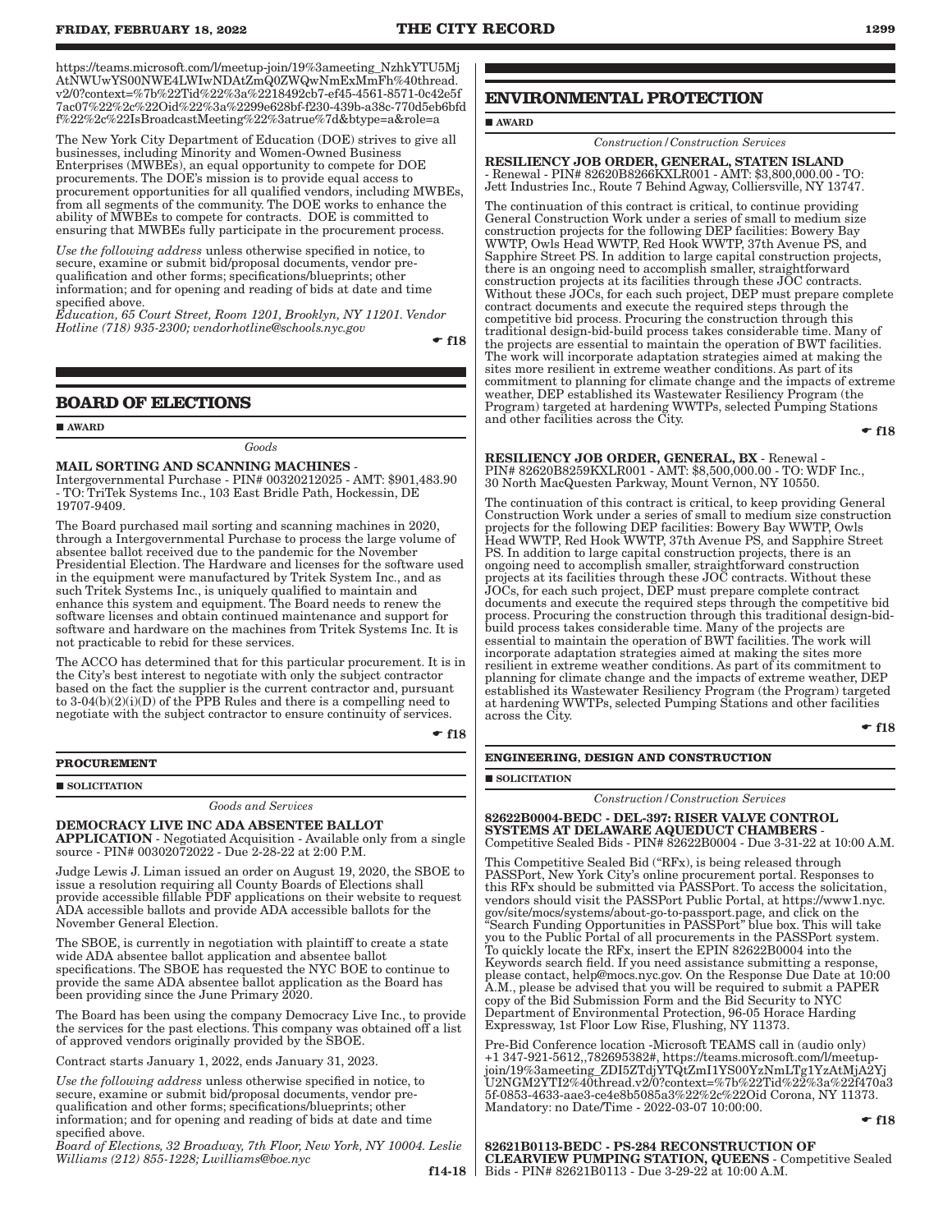The New York City Department of Education (DOE) strives to give all businesses, including Minority and Women-Owned Business Enterprises (MWBEs), an equal opportunity to compete for DOE procurements. The DOE's mission is to provide equal access to procurement opportunities for all qualified vendors, including MWBEs, from all segments of the community. The DOE works to enhance the ability of MWBEs to compete for contracts. DOE is committed to ensuring that MWBEs fully participate in the procurement process.

*Use the following address* unless otherwise specified in notice, to secure, examine or submit bid/proposal documents, vendor prequalification and other forms; specifications/blueprints; other information; and for opening and reading of bids at date and time specified above.

*Education, 65 Court Street, Room 1201, Brooklyn, NY 11201. Vendor Hotline (718) 935-2300; vendorhotline@schools.nyc.gov*

 $\div$  f18

### **BOARD OF ELECTIONS**

**AWARD** 

*Goods*

MAIL SORTING AND SCANNING MACHINES Intergovernmental Purchase - PIN# 00320212025 - AMT: \$901,483.90 - TO: TriTek Systems Inc., 103 East Bridle Path, Hockessin, DE 19707-9409.

The Board purchased mail sorting and scanning machines in 2020, through a Intergovernmental Purchase to process the large volume of absentee ballot received due to the pandemic for the November Presidential Election. The Hardware and licenses for the software used in the equipment were manufactured by Tritek System Inc., and as such Tritek Systems Inc., is uniquely qualified to maintain and enhance this system and equipment. The Board needs to renew the software licenses and obtain continued maintenance and support for software and hardware on the machines from Tritek Systems Inc. It is not practicable to rebid for these services.

The ACCO has determined that for this particular procurement. It is in the City's best interest to negotiate with only the subject contractor based on the fact the supplier is the current contractor and, pursuant to  $3-04(b)(2)(i)(D)$  of the PPB Rules and there is a compelling need to negotiate with the subject contractor to ensure continuity of services.

 $\div$  f18

#### **PROCUREMENT**

**SOLICITATION** 

*Goods and Services*

#### DEMOCRACY LIVE INC ADA ABSENTEE BALLOT

APPLICATION - Negotiated Acquisition - Available only from a single source - PIN# 00302072022 - Due 2-28-22 at 2:00 P.M.

Judge Lewis J. Liman issued an order on August 19, 2020, the SBOE to issue a resolution requiring all County Boards of Elections shall provide accessible fillable PDF applications on their website to request ADA accessible ballots and provide ADA accessible ballots for the November General Election.

The SBOE, is currently in negotiation with plaintiff to create a state wide ADA absentee ballot application and absentee ballot specifications. The SBOE has requested the NYC BOE to continue to provide the same ADA absentee ballot application as the Board has been providing since the June Primary 2020.

The Board has been using the company Democracy Live Inc., to provide the services for the past elections. This company was obtained off a list of approved vendors originally provided by the SBOE.

Contract starts January 1, 2022, ends January 31, 2023.

*Use the following address* unless otherwise specified in notice, to secure, examine or submit bid/proposal documents, vendor prequalification and other forms; specifications/blueprints; other information; and for opening and reading of bids at date and time specified above.

*Board of Elections, 32 Broadway, 7th Floor, New York, NY 10004. Leslie Williams (212) 855-1228; Lwilliams@boe.nyc*

 $f14-18$ 

# **ENVIRONMENTAL PROTECTION**

#### **AWARD**

*Construction/Construction Services*

RESILIENCY JOB ORDER, GENERAL, STATEN ISLAND - Renewal - PIN# 82620B8266KXLR001 - AMT: \$3,800,000.00 - TO: Jett Industries Inc., Route 7 Behind Agway, Colliersville, NY 13747.

The continuation of this contract is critical, to continue providing General Construction Work under a series of small to medium size construction projects for the following DEP facilities: Bowery Bay WWTP, Owls Head WWTP, Red Hook WWTP, 37th Avenue PS, and Sapphire Street PS. In addition to large capital construction projects, there is an ongoing need to accomplish smaller, straightforward construction projects at its facilities through these JOC contracts. Without these JOCs, for each such project, DEP must prepare complete contract documents and execute the required steps through the competitive bid process. Procuring the construction through this traditional design-bid-build process takes considerable time. Many of the projects are essential to maintain the operation of BWT facilities. The work will incorporate adaptation strategies aimed at making the sites more resilient in extreme weather conditions. As part of its commitment to planning for climate change and the impacts of extreme weather, DEP established its Wastewater Resiliency Program (the Program) targeted at hardening WWTPs, selected Pumping Stations and other facilities across the City.

 $-$ f18

# RESILIENCY JOB ORDER, GENERAL, BX - Renewal -

PIN# 82620B8259KXLR001 - AMT: \$8,500,000.00 - TO: WDF Inc., 30 North MacQuesten Parkway, Mount Vernon, NY 10550.

The continuation of this contract is critical, to keep providing General Construction Work under a series of small to medium size construction projects for the following DEP facilities: Bowery Bay WWTP, Owls Head WWTP, Red Hook WWTP, 37th Avenue PS, and Sapphire Street PS. In addition to large capital construction projects, there is an ongoing need to accomplish smaller, straightforward construction projects at its facilities through these JOC contracts. Without these JOCs, for each such project, DEP must prepare complete contract documents and execute the required steps through the competitive bid process. Procuring the construction through this traditional design-bidbuild process takes considerable time. Many of the projects are essential to maintain the operation of BWT facilities. The work will incorporate adaptation strategies aimed at making the sites more resilient in extreme weather conditions. As part of its commitment to planning for climate change and the impacts of extreme weather, DEP established its Wastewater Resiliency Program (the Program) targeted at hardening WWTPs, selected Pumping Stations and other facilities across the City.

 $-$ f18

#### **ENGINEERING, DESIGN AND CONSTRUCTION**

**SOLICITATION** 

*Construction/Construction Services*

82622B0004-BEDC - DEL-397: RISER VALVE CONTROL SYSTEMS AT DELAWARE AQUEDUCT CHAMBERS - Competitive Sealed Bids - PIN# 82622B0004 - Due 3-31-22 at 10:00 A.M.

This Competitive Sealed Bid ("RFx), is being released through PASSPort, New York City's online procurement portal. Responses to this RFx should be submitted via PASSPort. To access the solicitation, vendors should visit the PASSPort Public Portal, at https://www1.nyc. gov/site/mocs/systems/about-go-to-passport.page, and click on the "Search Funding Opportunities in PASSPort" blue box. This will take you to the Public Portal of all procurements in the PASSPort system. To quickly locate the RFx, insert the EPIN 82622B0004 into the Keywords search field. If you need assistance submitting a response, please contact, help@mocs.nyc.gov. On the Response Due Date at 10:00 A.M., please be advised that you will be required to submit a PAPER copy of the Bid Submission Form and the Bid Security to NYC Department of Environmental Protection, 96-05 Horace Harding Expressway, 1st Floor Low Rise, Flushing, NY 11373.

Pre-Bid Conference location -Microsoft TEAMS call in (audio only) +1 347-921-5612,,782695382#, https://teams.microsoft.com/l/meetupjoin/19%3ameeting\_ZDI5ZTdjYTQtZmI1YS00YzNmLTg1YzAtMjA2Yj U2NGM2YTI2%40thread.v2/0?context=%7b%22Tid%22%3a%22f470a3 5f-0853-4633-aae3-ce4e8b5085a3%22%2c%22Oid Corona, NY 11373. Mandatory: no Date/Time - 2022-03-07 10:00:00.

 $-$ f18

82621B0113-BEDC - PS-284 RECONSTRUCTION OF CLEARVIEW PUMPING STATION, QUEENS - Competitive Sealed Bids - PIN# 82621B0113 - Due 3-29-22 at 10:00 A.M.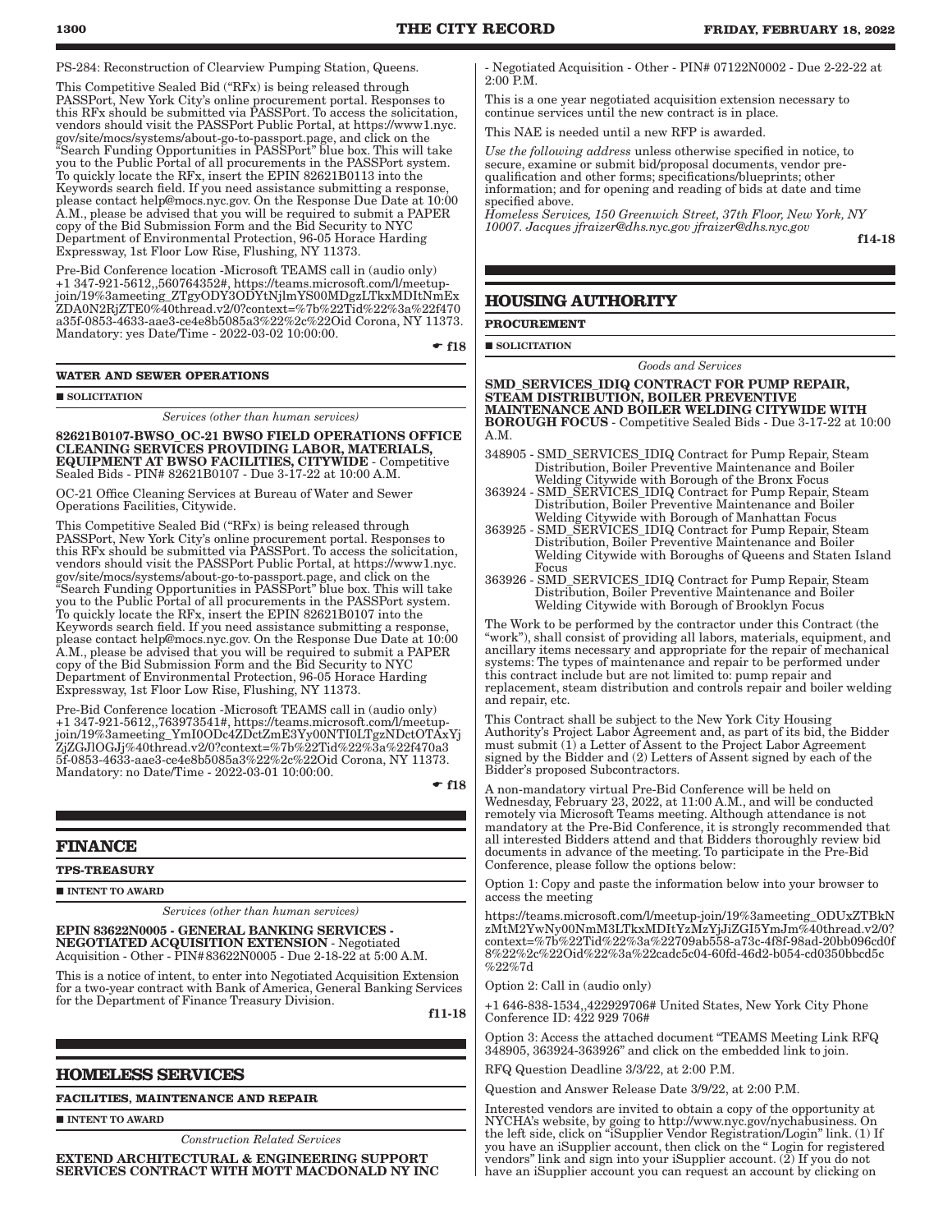PS-284: Reconstruction of Clearview Pumping Station, Queens.

This Competitive Sealed Bid ("RFx) is being released through PASSPort, New York City's online procurement portal. Responses to this RFx should be submitted via PASSPort. To access the solicitation, vendors should visit the PASSPort Public Portal, at https://www1.nyc. gov/site/mocs/systems/about-go-to-passport.page, and click on the "Search Funding Opportunities in PASSPort" blue box. This will take you to the Public Portal of all procurements in the PASSPort system. To quickly locate the RFx, insert the EPIN 82621B0113 into the Keywords search field. If you need assistance submitting a response, please contact help@mocs.nyc.gov. On the Response Due Date at 10:00 A.M., please be advised that you will be required to submit a PAPER copy of the Bid Submission Form and the Bid Security to NYC Department of Environmental Protection, 96-05 Horace Harding Expressway, 1st Floor Low Rise, Flushing, NY 11373.

Pre-Bid Conference location -Microsoft TEAMS call in (audio only) +1 347-921-5612,,560764352#, https://teams.microsoft.com/l/meetupjoin/19%3ameeting\_ZTgyODY3ODYtNjlmYS00MDgzLTkxMDItNmEx ZDA0N2RjZTE0%40thread.v2/0?context=%7b%22Tid%22%3a%22f470 a35f-0853-4633-aae3-ce4e8b5085a3%22%2c%22Oid Corona, NY 11373. Mandatory: yes Date/Time - 2022-03-02 10:00:00.

 $\div$  f18

#### **WATER AND SEWER OPERATIONS**

**SOLICITATION** 

*Services (other than human services)*

82621B0107-BWSO\_OC-21 BWSO FIELD OPERATIONS OFFICE CLEANING SERVICES PROVIDING LABOR, MATERIALS, EQUIPMENT AT BWSO FACILITIES, CITYWIDE - Competitive Sealed Bids - PIN# 82621B0107 - Due 3-17-22 at 10:00 A.M.

OC-21 Office Cleaning Services at Bureau of Water and Sewer Operations Facilities, Citywide.

This Competitive Sealed Bid ("RFx) is being released through PASSPort, New York City's online procurement portal. Responses to this RFx should be submitted via PASSPort. To access the solicitation, vendors should visit the PASSPort Public Portal, at https://www1.nyc. gov/site/mocs/systems/about-go-to-passport.page, and click on the "Search Funding Opportunities in PASSPort" blue box. This will take you to the Public Portal of all procurements in the PASSPort system. To quickly locate the RFx, insert the EPIN 82621B0107 into the Keywords search field. If you need assistance submitting a response, please contact help@mocs.nyc.gov. On the Response Due Date at 10:00 A.M., please be advised that you will be required to submit a PAPER copy of the Bid Submission Form and the Bid Security to NYC Department of Environmental Protection, 96-05 Horace Harding Expressway, 1st Floor Low Rise, Flushing, NY 11373.

Pre-Bid Conference location -Microsoft TEAMS call in (audio only) +1 347-921-5612,,763973541#, https://teams.microsoft.com/l/meetupjoin/19%3ameeting\_YmI0ODc4ZDctZmE3Yy00NTI0LTgzNDctOTAxYj ZjZGJlOGJj%40thread.v2/0?context=%7b%22Tid%22%3a%22f470a3 5f-0853-4633-aae3-ce4e8b5085a3%22%2c%22Oid Corona, NY 11373. Mandatory: no Date/Time - 2022-03-01 10:00:00.

 $-$ f18

#### **FINANCE**

**TPS-TREASURY**

**INTENT TO AWARD** 

*Services (other than human services)*

EPIN 83622N0005 - GENERAL BANKING SERVICES - NEGOTIATED ACQUISITION EXTENSION - Negotiated Acquisition - Other - PIN#83622N0005 - Due 2-18-22 at 5:00 A.M.

This is a notice of intent, to enter into Negotiated Acquisition Extension for a two-year contract with Bank of America, General Banking Services for the Department of Finance Treasury Division.

f11-18

#### **HOMELESS SERVICES**

**FACILITIES, MAINTENANCE AND REPAIR**

**INTENT TO AWARD** 

*Construction Related Services*

EXTEND ARCHITECTURAL & ENGINEERING SUPPORT SERVICES CONTRACT WITH MOTT MACDONALD NY INC - Negotiated Acquisition - Other - PIN# 07122N0002 - Due 2-22-22 at 2:00 P.M.

This is a one year negotiated acquisition extension necessary to continue services until the new contract is in place.

This NAE is needed until a new RFP is awarded.

*Use the following address* unless otherwise specified in notice, to secure, examine or submit bid/proposal documents, vendor prequalification and other forms; specifications/blueprints; other information; and for opening and reading of bids at date and time specified above.

*Homeless Services, 150 Greenwich Street, 37th Floor, New York, NY 10007. Jacques jfraizer@dhs.nyc.gov jfraizer@dhs.nyc.gov*

f14-18

#### **HOUSING AUTHORITY**

**PROCUREMENT**

SOLICITATION

*Goods and Services*

SMD\_SERVICES\_IDIQ CONTRACT FOR PUMP REPAIR, STEAM DISTRIBUTION, BOILER PREVENTIVE MAINTENANCE AND BOILER WELDING CITYWIDE WITH BOROUGH FOCUS - Competitive Sealed Bids - Due 3-17-22 at 10:00 A.M.

- 348905 SMD\_SERVICES\_IDIQ Contract for Pump Repair, Steam Distribution, Boiler Preventive Maintenance and Boiler Welding Citywide with Borough of the Bronx Focus
- 363924 SMD\_SERVICES\_IDIQ Contract for Pump Repair, Steam Distribution, Boiler Preventive Maintenance and Boiler Welding Citywide with Borough of Manhattan Focus
- 363925 SMD\_SERVICES\_IDIQ Contract for Pump Repair, Steam Distribution, Boiler Preventive Maintenance and Boiler Welding Citywide with Boroughs of Queens and Staten Island Focus
- 363926 SMD\_SERVICES\_IDIQ Contract for Pump Repair, Steam Distribution, Boiler Preventive Maintenance and Boiler Welding Citywide with Borough of Brooklyn Focus

The Work to be performed by the contractor under this Contract (the "work"), shall consist of providing all labors, materials, equipment, and ancillary items necessary and appropriate for the repair of mechanical systems: The types of maintenance and repair to be performed under this contract include but are not limited to: pump repair and replacement, steam distribution and controls repair and boiler welding and repair, etc.

This Contract shall be subject to the New York City Housing Authority's Project Labor Agreement and, as part of its bid, the Bidder must submit (1) a Letter of Assent to the Project Labor Agreement signed by the Bidder and (2) Letters of Assent signed by each of the Bidder's proposed Subcontractors.

A non-mandatory virtual Pre-Bid Conference will be held on Wednesday, February 23, 2022, at 11:00 A.M., and will be conducted remotely via Microsoft Teams meeting. Although attendance is not mandatory at the Pre-Bid Conference, it is strongly recommended that all interested Bidders attend and that Bidders thoroughly review bid documents in advance of the meeting. To participate in the Pre-Bid Conference, please follow the options below:

Option 1: Copy and paste the information below into your browser to access the meeting

https://teams.microsoft.com/l/meetup-join/19%3ameeting\_ODUxZTBkN zMtM2YwNy00NmM3LTkxMDItYzMzYjJiZGI5YmJm%40thread.v2/0? context=%7b%22Tid%22%3a%22709ab558-a73c-4f8f-98ad-20bb096cd0f 8%22%2c%22Oid%22%3a%22cadc5c04-60fd-46d2-b054-cd0350bbcd5c %22%7d

Option 2: Call in (audio only)

+1 646-838-1534,,422929706# United States, New York City Phone Conference ID: 422 929 706#

Option 3: Access the attached document "TEAMS Meeting Link RFQ 348905, 363924-363926" and click on the embedded link to join.

RFQ Question Deadline 3/3/22, at 2:00 P.M.

Question and Answer Release Date 3/9/22, at 2:00 P.M.

Interested vendors are invited to obtain a copy of the opportunity at NYCHA's website, by going to http://www.nyc.gov/nychabusiness. On the left side, click on "iSupplier Vendor Registration/Login" link. (1) If you have an iSupplier account, then click on the " Login for registered vendors" link and sign into your iSupplier account. (2) If you do not have an iSupplier account you can request an account by clicking on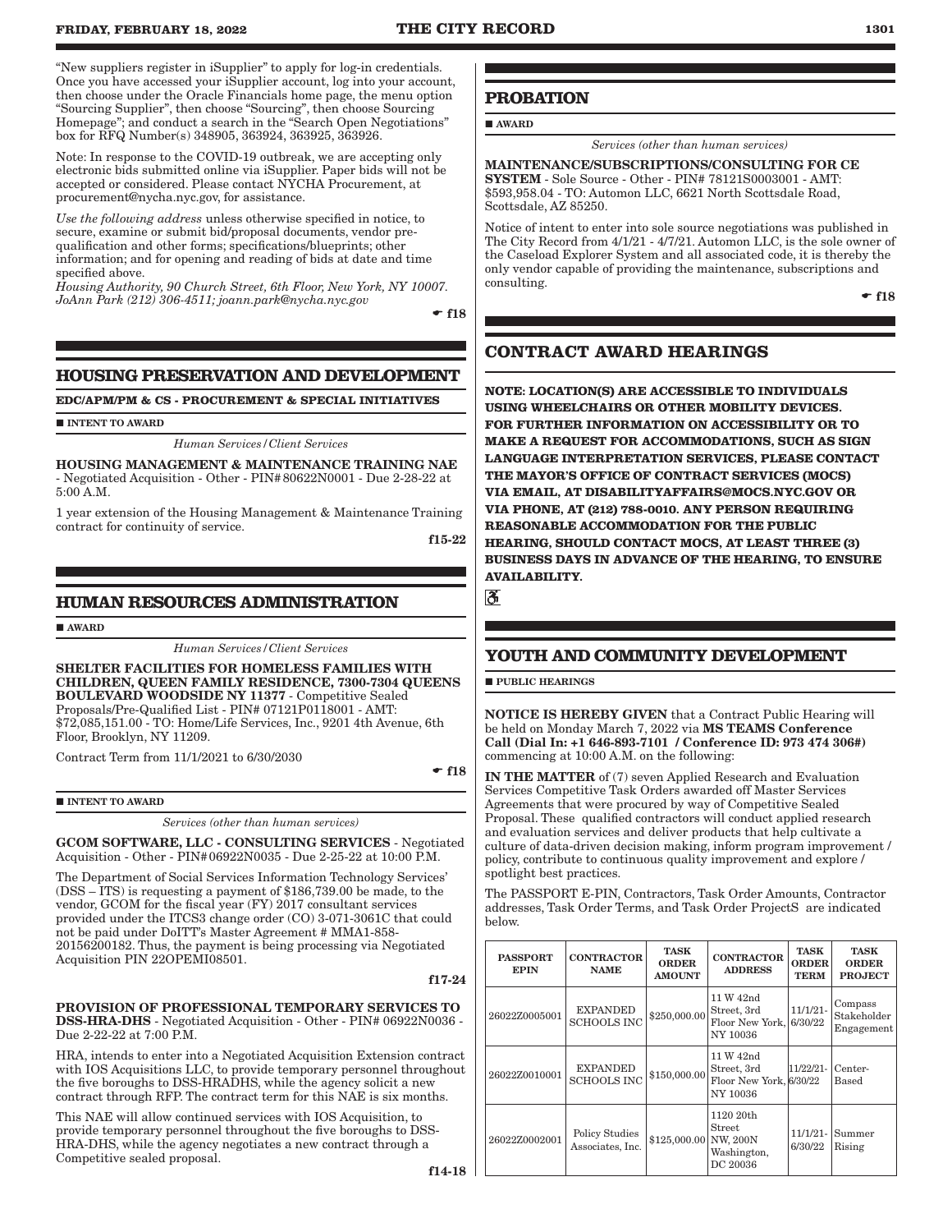"New suppliers register in iSupplier" to apply for log-in credentials. Once you have accessed your iSupplier account, log into your account, then choose under the Oracle Financials home page, the menu option "Sourcing Supplier", then choose "Sourcing", then choose Sourcing Homepage"; and conduct a search in the "Search Open Negotiations" box for RFQ Number(s) 348905, 363924, 363925, 363926.

Note: In response to the COVID-19 outbreak, we are accepting only electronic bids submitted online via iSupplier. Paper bids will not be accepted or considered. Please contact NYCHA Procurement, at procurement@nycha.nyc.gov, for assistance.

*Use the following address* unless otherwise specified in notice, to secure, examine or submit bid/proposal documents, vendor prequalification and other forms; specifications/blueprints; other information; and for opening and reading of bids at date and time specified above.

*Housing Authority, 90 Church Street, 6th Floor, New York, NY 10007. JoAnn Park (212) 306-4511; joann.park@nycha.nyc.gov*

 $\div$  f18

# **HOUSING PRESERVATION AND DEVELOPMENT**

**EDC/APM/PM & CS - PROCUREMENT & SPECIAL INITIATIVES**

**INTENT TO AWARD** 

*Human Services/Client Services*

HOUSING MANAGEMENT & MAINTENANCE TRAINING NAE - Negotiated Acquisition - Other - PIN#80622N0001 - Due 2-28-22 at 5:00 A.M.

1 year extension of the Housing Management & Maintenance Training contract for continuity of service.

f15-22

### **HUMAN RESOURCES ADMINISTRATION**

**AWARD** 

*Human Services/Client Services*

SHELTER FACILITIES FOR HOMELESS FAMILIES WITH CHILDREN, QUEEN FAMILY RESIDENCE, 7300-7304 QUEENS BOULEVARD WOODSIDE NY 11377 - Competitive Sealed Proposals/Pre-Qualified List - PIN# 07121P0118001 - AMT: \$72,085,151.00 - TO: Home/Life Services, Inc., 9201 4th Avenue, 6th Floor, Brooklyn, NY 11209.

Contract Term from 11/1/2021 to 6/30/2030

 $\div$ f18

#### $\blacksquare$  INTENT TO AWARD

*Services (other than human services)*

GCOM SOFTWARE, LLC - CONSULTING SERVICES - Negotiated Acquisition - Other - PIN#06922N0035 - Due 2-25-22 at 10:00 P.M.

The Department of Social Services Information Technology Services' (DSS – ITS) is requesting a payment of \$186,739.00 be made, to the vendor, GCOM for the fiscal year (FY) 2017 consultant services provided under the ITCS3 change order (CO) 3-071-3061C that could not be paid under DoITT's Master Agreement # MMA1-858- 20156200182. Thus, the payment is being processing via Negotiated Acquisition PIN 22OPEMI08501.

f17-24

PROVISION OF PROFESSIONAL TEMPORARY SERVICES TO DSS-HRA-DHS - Negotiated Acquisition - Other - PIN# 06922N0036 - Due 2-22-22 at 7:00 P.M.

HRA, intends to enter into a Negotiated Acquisition Extension contract with IOS Acquisitions LLC, to provide temporary personnel throughout the five boroughs to DSS-HRADHS, while the agency solicit a new contract through RFP. The contract term for this NAE is six months.

This NAE will allow continued services with IOS Acquisition, to provide temporary personnel throughout the five boroughs to DSS-HRA-DHS, while the agency negotiates a new contract through a Competitive sealed proposal.

# **PROBATION**

AWARD

*Services (other than human services)*

MAINTENANCE/SUBSCRIPTIONS/CONSULTING FOR CE SYSTEM - Sole Source - Other - PIN# 78121S0003001 - AMT: \$593,958.04 - TO: Automon LLC, 6621 North Scottsdale Road, Scottsdale, AZ 85250.

Notice of intent to enter into sole source negotiations was published in The City Record from 4/1/21 - 4/7/21. Automon LLC, is the sole owner of the Caseload Explorer System and all associated code, it is thereby the only vendor capable of providing the maintenance, subscriptions and consulting.

 $-$ f18

# **CONTRACT AWARD HEARINGS**

**NOTE: LOCATION(S) ARE ACCESSIBLE TO INDIVIDUALS USING WHEELCHAIRS OR OTHER MOBILITY DEVICES. FOR FURTHER INFORMATION ON ACCESSIBILITY OR TO MAKE A REQUEST FOR ACCOMMODATIONS, SUCH AS SIGN LANGUAGE INTERPRETATION SERVICES, PLEASE CONTACT THE MAYOR'S OFFICE OF CONTRACT SERVICES (MOCS) VIA EMAIL, AT DISABILITYAFFAIRS@MOCS.NYC.GOV OR VIA PHONE, AT (212) 788-0010. ANY PERSON REQUIRING REASONABLE ACCOMMODATION FOR THE PUBLIC HEARING, SHOULD CONTACT MOCS, AT LEAST THREE (3) BUSINESS DAYS IN ADVANCE OF THE HEARING, TO ENSURE AVAILABILITY.**

 $\overline{\mathbf{c}}$ 

# **YOUTH AND COMMUNITY DEVELOPMENT**

**PUBLIC HEARINGS** 

NOTICE IS HEREBY GIVEN that a Contract Public Hearing will be held on Monday March 7, 2022 via MS TEAMS Conference Call (Dial In: +1 646-893-7101 / Conference ID: 973 474 306#) commencing at 10:00 A.M. on the following:

IN THE MATTER of (7) seven Applied Research and Evaluation Services Competitive Task Orders awarded off Master Services Agreements that were procured by way of Competitive Sealed Proposal. These qualified contractors will conduct applied research and evaluation services and deliver products that help cultivate a culture of data-driven decision making, inform program improvement / policy, contribute to continuous quality improvement and explore / spotlight best practices.

The PASSPORT E-PIN, Contractors, Task Order Amounts, Contractor addresses, Task Order Terms, and Task Order ProjectS are indicated below.

| <b>PASSPORT</b><br><b>EPIN</b> | <b>CONTRACTOR</b><br><b>NAME</b>          | <b>TASK</b><br><b>ORDER</b><br><b>AMOUNT</b> | <b>CONTRACTOR</b><br><b>ADDRESS</b>                             | <b>TASK</b><br><b>ORDER</b><br><b>TERM</b> | <b>TASK</b><br><b>ORDER</b><br><b>PROJECT</b> |
|--------------------------------|-------------------------------------------|----------------------------------------------|-----------------------------------------------------------------|--------------------------------------------|-----------------------------------------------|
| 26022Z0005001                  | <b>EXPANDED</b><br><b>SCHOOLS INC</b>     | \$250,000.00                                 | 11 W 42nd<br>Street, 3rd<br>Floor New York,<br>NY 10036         | $11/1/21-$<br>6/30/22                      | Compass<br>Stakeholder<br>Engagement          |
| 26022Z0010001                  | <b>EXPANDED</b><br><b>SCHOOLS INC</b>     | \$150,000.00                                 | 11 W 42nd<br>Street, 3rd<br>Floor New York, 6/30/22<br>NY 10036 | $11/22/21-$                                | Center-<br>$_{\rm Based}$                     |
| 26022Z0002001                  | <b>Policy Studies</b><br>Associates, Inc. | \$125,000.00 NW, 200N                        | 1120 20th<br><b>Street</b><br>Washington,<br>DC 20036           | $11/1/21-$<br>6/30/22                      | Summer<br>Rising                              |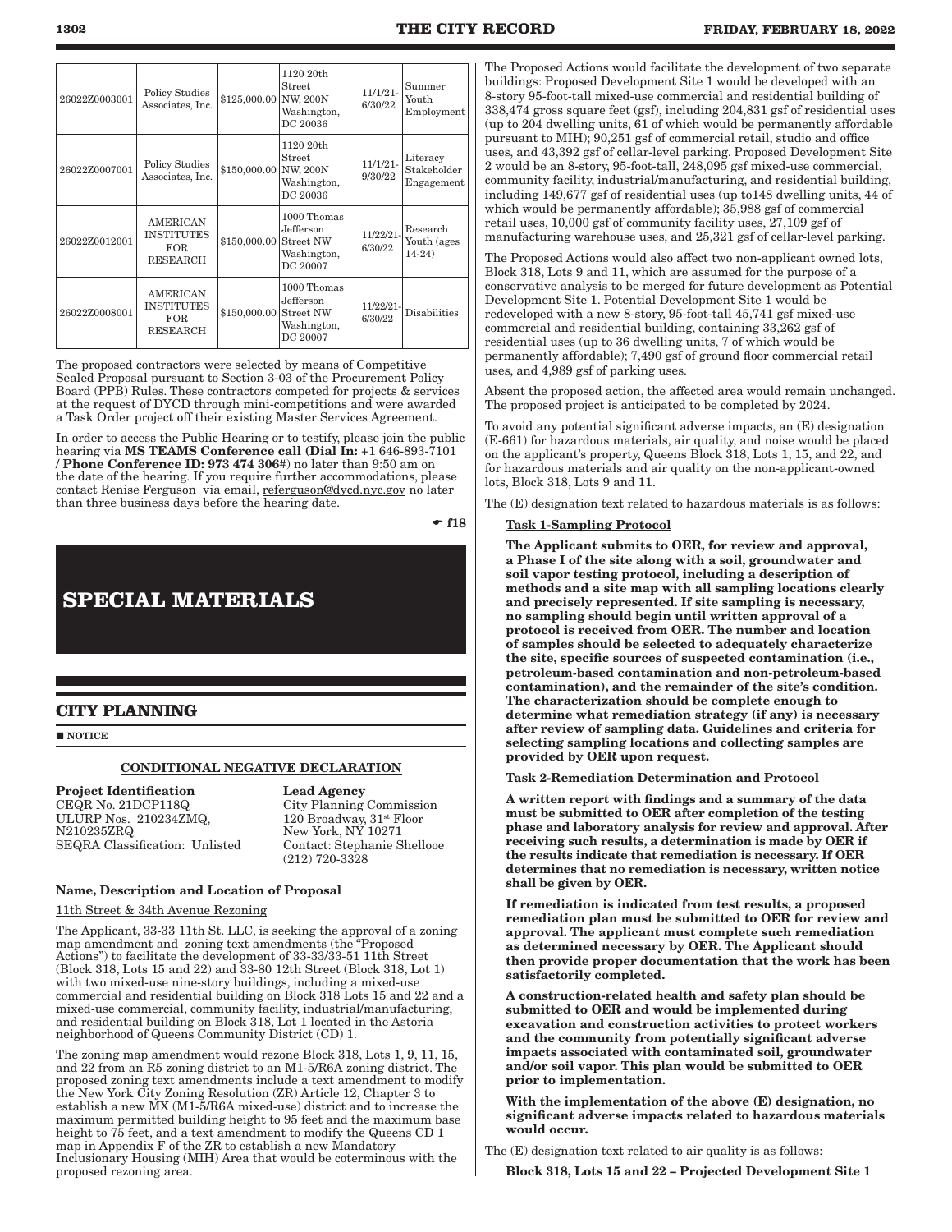| 26022Z0003001 | <b>Policy Studies</b><br>Associates, Inc.                             | \$125,000.00 | 1120 20th<br><b>Street</b><br> NW, 200N<br>Washington,<br>DC 20036      | $11/1/21-$<br>6/30/22   | Summer<br>Youth<br>Employment         |
|---------------|-----------------------------------------------------------------------|--------------|-------------------------------------------------------------------------|-------------------------|---------------------------------------|
| 26022Z0007001 | <b>Policy Studies</b><br>Associates, Inc.                             | \$150,000.00 | 1120 20th<br><b>Street</b><br>NW, 200N<br>Washington,<br>DC 20036       | $11/1/21-$<br>9/30/22   | Literacy<br>Stakeholder<br>Engagement |
| 26022Z0012001 | <b>AMERICAN</b><br><b>INSTITUTES</b><br>FOR<br><b>RESEARCH</b>        | \$150,000.00 | 1000 Thomas<br>Jefferson<br><b>Street NW</b><br>Washington,<br>DC 20007 | 11/22/21-<br>6/30/22    | Research<br>Youth (ages<br>$14-24)$   |
| 26022Z0008001 | <b>AMERICAN</b><br><b>INSTITUTES</b><br><b>FOR</b><br><b>RESEARCH</b> | \$150,000.00 | 1000 Thomas<br>Jefferson<br><b>Street NW</b><br>Washington,<br>DC 20007 | $11/22/21$ -<br>6/30/22 | <b>Disabilities</b>                   |

The proposed contractors were selected by means of Competitive Sealed Proposal pursuant to Section 3-03 of the Procurement Policy Board (PPB) Rules. These contractors competed for projects & services at the request of DYCD through mini-competitions and were awarded a Task Order project off their existing Master Services Agreement.

In order to access the Public Hearing or to testify, please join the public hearing via MS TEAMS Conference call (Dial In: +1 646-893-7101 / Phone Conference ID: 973 474 306#) no later than 9:50 am on the date of the hearing. If you require further accommodations, please contact Renise Ferguson via email, referguson@dycd.nyc.gov no later than three business days before the hearing date.

 $-$ f18

# **SPECIAL MATERIALS**

# **CITY PLANNING**

**NOTICE** 

# CONDITIONAL NEGATIVE DECLARATION

**Project Identification** Lead Agency<br>CEQR No. 21DCP118Q City Planning ULURP Nos. 210234ZMQ, N210235ZRQ SEQRA Classification: Unlisted Contact: Stephanie Shellooe

City Planning Commission 120 Broadway, 31st Floor New York, NY 10271 (212) 720-3328

#### Name, Description and Location of Proposal

11th Street & 34th Avenue Rezoning

The Applicant, 33-33 11th St. LLC, is seeking the approval of a zoning map amendment and zoning text amendments (the "Proposed Actions") to facilitate the development of 33-33/33-51 11th Street (Block 318, Lots 15 and 22) and 33-80 12th Street (Block 318, Lot 1) with two mixed-use nine-story buildings, including a mixed-use commercial and residential building on Block 318 Lots 15 and 22 and a mixed-use commercial, community facility, industrial/manufacturing, and residential building on Block 318, Lot 1 located in the Astoria neighborhood of Queens Community District (CD) 1.

The zoning map amendment would rezone Block 318, Lots 1, 9, 11, 15, and 22 from an R5 zoning district to an M1-5/R6A zoning district. The proposed zoning text amendments include a text amendment to modify the New York City Zoning Resolution (ZR) Article 12, Chapter 3 to establish a new MX (M1-5/R6A mixed-use) district and to increase the maximum permitted building height to 95 feet and the maximum base height to 75 feet, and a text amendment to modify the Queens CD 1 map in Appendix F of the ZR to establish a new Mandatory Inclusionary Housing (MIH) Area that would be coterminous with the proposed rezoning area.

The Proposed Actions would facilitate the development of two separate buildings: Proposed Development Site 1 would be developed with an 8-story 95-foot-tall mixed-use commercial and residential building of 338,474 gross square feet (gsf), including 204,831 gsf of residential uses (up to 204 dwelling units, 61 of which would be permanently affordable pursuant to MIH); 90,251 gsf of commercial retail, studio and office uses, and 43,392 gsf of cellar-level parking. Proposed Development Site 2 would be an 8-story, 95-foot-tall, 248,095 gsf mixed-use commercial, community facility, industrial/manufacturing, and residential building, including 149,677 gsf of residential uses (up to148 dwelling units, 44 of which would be permanently affordable); 35,988 gsf of commercial retail uses, 10,000 gsf of community facility uses, 27,109 gsf of manufacturing warehouse uses, and 25,321 gsf of cellar-level parking.

The Proposed Actions would also affect two non-applicant owned lots, Block 318, Lots 9 and 11, which are assumed for the purpose of a conservative analysis to be merged for future development as Potential Development Site 1. Potential Development Site 1 would be redeveloped with a new 8-story, 95-foot-tall 45,741 gsf mixed-use commercial and residential building, containing 33,262 gsf of residential uses (up to 36 dwelling units, 7 of which would be permanently affordable); 7,490 gsf of ground floor commercial retail uses, and 4,989 gsf of parking uses.

Absent the proposed action, the affected area would remain unchanged. The proposed project is anticipated to be completed by 2024.

To avoid any potential significant adverse impacts, an (E) designation (E-661) for hazardous materials, air quality, and noise would be placed on the applicant's property, Queens Block 318, Lots 1, 15, and 22, and for hazardous materials and air quality on the non-applicant-owned lots, Block 318, Lots 9 and 11.

The (E) designation text related to hazardous materials is as follows:

#### Task 1-Sampling Protocol

The Applicant submits to OER, for review and approval, a Phase I of the site along with a soil, groundwater and soil vapor testing protocol, including a description of methods and a site map with all sampling locations clearly and precisely represented. If site sampling is necessary, no sampling should begin until written approval of a protocol is received from OER. The number and location of samples should be selected to adequately characterize the site, specific sources of suspected contamination (i.e., petroleum-based contamination and non-petroleum-based contamination), and the remainder of the site's condition. The characterization should be complete enough to determine what remediation strategy (if any) is necessary after review of sampling data. Guidelines and criteria for selecting sampling locations and collecting samples are provided by OER upon request.

#### Task 2-Remediation Determination and Protocol

A written report with findings and a summary of the data must be submitted to OER after completion of the testing phase and laboratory analysis for review and approval. After receiving such results, a determination is made by OER if the results indicate that remediation is necessary. If OER determines that no remediation is necessary, written notice shall be given by OER.

If remediation is indicated from test results, a proposed remediation plan must be submitted to OER for review and approval. The applicant must complete such remediation as determined necessary by OER. The Applicant should then provide proper documentation that the work has been satisfactorily completed.

A construction-related health and safety plan should be submitted to OER and would be implemented during excavation and construction activities to protect workers and the community from potentially significant adverse impacts associated with contaminated soil, groundwater and/or soil vapor. This plan would be submitted to OER prior to implementation.

With the implementation of the above (E) designation, no significant adverse impacts related to hazardous materials would occur.

The (E) designation text related to air quality is as follows:

Block 318, Lots 15 and 22 – Projected Development Site 1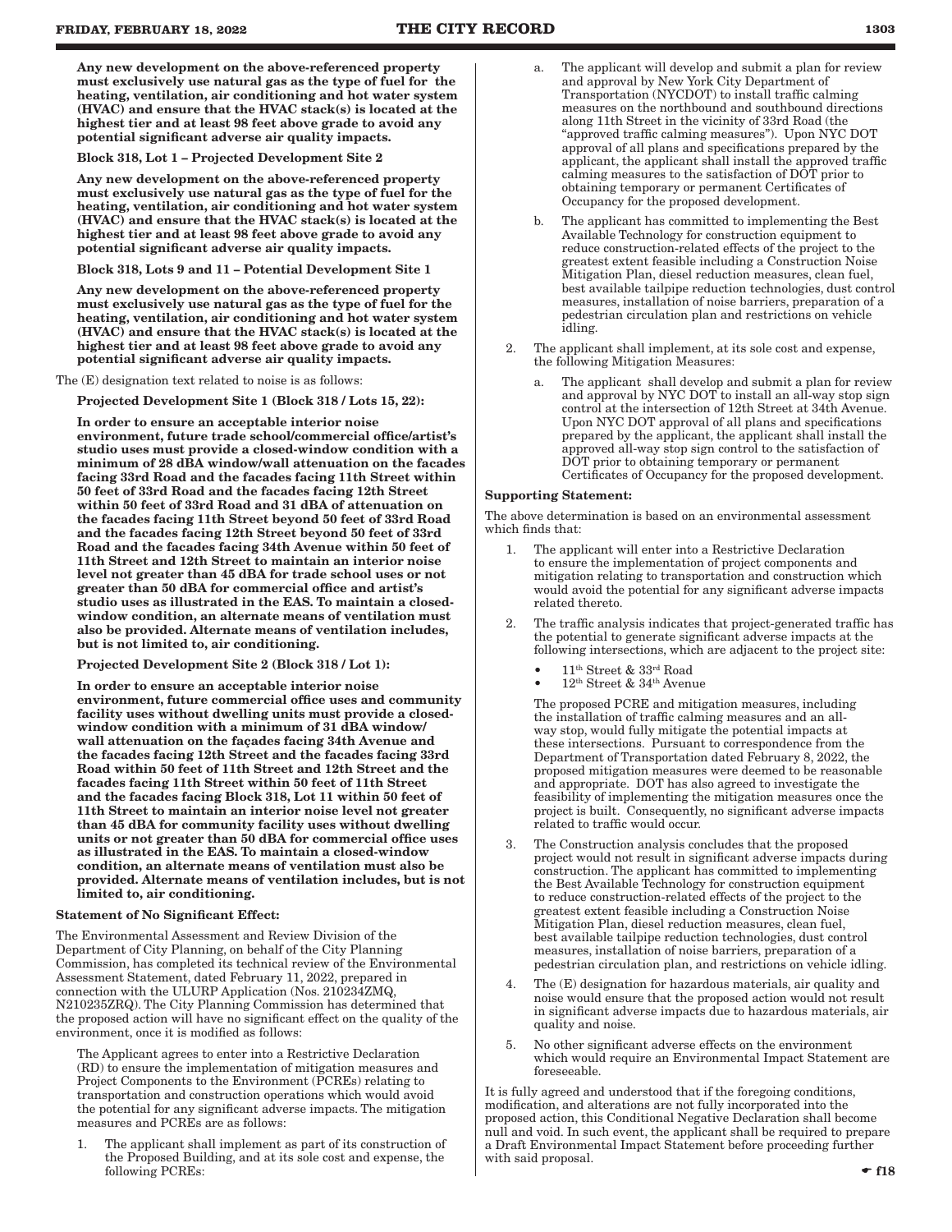Any new development on the above‐referenced property must exclusively use natural gas as the type of fuel for the heating, ventilation, air conditioning and hot water system (HVAC) and ensure that the HVAC stack(s) is located at the highest tier and at least 98 feet above grade to avoid any potential significant adverse air quality impacts.

Block 318, Lot 1 – Projected Development Site 2

Any new development on the above‐referenced property must exclusively use natural gas as the type of fuel for the heating, ventilation, air conditioning and hot water system (HVAC) and ensure that the HVAC stack(s) is located at the highest tier and at least 98 feet above grade to avoid any potential significant adverse air quality impacts.

Block 318, Lots 9 and 11 – Potential Development Site 1

Any new development on the above‐referenced property must exclusively use natural gas as the type of fuel for the heating, ventilation, air conditioning and hot water system (HVAC) and ensure that the HVAC stack(s) is located at the highest tier and at least 98 feet above grade to avoid any potential significant adverse air quality impacts.

The (E) designation text related to noise is as follows:

Projected Development Site 1 (Block 318 / Lots 15, 22):

In order to ensure an acceptable interior noise environment, future trade school/commercial office/artist's studio uses must provide a closed-window condition with a minimum of 28 dBA window/wall attenuation on the facades facing 33rd Road and the facades facing 11th Street within 50 feet of 33rd Road and the facades facing 12th Street within 50 feet of 33rd Road and 31 dBA of attenuation on the facades facing 11th Street beyond 50 feet of 33rd Road and the facades facing 12th Street beyond 50 feet of 33rd Road and the facades facing 34th Avenue within 50 feet of 11th Street and 12th Street to maintain an interior noise level not greater than 45 dBA for trade school uses or not greater than 50 dBA for commercial office and artist's studio uses as illustrated in the EAS. To maintain a closedwindow condition, an alternate means of ventilation must also be provided. Alternate means of ventilation includes, but is not limited to, air conditioning.

Projected Development Site 2 (Block 318 / Lot 1):

In order to ensure an acceptable interior noise environment, future commercial office uses and community facility uses without dwelling units must provide a closedwindow condition with a minimum of 31 dBA window/ wall attenuation on the façades facing 34th Avenue and the facades facing 12th Street and the facades facing 33rd Road within 50 feet of 11th Street and 12th Street and the facades facing 11th Street within 50 feet of 11th Street and the facades facing Block 318, Lot 11 within 50 feet of 11th Street to maintain an interior noise level not greater than 45 dBA for community facility uses without dwelling units or not greater than 50 dBA for commercial office uses as illustrated in the EAS. To maintain a closed-window condition, an alternate means of ventilation must also be provided. Alternate means of ventilation includes, but is not limited to, air conditioning.

#### Statement of No Significant Effect:

The Environmental Assessment and Review Division of the Department of City Planning, on behalf of the City Planning Commission, has completed its technical review of the Environmental Assessment Statement, dated February 11, 2022, prepared in connection with the ULURP Application (Nos. 210234ZMQ, N210235ZRQ). The City Planning Commission has determined that the proposed action will have no significant effect on the quality of the environment, once it is modified as follows:

The Applicant agrees to enter into a Restrictive Declaration (RD) to ensure the implementation of mitigation measures and Project Components to the Environment (PCREs) relating to transportation and construction operations which would avoid the potential for any significant adverse impacts. The mitigation measures and PCREs are as follows:

1. The applicant shall implement as part of its construction of the Proposed Building, and at its sole cost and expense, the following PCREs:

- The applicant will develop and submit a plan for review and approval by New York City Department of Transportation (NYCDOT) to install traffic calming measures on the northbound and southbound directions along 11th Street in the vicinity of 33rd Road (the "approved traffic calming measures"). Upon NYC DOT approval of all plans and specifications prepared by the applicant, the applicant shall install the approved traffic calming measures to the satisfaction of DOT prior to obtaining temporary or permanent Certificates of Occupancy for the proposed development.
- b. The applicant has committed to implementing the Best Available Technology for construction equipment to reduce construction-related effects of the project to the greatest extent feasible including a Construction Noise Mitigation Plan, diesel reduction measures, clean fuel, best available tailpipe reduction technologies, dust control measures, installation of noise barriers, preparation of a pedestrian circulation plan and restrictions on vehicle idling.
- 2. The applicant shall implement, at its sole cost and expense, the following Mitigation Measures:
	- a. The applicant shall develop and submit a plan for review and approval by NYC DOT to install an all-way stop sign control at the intersection of 12th Street at 34th Avenue. Upon NYC DOT approval of all plans and specifications prepared by the applicant, the applicant shall install the approved all-way stop sign control to the satisfaction of DOT prior to obtaining temporary or permanent Certificates of Occupancy for the proposed development.

#### Supporting Statement:

The above determination is based on an environmental assessment which finds that:

- The applicant will enter into a Restrictive Declaration to ensure the implementation of project components and mitigation relating to transportation and construction which would avoid the potential for any significant adverse impacts related thereto.
- The traffic analysis indicates that project-generated traffic has the potential to generate significant adverse impacts at the following intersections, which are adjacent to the project site:
	- 11th Street & 33rd Road
	- $12^{\rm th}$ Street &  $34^{\rm th}$  Avenue

The proposed PCRE and mitigation measures, including the installation of traffic calming measures and an allway stop, would fully mitigate the potential impacts at these intersections. Pursuant to correspondence from the Department of Transportation dated February 8, 2022, the proposed mitigation measures were deemed to be reasonable and appropriate. DOT has also agreed to investigate the feasibility of implementing the mitigation measures once the project is built. Consequently, no significant adverse impacts related to traffic would occur.

- 3. The Construction analysis concludes that the proposed project would not result in significant adverse impacts during construction. The applicant has committed to implementing the Best Available Technology for construction equipment to reduce construction-related effects of the project to the greatest extent feasible including a Construction Noise Mitigation Plan, diesel reduction measures, clean fuel, best available tailpipe reduction technologies, dust control measures, installation of noise barriers, preparation of a pedestrian circulation plan, and restrictions on vehicle idling.
- The (E) designation for hazardous materials, air quality and noise would ensure that the proposed action would not result in significant adverse impacts due to hazardous materials, air quality and noise.
- 5. No other significant adverse effects on the environment which would require an Environmental Impact Statement are foreseeable.

It is fully agreed and understood that if the foregoing conditions, modification, and alterations are not fully incorporated into the proposed action, this Conditional Negative Declaration shall become null and void. In such event, the applicant shall be required to prepare a Draft Environmental Impact Statement before proceeding further with said proposal.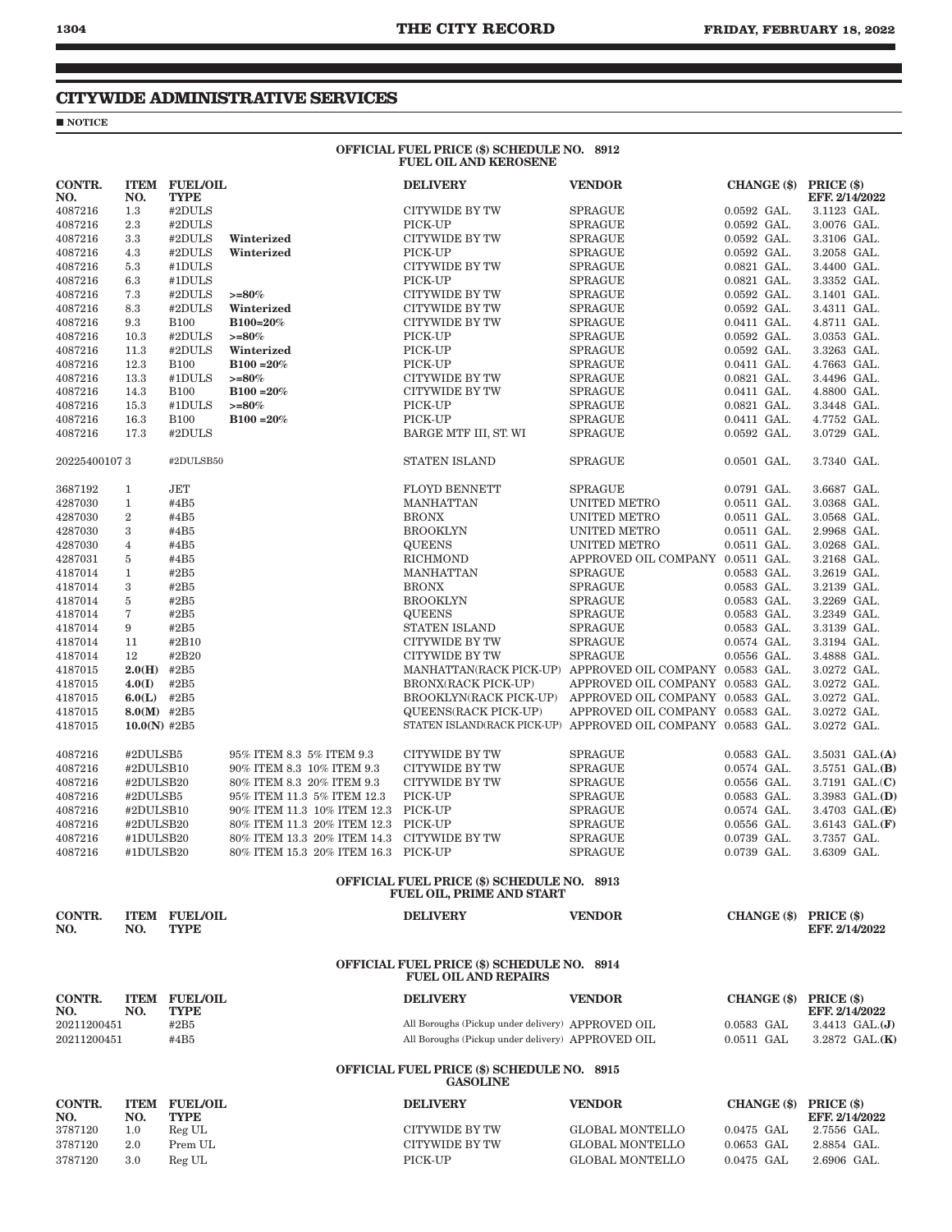# **CITYWIDE ADMINISTRATIVE SERVICES**

# $\sqrt{\phantom{a}}$ NOTICE

#### OFFICIAL FUEL PRICE (\$) SCHEDULE NO. 8912 FUEL OIL AND KEROSENE

| CONTR.<br>NO.              | NO.            | <b>ITEM FUEL/OIL</b><br><b>TYPE</b> |                             | <b>DELIVERY</b>                                                                                        | <b>VENDOR</b>                    | <b>CHANGE</b> (\$)         | PRICE (\$)<br>EFF. 2/14/2022        |
|----------------------------|----------------|-------------------------------------|-----------------------------|--------------------------------------------------------------------------------------------------------|----------------------------------|----------------------------|-------------------------------------|
| 4087216                    | 1.3            | #2DULS                              |                             | <b>CITYWIDE BY TW</b>                                                                                  | <b>SPRAGUE</b>                   | $0.0592$ GAL.              | 3.1123 GAL.                         |
| 4087216                    | 2.3            | #2DULS                              |                             | PICK-UP                                                                                                | <b>SPRAGUE</b>                   | $0.0592$ GAL.              | 3.0076 GAL.                         |
| 4087216                    | 3.3            | #2DULS                              | Winterized                  | CITYWIDE BY TW                                                                                         | <b>SPRAGUE</b>                   | $0.0592$ GAL.              | 3.3106 GAL.                         |
| 4087216                    | 4.3            | #2DULS                              | Winterized                  | PICK-UP                                                                                                | <b>SPRAGUE</b>                   | $0.0592$ GAL.              | 3.2058 GAL.                         |
| 4087216                    | 5.3            | #1DULS                              |                             | <b>CITYWIDE BY TW</b>                                                                                  | <b>SPRAGUE</b>                   | $0.0821$ GAL.              | 3.4400 GAL.                         |
| 4087216                    | 6.3            | #1DULS                              |                             | PICK-UP                                                                                                | <b>SPRAGUE</b>                   | $0.0821$ GAL.              | 3.3352 GAL.                         |
| 4087216                    | 7.3            | #2DULS                              | $>= 80%$                    | <b>CITYWIDE BY TW</b>                                                                                  | <b>SPRAGUE</b>                   | $0.0592$ GAL.              | 3.1401 GAL.                         |
| 4087216                    | 8.3            | #2DULS                              | Winterized                  | <b>CITYWIDE BY TW</b>                                                                                  | <b>SPRAGUE</b>                   | $0.0592$ GAL.              | 3.4311 GAL.                         |
| 4087216                    | 9.3            | <b>B100</b>                         | B100=20%                    | CITYWIDE BY TW                                                                                         | <b>SPRAGUE</b>                   | $0.0411$ GAL.              | 4.8711 GAL.                         |
| 4087216                    | 10.3           | #2DULS                              | $>= 80%$                    | PICK-UP                                                                                                | <b>SPRAGUE</b>                   | 0.0592 GAL.                | 3.0353 GAL.                         |
| 4087216                    | 11.3           | #2DULS                              | Winterized                  | PICK-UP                                                                                                | <b>SPRAGUE</b>                   | $0.0592$ GAL.              | 3.3263 GAL.                         |
| 4087216                    | 12.3           | <b>B100</b>                         | $B100 = 20%$                | PICK-UP                                                                                                | <b>SPRAGUE</b>                   | 0.0411 GAL.                | 4.7663 GAL.                         |
| 4087216                    | 13.3           | #1DULS                              | $>= 80%$                    | CITYWIDE BY TW                                                                                         | <b>SPRAGUE</b>                   | $0.0821$ GAL.              | 3.4496 GAL.                         |
| 4087216                    | 14.3           | <b>B100</b>                         | $B100 = 20%$                | CITYWIDE BY TW                                                                                         | <b>SPRAGUE</b>                   | 0.0411 GAL.                | 4.8800 GAL.                         |
| 4087216                    | 15.3           | #1DULS                              | $>= 80%$                    | PICK-UP                                                                                                | <b>SPRAGUE</b>                   | $0.0821$ GAL.              | 3.3448 GAL.                         |
| 4087216                    | 16.3           | <b>B100</b>                         | $B100 = 20%$                | PICK-UP                                                                                                | <b>SPRAGUE</b>                   | $0.0411$ GAL.              | 4.7752 GAL.                         |
| 4087216                    | 17.3           | #2DULS                              |                             | BARGE MTF III, ST. WI                                                                                  | <b>SPRAGUE</b>                   | $0.0592$ GAL.              | 3.0729 GAL.                         |
|                            |                |                                     |                             |                                                                                                        |                                  |                            |                                     |
| 202254001073               |                | #2DULSB50                           |                             | STATEN ISLAND                                                                                          | <b>SPRAGUE</b>                   | $0.0501$ GAL.              | 3.7340 GAL.                         |
| 3687192                    | 1              | <b>JET</b>                          |                             | <b>FLOYD BENNETT</b>                                                                                   | <b>SPRAGUE</b>                   | 0.0791 GAL.                | 3.6687 GAL.                         |
| 4287030                    | $\mathbf{1}$   | #4B5                                |                             | <b>MANHATTAN</b>                                                                                       | <b>UNITED METRO</b>              | $0.0511$ GAL.              | 3.0368 GAL.                         |
| 4287030                    | $\overline{2}$ | #4B5                                |                             | <b>BRONX</b>                                                                                           | UNITED METRO                     | $0.0511$ GAL.              | 3.0568 GAL.                         |
| 4287030                    | 3              | #4B5                                |                             | <b>BROOKLYN</b>                                                                                        | UNITED METRO                     | $0.0511$ GAL.              | 2.9968 GAL.                         |
| 4287030                    | $\overline{4}$ | #4B5                                |                             | <b>QUEENS</b>                                                                                          | UNITED METRO                     | 0.0511 GAL.                | 3.0268 GAL.                         |
| 4287031                    | 5              | #4B5                                |                             | <b>RICHMOND</b>                                                                                        | APPROVED OIL COMPANY 0.0511 GAL. |                            | 3.2168 GAL.                         |
| 4187014                    | $\mathbf{1}$   | #2B5                                |                             | <b>MANHATTAN</b>                                                                                       | <b>SPRAGUE</b>                   | $0.0583$ GAL.              | 3.2619 GAL.                         |
| 4187014                    | 3              | #2B5                                |                             | <b>BRONX</b>                                                                                           | <b>SPRAGUE</b>                   | $0.0583$ GAL.              | 3.2139 GAL.                         |
| 4187014                    | 5              | #2B5                                |                             | <b>BROOKLYN</b>                                                                                        | <b>SPRAGUE</b>                   | $0.0583$ GAL.              | 3.2269 GAL.                         |
| 4187014                    | 7              | #2B5                                |                             | <b>QUEENS</b>                                                                                          | <b>SPRAGUE</b>                   | $0.0583$ GAL.              | 3.2349 GAL.                         |
| 4187014                    | 9              | #2B5                                |                             | STATEN ISLAND                                                                                          | <b>SPRAGUE</b>                   | $0.0583$ GAL.              | 3.3139 GAL.                         |
| 4187014                    | 11             | #2B10                               |                             | CITYWIDE BY TW                                                                                         | <b>SPRAGUE</b>                   | 0.0574 GAL.                | 3.3194 GAL.                         |
| 4187014                    | 12             | #2B20                               |                             | CITYWIDE BY TW                                                                                         | <b>SPRAGUE</b>                   | $0.0556$ GAL.              | 3.4888 GAL.                         |
| 4187015                    | $2.0(H)$ #2B5  |                                     |                             | MANHATTAN(RACK PICK-UP) APPROVED OIL COMPANY 0.0583 GAL.                                               |                                  |                            | 3.0272 GAL.                         |
| 4187015                    | 4.0(I)         | #2B5                                |                             | <b>BRONX(RACK PICK-UP)</b>                                                                             | APPROVED OIL COMPANY 0.0583 GAL. |                            | 3.0272 GAL.                         |
| 4187015                    | 6.0(L)         | #2B5                                |                             | BROOKLYN(RACK PICK-UP) APPROVED OIL COMPANY 0.0583 GAL.                                                |                                  |                            | 3.0272 GAL.                         |
| 4187015                    | $8.0(M)$ #2B5  |                                     |                             | <b>QUEENS(RACK PICK-UP)</b>                                                                            | APPROVED OIL COMPANY 0.0583 GAL. |                            | 3.0272 GAL.                         |
| 4187015                    | $10.0(N)$ #2B5 |                                     |                             | STATEN ISLAND(RACK PICK-UP) APPROVED OIL COMPANY 0.0583 GAL.                                           |                                  |                            | 3.0272 GAL.                         |
|                            |                |                                     |                             |                                                                                                        |                                  |                            |                                     |
| 4087216                    | #2DULSB5       |                                     | 95% ITEM 8.3 5% ITEM 9.3    | CITYWIDE BY TW                                                                                         | <b>SPRAGUE</b>                   | $0.0583$ GAL.              | 3.5031 GAL.(A)                      |
| 4087216                    | #2DULSB10      |                                     | 90% ITEM 8.3 10% ITEM 9.3   | <b>CITYWIDE BY TW</b>                                                                                  | <b>SPRAGUE</b>                   | 0.0574 GAL.                | 3.5751 GAL.(B)                      |
| 4087216                    | #2DULSB20      |                                     | 80% ITEM 8.3 20% ITEM 9.3   | CITYWIDE BY TW                                                                                         | <b>SPRAGUE</b>                   | $0.0556$ GAL.              | 3.7191 GAL.(C)                      |
| 4087216                    | #2DULSB5       |                                     | 95% ITEM 11.3 5% ITEM 12.3  | PICK-UP                                                                                                | <b>SPRAGUE</b>                   | 0.0583 GAL.                | 3.3983 $GAL(D)$                     |
| 4087216                    | #2DULSB10      |                                     | 90% ITEM 11.3 10% ITEM 12.3 | PICK-UP                                                                                                | <b>SPRAGUE</b>                   | $0.0574$ GAL.              | 3.4703 GAL.(E)                      |
| 4087216                    | #2DULSB20      |                                     | 80% ITEM 11.3 20% ITEM 12.3 | PICK-UP                                                                                                | <b>SPRAGUE</b>                   | $0.0556$ GAL.              | 3.6143 $GAL$ . $(F)$                |
| 4087216                    | #1DULSB20      |                                     | 80% ITEM 13.3 20% ITEM 14.3 | <b>CITYWIDE BY TW</b>                                                                                  | <b>SPRAGUE</b>                   | 0.0739 GAL.                | 3.7357 GAL.                         |
| 4087216                    | #1DULSB20      |                                     | 80% ITEM 15.3 20% ITEM 16.3 | PICK-UP                                                                                                | <b>SPRAGUE</b>                   | $0.0739$ GAL.              | 3.6309 GAL.                         |
|                            |                |                                     |                             |                                                                                                        |                                  |                            |                                     |
|                            |                |                                     |                             | OFFICIAL FUEL PRICE (\$) SCHEDULE NO. 8913<br><b>FUEL OIL, PRIME AND START</b>                         |                                  |                            |                                     |
| <b>CONTR.</b>              |                | <b>ITEM FUEL/OIL</b>                |                             | <b>DELIVERY</b>                                                                                        | <b>VENDOR</b>                    | CHANGE (\$) PRICE (\$)     |                                     |
| NO.                        | NO.            | <b>TYPE</b>                         |                             |                                                                                                        |                                  |                            | EFF. 2/14/2022                      |
|                            |                |                                     |                             | <b>OFFICIAL FUEL PRICE (\$) SCHEDULE NO. 8914</b>                                                      |                                  |                            |                                     |
|                            |                |                                     |                             | <b>FUEL OIL AND REPAIRS</b>                                                                            |                                  |                            |                                     |
| CONTR.<br>NO.              | NO.            | <b>ITEM FUEL/OIL</b><br><b>TYPE</b> |                             | <b>DELIVERY</b>                                                                                        | <b>VENDOR</b>                    | CHANGE (\$) PRICE (\$)     | EFF. 2/14/2022                      |
| 20211200451<br>20211200451 |                | #2B5<br>#4B5                        |                             | All Boroughs (Pickup under delivery) APPROVED OIL<br>All Boroughs (Pickup under delivery) APPROVED OIL |                                  | 0.0583 GAL<br>$0.0511$ GAL | 3.4413 $GAL.(J)$<br>3.2872 $GAL(K)$ |
|                            |                |                                     |                             | OFFICIAL FUEL PRICE (\$) SCHEDULE NO. 8915<br><b>GASOLINE</b>                                          |                                  |                            |                                     |
| <b>CONTR.</b>              |                | <b>ITEM FUEL/OIL</b>                |                             | <b>DELIVERY</b>                                                                                        | <b>VENDOR</b>                    | <b>CHANGE</b> (\$)         | PRICE (\$)                          |
| NO.                        | NO.            | <b>TYPE</b>                         |                             |                                                                                                        |                                  |                            | EFF. 2/14/2022                      |
| 3787120                    | 1.0            | Reg UL                              |                             | CITYWIDE BY TW                                                                                         | <b>GLOBAL MONTELLO</b>           | $0.0475$ GAL               | 2.7556 GAL.                         |
| 3787120                    | 2.0            | Prem UL                             |                             | <b>CITYWIDE BY TW</b>                                                                                  | <b>GLOBAL MONTELLO</b>           | 0.0653 GAL                 | 2.8854 GAL.                         |

3787120 3.0 Reg UL PICK-UP GLOBAL MONTELLO 0.0475 GAL 2.6906 GAL.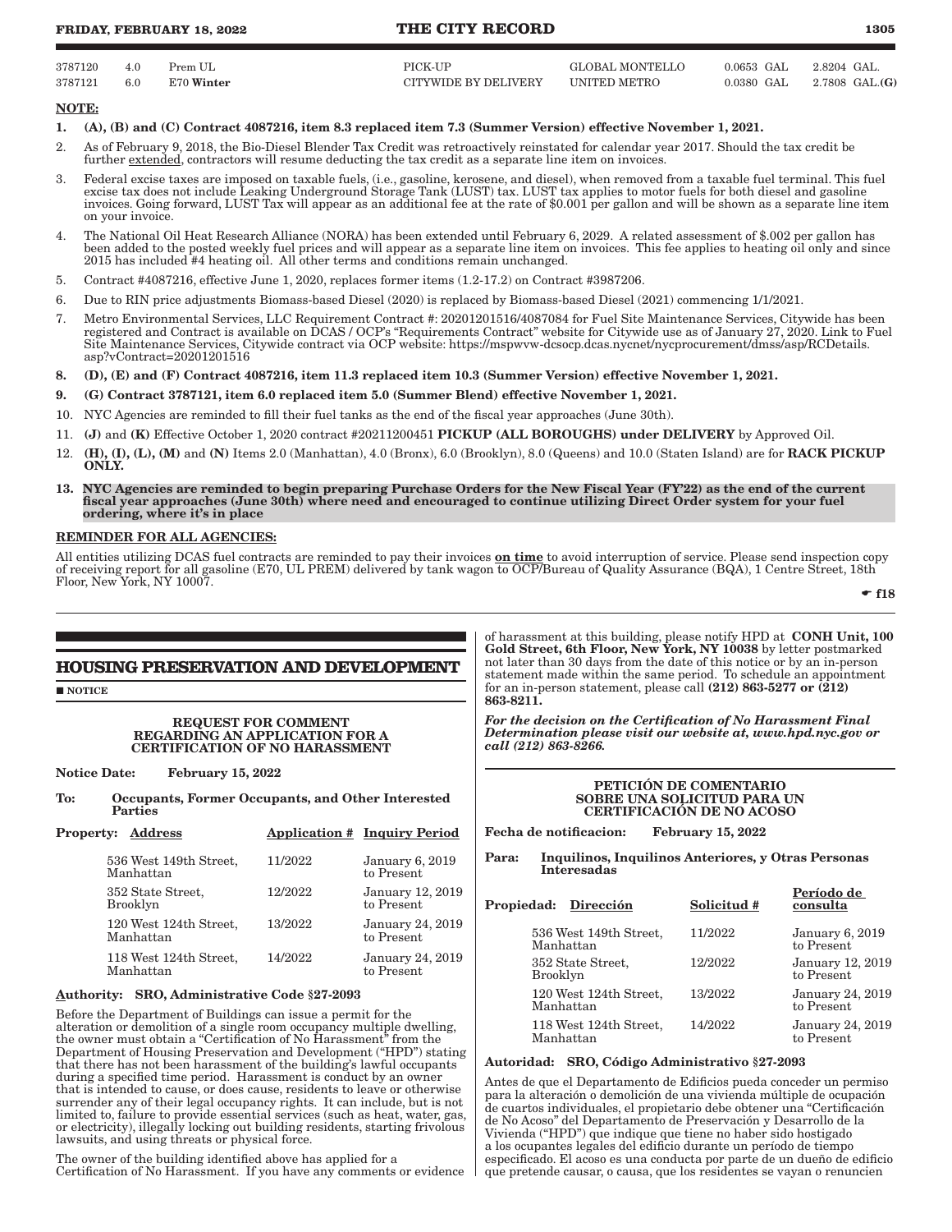### **FRIDAY, FEBRUARY 18, 2022 THE CITY RECORD 1305**

| 3787120 | 4.0 | Prem UL    | PICK-UP              | GLOBAL MONTELLO | $0.0653$ GAL $2.8204$ GAL. |                                  |
|---------|-----|------------|----------------------|-----------------|----------------------------|----------------------------------|
| 3787121 | 6.0 | E70 Winter | CITYWIDE BY DELIVERY | UNITED METRO    |                            | $0.0380$ GAL $2.7808$ GAL. $(G)$ |

#### NOTE:

- 1. (A), (B) and (C) Contract 4087216, item 8.3 replaced item 7.3 (Summer Version) effective November 1, 2021.
- 2. As of February 9, 2018, the Bio-Diesel Blender Tax Credit was retroactively reinstated for calendar year 2017. Should the tax credit be further extended, contractors will resume deducting the tax credit as a separate line item on invoices.
- 3. Federal excise taxes are imposed on taxable fuels, (i.e., gasoline, kerosene, and diesel), when removed from a taxable fuel terminal. This fuel excise tax does not include Leaking Underground Storage Tank (LUST) tax. LUST tax applies to motor fuels for both diesel and gasoline invoices. Going forward, LUST Tax will appear as an additional fee at the rate of \$0.001 per gallon and will be shown as a separate line item on your invoice.
- 4. The National Oil Heat Research Alliance (NORA) has been extended until February 6, 2029. A related assessment of \$.002 per gallon has been added to the posted weekly fuel prices and will appear as a separate line item on invoices. This fee applies to heating oil only and since 2015 has included #4 heating oil. All other terms and conditions remain unchanged.
- 5. Contract #4087216, effective June 1, 2020, replaces former items (1.2-17.2) on Contract #3987206.
- 6. Due to RIN price adjustments Biomass-based Diesel (2020) is replaced by Biomass-based Diesel (2021) commencing 1/1/2021.
- 7. Metro Environmental Services, LLC Requirement Contract #: 20201201516/4087084 for Fuel Site Maintenance Services, Citywide has been registered and Contract is available on DCAS / OCP's "Requirements Contract" website for Citywide use as of January 27, 2020. Link to Fuel Site Maintenance Services, Citywide contract via OCP website: https://mspwvw-dcsocp.dcas.nycnet/nycprocurement/dmss/asp/RCDetails. asp?vContract=20201201516
- 8. (D), (E) and (F) Contract 4087216, item 11.3 replaced item 10.3 (Summer Version) effective November 1, 2021.
- 9. (G) Contract 3787121, item 6.0 replaced item 5.0 (Summer Blend) effective November 1, 2021.
- 10. NYC Agencies are reminded to fill their fuel tanks as the end of the fiscal year approaches (June 30th).
- 11. (J) and (K) Effective October 1, 2020 contract #20211200451 PICKUP (ALL BOROUGHS) under DELIVERY by Approved Oil.
- 12. **(H), (I), (L), (M)** and **(N)** Items 2.0 (Manhattan), 4.0 (Bronx), 6.0 (Brooklyn), 8.0 (Queens) and 10.0 (Staten Island) are for **RACK PICKUP** ONLY.
- 13. NYC Agencies are reminded to begin preparing Purchase Orders for the New Fiscal Year (FY'22) as the end of the current fiscal year approaches (June 30th) where need and encouraged to continue utilizing Direct Order system for your fuel ordering, where it's in place

#### REMINDER FOR ALL AGENCIES:

All entities utilizing DCAS fuel contracts are reminded to pay their invoices **on time** to avoid interruption of service. Please send inspection copy of receiving report for all gasoline (E70, UL PREM) delivered by tank wagon to OCP/Bureau of Quality Assurance (BQA), 1 Centre Street, 18th Floor, New York, NY 10007.

 $\div$  f18

Período de

# **HOUSING PRESERVATION AND DEVELOPMENT**

**NOTICE** 

#### REQUEST FOR COMMENT REGARDING AN APPLICATION FOR A CERTIFICATION OF NO HARASSMENT

Notice Date: February 15, 2022

To: Occupants, Former Occupants, and Other Interested Parties

| <b>Property: Address</b>             |         | <b>Application # Inquiry Period</b>  |
|--------------------------------------|---------|--------------------------------------|
| 536 West 149th Street,<br>Manhattan  | 11/2022 | <b>January 6, 2019</b><br>to Present |
| 352 State Street,<br><b>Brooklyn</b> | 12/2022 | January 12, 2019<br>to Present       |
| 120 West 124th Street,<br>Manhattan  | 13/2022 | January 24, 2019<br>to Present       |
| 118 West 124th Street,<br>Manhattan  | 14/2022 | January 24, 2019<br>to Present       |

#### Authority: SRO, Administrative Code §27-2093

Before the Department of Buildings can issue a permit for the alteration or demolition of a single room occupancy multiple dwelling, the owner must obtain a "Certification of No Harassment" from the Department of Housing Preservation and Development ("HPD") stating that there has not been harassment of the building's lawful occupants during a specified time period. Harassment is conduct by an owner that is intended to cause, or does cause, residents to leave or otherwise surrender any of their legal occupancy rights. It can include, but is not limited to, failure to provide essential services (such as heat, water, gas, or electricity), illegally locking out building residents, starting frivolous lawsuits, and using threats or physical force.

The owner of the building identified above has applied for a Certification of No Harassment. If you have any comments or evidence

of harassment at this building, please notify HPD at CONH Unit, 100 Gold Street, 6th Floor, New York, NY 10038 by letter postmarked not later than 30 days from the date of this notice or by an in-person statement made within the same period. To schedule an appointment for an in-person statement, please call  $(212)$  863-5277 or  $(212)$ 863-8211.

*For the decision on the Certification of No Harassment Final Determination please visit our website at, www.hpd.nyc.gov or call (212) 863-8266.*

#### PETICIÓN DE COMENTARIO SOBRE UNA SOLICITUD PARA UN CERTIFICACIÓN DE NO ACOSO

Fecha de notificacion: February 15, 2022

Para: Inquilinos, Inquilinos Anteriores, y Otras Personas Interesadas

| Propiedad: Dirección                 |                        | Solicitud # | rerioao ae<br>consulta         |
|--------------------------------------|------------------------|-------------|--------------------------------|
| Manhattan                            | 536 West 149th Street. | 11/2022     | January 6, 2019<br>to Present  |
| 352 State Street,<br><b>Brooklyn</b> |                        | 12/2022     | January 12, 2019<br>to Present |
| Manhattan                            | 120 West 124th Street. | 13/2022     | January 24, 2019<br>to Present |
| Manhattan                            | 118 West 124th Street, | 14/2022     | January 24, 2019<br>to Present |

#### Autoridad: SRO, Código Administrativo §27-2093

Antes de que el Departamento de Edificios pueda conceder un permiso para la alteración o demolición de una vivienda múltiple de ocupación de cuartos individuales, el propietario debe obtener una "Certificación de No Acoso" del Departamento de Preservación y Desarrollo de la Vivienda ("HPD") que indique que tiene no haber sido hostigado a los ocupantes legales del edificio durante un período de tiempo especificado. El acoso es una conducta por parte de un dueño de edificio que pretende causar, o causa, que los residentes se vayan o renuncien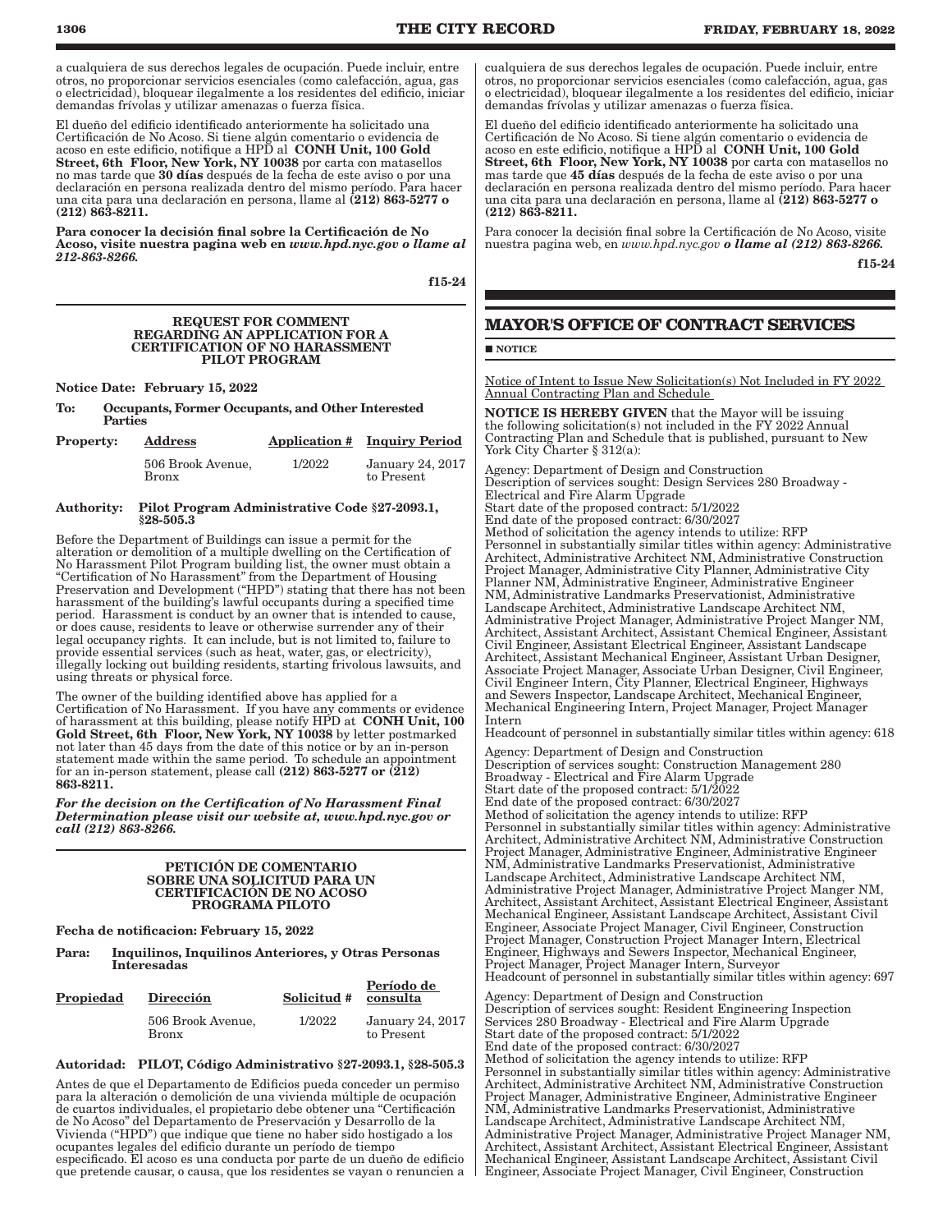a cualquiera de sus derechos legales de ocupación. Puede incluir, entre otros, no proporcionar servicios esenciales (como calefacción, agua, gas o electricidad), bloquear ilegalmente a los residentes del edificio, iniciar demandas frívolas y utilizar amenazas o fuerza física.

El dueño del edificio identificado anteriormente ha solicitado una Certificación de No Acoso. Si tiene algún comentario o evidencia de acoso en este edificio, notifique a HPD al  $\,$  CONH Unit, 100 Gold  $\,$ Street, 6th Floor, New York, NY 10038 por carta con matasellos no mas tarde que 30 días después de la fecha de este aviso o por una declaración en persona realizada dentro del mismo período. Para hacer una cita para una declaración en persona, llame al (212) 863-5277 o (212) 863-8211.

Para conocer la decisión final sobre la Certificación de No Acoso, visite nuestra pagina web en *www.hpd.nyc.gov o llame al 212-863-8266.*

f15-24

#### REQUEST FOR COMMENT REGARDING AN APPLICATION FOR A CERTIFICATION OF NO HARASSMENT PILOT PROGRAM

Notice Date: February 15, 2022

To: Occupants, Former Occupants, and Other Interested Parties

| <b>Property:</b> | <b>Address</b>                    |        | <b>Application # Inquiry Period</b> |
|------------------|-----------------------------------|--------|-------------------------------------|
|                  | 506 Brook Avenue,<br><b>Bronx</b> | 1/2022 | January 24, 2017<br>to Present      |

#### Authority: Pilot Program Administrative Code §27-2093.1, §28-505.3

Before the Department of Buildings can issue a permit for the alteration or demolition of a multiple dwelling on the Certification of No Harassment Pilot Program building list, the owner must obtain a "Certification of No Harassment" from the Department of Housing Preservation and Development ("HPD") stating that there has not been harassment of the building's lawful occupants during a specified time period. Harassment is conduct by an owner that is intended to cause, or does cause, residents to leave or otherwise surrender any of their legal occupancy rights. It can include, but is not limited to, failure to provide essential services (such as heat, water, gas, or electricity), illegally locking out building residents, starting frivolous lawsuits, and using threats or physical force.

The owner of the building identified above has applied for a Certification of No Harassment. If you have any comments or evidence of harassment at this building, please notify HPD at CONH Unit, 100 Gold Street, 6th Floor, New York, NY 10038 by letter postmarked not later than 45 days from the date of this notice or by an in-person statement made within the same period. To schedule an appointment for an in-person statement, please call  $(212)$  863-5277 or  $(212)$ 863-8211.

*For the decision on the Certification of No Harassment Final Determination please visit our website at, www.hpd.nyc.gov or call (212) 863-8266.*

#### PETICIÓN DE COMENTARIO SOBRE UNA SOLICITUD PARA UN CERTIFICACIÓN DE NO ACOSO PROGRAMA PILOTO

Fecha de notificacion: February 15, 2022

Para: Inquilinos, Inquilinos Anteriores, y Otras Personas Interesadas

| <b>Propiedad</b> | Dirección                         | Solicitud # | Período de<br>consulta                |  |  |
|------------------|-----------------------------------|-------------|---------------------------------------|--|--|
|                  | 506 Brook Avenue,<br><b>Bronx</b> | 1/2022      | <b>January 24, 2017</b><br>to Present |  |  |

#### Autoridad: PILOT, Código Administrativo §27-2093.1, §28-505.3

Antes de que el Departamento de Edificios pueda conceder un permiso para la alteración o demolición de una vivienda múltiple de ocupación de cuartos individuales, el propietario debe obtener una "Certificación de No Acoso" del Departamento de Preservación y Desarrollo de la Vivienda ("HPD") que indique que tiene no haber sido hostigado a los ocupantes legales del edificio durante un período de tiempo especificado. El acoso es una conducta por parte de un dueño de edificio que pretende causar, o causa, que los residentes se vayan o renuncien a

cualquiera de sus derechos legales de ocupación. Puede incluir, entre otros, no proporcionar servicios esenciales (como calefacción, agua, gas o electricidad), bloquear ilegalmente a los residentes del edificio, iniciar demandas frívolas y utilizar amenazas o fuerza física.

El dueño del edificio identificado anteriormente ha solicitado una Certificación de No Acoso. Si tiene algún comentario o evidencia de acoso en este edificio, notifique a HPD al CONH Unit, 100 Gold Street, 6th Floor, New York, NY 10038 por carta con matasellos no mas tarde que 45 días después de la fecha de este aviso o por una declaración en persona realizada dentro del mismo período. Para hacer una cita para una declaración en persona, llame al (212) 863-5277 o (212) 863-8211.

Para conocer la decisión final sobre la Certificación de No Acoso, visite nuestra pagina web, en *www.hpd.nyc.gov o llame al (212) 863-8266.*

f15-24

# **MAYOR'S OFFICE OF CONTRACT SERVICES**

#### **NOTICE**

Notice of Intent to Issue New Solicitation(s) Not Included in FY 2022 Annual Contracting Plan and Schedule

NOTICE IS HEREBY GIVEN that the Mayor will be issuing the following solicitation(s) not included in the FY 2022 Annual Contracting Plan and Schedule that is published, pursuant to New York City Charter § 312(a):

Agency: Department of Design and Construction Description of services sought: Design Services 280 Broadway - Electrical and Fire Alarm Upgrade Start date of the proposed contract: 5/1/2022 End date of the proposed contract: 6/30/2027 Method of solicitation the agency intends to utilize: RFP Personnel in substantially similar titles within agency: Administrative Architect, Administrative Architect NM, Administrative Construction Project Manager, Administrative City Planner, Administrative City Planner NM, Administrative Engineer, Administrative Engineer NM, Administrative Landmarks Preservationist, Administrative Landscape Architect, Administrative Landscape Architect NM, Administrative Project Manager, Administrative Project Manger NM, Architect, Assistant Architect, Assistant Chemical Engineer, Assistant Civil Engineer, Assistant Electrical Engineer, Assistant Landscape Architect, Assistant Mechanical Engineer, Assistant Urban Designer, Associate Project Manager, Associate Urban Designer, Civil Engineer, Civil Engineer Intern, City Planner, Electrical Engineer, Highways and Sewers Inspector, Landscape Architect, Mechanical Engineer, Mechanical Engineering Intern, Project Manager, Project Manager Intern

Headcount of personnel in substantially similar titles within agency: 618

Agency: Department of Design and Construction Description of services sought: Construction Management 280 Broadway - Electrical and Fire Alarm Upgrade Start date of the proposed contract: 5/1/2022 End date of the proposed contract: 6/30/2027 Method of solicitation the agency intends to utilize: RFP Personnel in substantially similar titles within agency: Administrative Architect, Administrative Architect NM, Administrative Construction Project Manager, Administrative Engineer, Administrative Engineer NM, Administrative Landmarks Preservationist, Administrative Landscape Architect, Administrative Landscape Architect NM, Administrative Project Manager, Administrative Project Manger NM, Architect, Assistant Architect, Assistant Electrical Engineer, Assistant Mechanical Engineer, Assistant Landscape Architect, Assistant Civil Engineer, Associate Project Manager, Civil Engineer, Construction Project Manager, Construction Project Manager Intern, Electrical Engineer, Highways and Sewers Inspector, Mechanical Engineer, Project Manager, Project Manager Intern, Surveyor Headcount of personnel in substantially similar titles within agency: 697

Agency: Department of Design and Construction Description of services sought: Resident Engineering Inspection Services 280 Broadway - Electrical and Fire Alarm Upgrade Start date of the proposed contract: 5/1/2022 End date of the proposed contract: 6/30/2027 Method of solicitation the agency intends to utilize: RFP Personnel in substantially similar titles within agency: Administrative Architect, Administrative Architect NM, Administrative Construction Project Manager, Administrative Engineer, Administrative Engineer NM, Administrative Landmarks Preservationist, Administrative Landscape Architect, Administrative Landscape Architect NM, Administrative Project Manager, Administrative Project Manager NM, Architect, Assistant Architect, Assistant Electrical Engineer, Assistant Mechanical Engineer, Assistant Landscape Architect, Assistant Civil Engineer, Associate Project Manager, Civil Engineer, Construction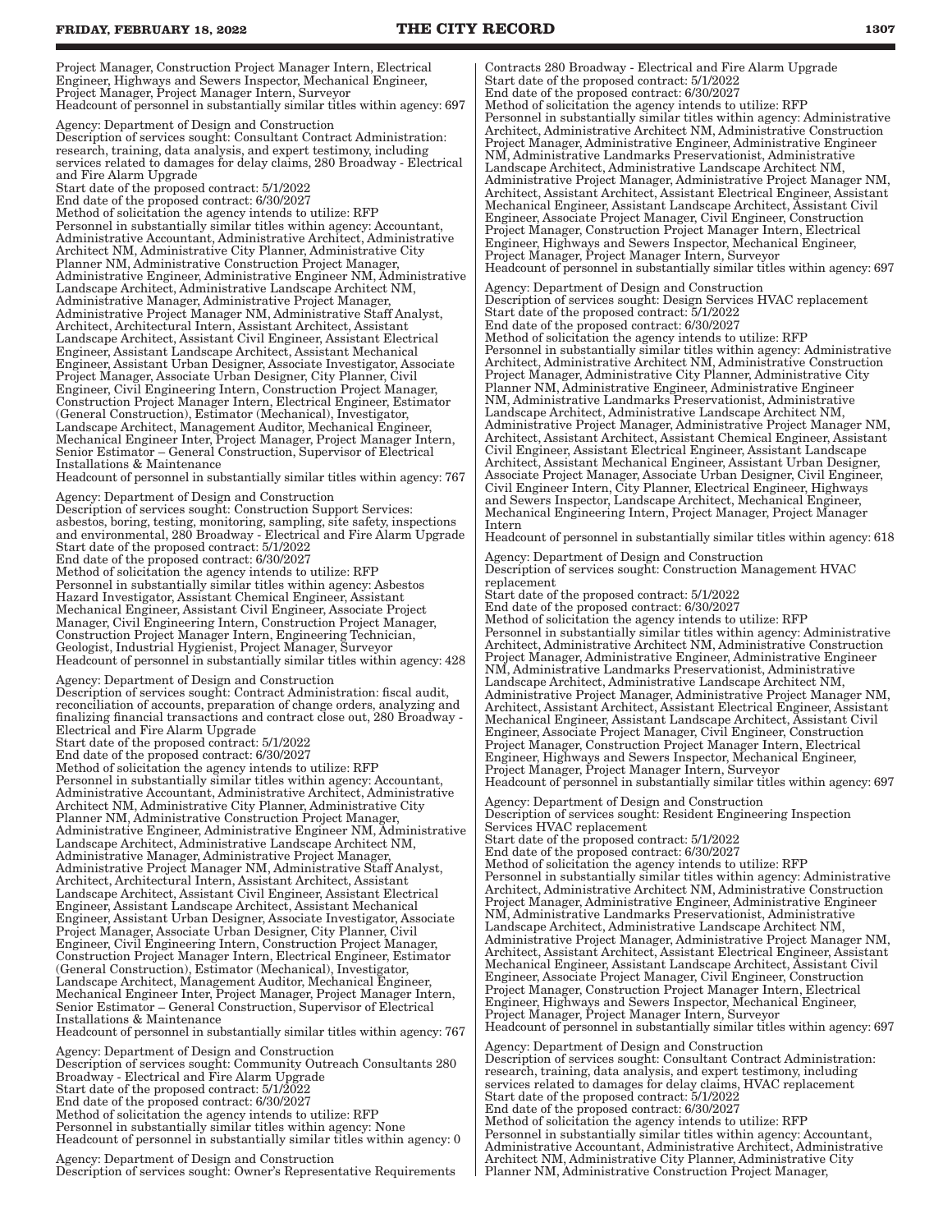Project Manager, Construction Project Manager Intern, Electrical Engineer, Highways and Sewers Inspector, Mechanical Engineer, Project Manager, Project Manager Intern, Surveyor Headcount of personnel in substantially similar titles within agency: 697

Agency: Department of Design and Construction Description of services sought: Consultant Contract Administration: research, training, data analysis, and expert testimony, including services related to damages for delay claims, 280 Broadway - Electrical and Fire Alarm Upgrade Start date of the proposed contract: 5/1/2022 End date of the proposed contract: 6/30/2027 Method of solicitation the agency intends to utilize: RFP

Personnel in substantially similar titles within agency: Accountant, Administrative Accountant, Administrative Architect, Administrative Architect NM, Administrative City Planner, Administrative City Planner NM, Administrative Construction Project Manager, Administrative Engineer, Administrative Engineer NM, Administrative Landscape Architect, Administrative Landscape Architect NM, Administrative Manager, Administrative Project Manager, Administrative Project Manager NM, Administrative Staff Analyst, Architect, Architectural Intern, Assistant Architect, Assistant Landscape Architect, Assistant Civil Engineer, Assistant Electrical Engineer, Assistant Landscape Architect, Assistant Mechanical Engineer, Assistant Urban Designer, Associate Investigator, Associate Project Manager, Associate Urban Designer, City Planner, Civil Engineer, Civil Engineering Intern, Construction Project Manager, Construction Project Manager Intern, Electrical Engineer, Estimator (General Construction), Estimator (Mechanical), Investigator, Landscape Architect, Management Auditor, Mechanical Engineer, Mechanical Engineer Inter, Project Manager, Project Manager Intern, Senior Estimator – General Construction, Supervisor of Electrical Installations & Maintenance

Headcount of personnel in substantially similar titles within agency: 767

Agency: Department of Design and Construction Description of services sought: Construction Support Services: asbestos, boring, testing, monitoring, sampling, site safety, inspections and environmental, 280 Broadway - Electrical and Fire Alarm Upgrade Start date of the proposed contract: 5/1/2022 End date of the proposed contract: 6/30/2027

Method of solicitation the agency intends to utilize: RFP Personnel in substantially similar titles within agency: Asbestos Hazard Investigator, Assistant Chemical Engineer, Assistant Mechanical Engineer, Assistant Civil Engineer, Associate Project Manager, Civil Engineering Intern, Construction Project Manager, Construction Project Manager Intern, Engineering Technician, Geologist, Industrial Hygienist, Project Manager, Surveyor Headcount of personnel in substantially similar titles within agency: 428

Agency: Department of Design and Construction Description of services sought: Contract Administration: fiscal audit, reconciliation of accounts, preparation of change orders, analyzing and finalizing financial transactions and contract close out, 280 Broadway -

Electrical and Fire Alarm Upgrade Start date of the proposed contract: 5/1/2022

End date of the proposed contract: 6/30/2027

Method of solicitation the agency intends to utilize: RFP Personnel in substantially similar titles within agency: Accountant, Administrative Accountant, Administrative Architect, Administrative Architect NM, Administrative City Planner, Administrative City Planner NM, Administrative Construction Project Manager, Administrative Engineer, Administrative Engineer NM, Administrative Landscape Architect, Administrative Landscape Architect NM, Administrative Manager, Administrative Project Manager, Administrative Project Manager NM, Administrative Staff Analyst, Architect, Architectural Intern, Assistant Architect, Assistant Landscape Architect, Assistant Civil Engineer, Assistant Electrical Engineer, Assistant Landscape Architect, Assistant Mechanical Engineer, Assistant Urban Designer, Associate Investigator, Associate Project Manager, Associate Urban Designer, City Planner, Civil Engineer, Civil Engineering Intern, Construction Project Manager, Construction Project Manager Intern, Electrical Engineer, Estimator (General Construction), Estimator (Mechanical), Investigator, Landscape Architect, Management Auditor, Mechanical Engineer, Mechanical Engineer Inter, Project Manager, Project Manager Intern, Senior Estimator – General Construction, Supervisor of Electrical Installations & Maintenance

Headcount of personnel in substantially similar titles within agency: 767 Agency: Department of Design and Construction

Description of services sought: Community Outreach Consultants 280 Broadway - Electrical and Fire Alarm Upgrade Start date of the proposed contract: 5/1/2022 End date of the proposed contract: 6/30/2027 Method of solicitation the agency intends to utilize: RFP Personnel in substantially similar titles within agency: None

Headcount of personnel in substantially similar titles within agency: 0

Agency: Department of Design and Construction Description of services sought: Owner's Representative Requirements Contracts 280 Broadway - Electrical and Fire Alarm Upgrade Start date of the proposed contract: 5/1/2022 End date of the proposed contract: 6/30/2027 Method of solicitation the agency intends to utilize: RFP Personnel in substantially similar titles within agency: Administrative Architect, Administrative Architect NM, Administrative Construction Project Manager, Administrative Engineer, Administrative Engineer NM, Administrative Landmarks Preservationist, Administrative Landscape Architect, Administrative Landscape Architect NM, Administrative Project Manager, Administrative Project Manager NM, Architect, Assistant Architect, Assistant Electrical Engineer, Assistant Mechanical Engineer, Assistant Landscape Architect, Assistant Civil Engineer, Associate Project Manager, Civil Engineer, Construction Project Manager, Construction Project Manager Intern, Electrical Engineer, Highways and Sewers Inspector, Mechanical Engineer, Project Manager, Project Manager Intern, Surveyor Headcount of personnel in substantially similar titles within agency: 697

Agency: Department of Design and Construction Description of services sought: Design Services HVAC replacement Start date of the proposed contract: 5/1/2022 End date of the proposed contract: 6/30/2027 Method of solicitation the agency intends to utilize: RFP Personnel in substantially similar titles within agency: Administrative Architect, Administrative Architect NM, Administrative Construction Project Manager, Administrative City Planner, Administrative City Planner NM, Administrative Engineer, Administrative Engineer NM, Administrative Landmarks Preservationist, Administrative Landscape Architect, Administrative Landscape Architect NM, Administrative Project Manager, Administrative Project Manager NM, Architect, Assistant Architect, Assistant Chemical Engineer, Assistant Civil Engineer, Assistant Electrical Engineer, Assistant Landscape Architect, Assistant Mechanical Engineer, Assistant Urban Designer, Associate Project Manager, Associate Urban Designer, Civil Engineer, Civil Engineer Intern, City Planner, Electrical Engineer, Highways

and Sewers Inspector, Landscape Architect, Mechanical Engineer, Mechanical Engineering Intern, Project Manager, Project Manager Intern

Headcount of personnel in substantially similar titles within agency: 618

Agency: Department of Design and Construction Description of services sought: Construction Management HVAC replacement

Start date of the proposed contract: 5/1/2022 End date of the proposed contract: 6/30/2027 Method of solicitation the agency intends to utilize: RFP Personnel in substantially similar titles within agency: Administrative Architect, Administrative Architect NM, Administrative Construction Project Manager, Administrative Engineer, Administrative Engineer NM, Administrative Landmarks Preservationist, Administrative Landscape Architect, Administrative Landscape Architect NM, Administrative Project Manager, Administrative Project Manager NM, Architect, Assistant Architect, Assistant Electrical Engineer, Assistant Mechanical Engineer, Assistant Landscape Architect, Assistant Civil Engineer, Associate Project Manager, Civil Engineer, Construction Project Manager, Construction Project Manager Intern, Electrical Engineer, Highways and Sewers Inspector, Mechanical Engineer, Project Manager, Project Manager Intern, Surveyor Headcount of personnel in substantially similar titles within agency: 697

Agency: Department of Design and Construction Description of services sought: Resident Engineering Inspection Services HVAC replacement Start date of the proposed contract: 5/1/2022 End date of the proposed contract: 6/30/2027 Method of solicitation the agency intends to utilize: RFP Personnel in substantially similar titles within agency: Administrative Architect, Administrative Architect NM, Administrative Construction Project Manager, Administrative Engineer, Administrative Engineer NM, Administrative Landmarks Preservationist, Administrative Landscape Architect, Administrative Landscape Architect NM, Administrative Project Manager, Administrative Project Manager NM, Architect, Assistant Architect, Assistant Electrical Engineer, Assistant Mechanical Engineer, Assistant Landscape Architect, Assistant Civil Engineer, Associate Project Manager, Civil Engineer, Construction Project Manager, Construction Project Manager Intern, Electrical Engineer, Highways and Sewers Inspector, Mechanical Engineer, Project Manager, Project Manager Intern, Surveyor Headcount of personnel in substantially similar titles within agency: 697

Agency: Department of Design and Construction Description of services sought: Consultant Contract Administration: research, training, data analysis, and expert testimony, including services related to damages for delay claims, HVAC replacement Start date of the proposed contract: 5/1/2022 End date of the proposed contract: 6/30/2027 Method of solicitation the agency intends to utilize: RFP Personnel in substantially similar titles within agency: Accountant, Administrative Accountant, Administrative Architect, Administrative Architect NM, Administrative City Planner, Administrative City Planner NM, Administrative Construction Project Manager,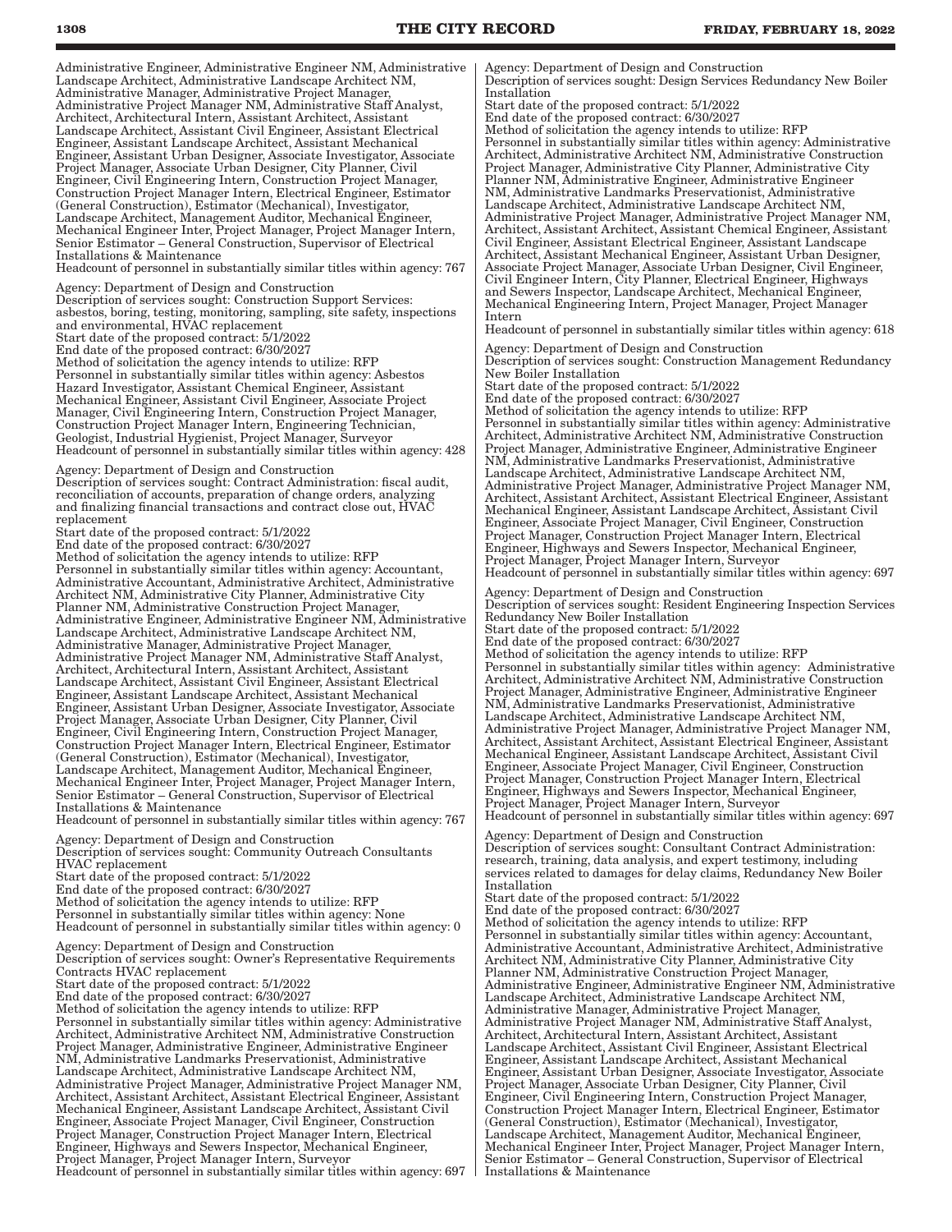Administrative Engineer, Administrative Engineer NM, Administrative Landscape Architect, Administrative Landscape Architect NM, Administrative Manager, Administrative Project Manager, Administrative Project Manager NM, Administrative Staff Analyst, Architect, Architectural Intern, Assistant Architect, Assistant Landscape Architect, Assistant Civil Engineer, Assistant Electrical Engineer, Assistant Landscape Architect, Assistant Mechanical Engineer, Assistant Urban Designer, Associate Investigator, Associate Project Manager, Associate Urban Designer, City Planner, Civil Engineer, Civil Engineering Intern, Construction Project Manager, Construction Project Manager Intern, Electrical Engineer, Estimator (General Construction), Estimator (Mechanical), Investigator, Landscape Architect, Management Auditor, Mechanical Engineer, Mechanical Engineer Inter, Project Manager, Project Manager Intern, Senior Estimator – General Construction, Supervisor of Electrical Installations & Maintenance

Headcount of personnel in substantially similar titles within agency: 767

Agency: Department of Design and Construction

Description of services sought: Construction Support Services: asbestos, boring, testing, monitoring, sampling, site safety, inspections and environmental, HVAC replacement Start date of the proposed contract: 5/1/2022

End date of the proposed contract: 6/30/2027 Method of solicitation the agency intends to utilize: RFP Personnel in substantially similar titles within agency: Asbestos Hazard Investigator, Assistant Chemical Engineer, Assistant Mechanical Engineer, Assistant Civil Engineer, Associate Project Manager, Civil Engineering Intern, Construction Project Manager, Construction Project Manager Intern, Engineering Technician, Geologist, Industrial Hygienist, Project Manager, Surveyor Headcount of personnel in substantially similar titles within agency: 428

Agency: Department of Design and Construction

Description of services sought: Contract Administration: fiscal audit, reconciliation of accounts, preparation of change orders, analyzing and finalizing financial transactions and contract close out, HVAC replacement

Start date of the proposed contract: 5/1/2022

End date of the proposed contract: 6/30/2027 Method of solicitation the agency intends to utilize: RFP Personnel in substantially similar titles within agency: Accountant, Administrative Accountant, Administrative Architect, Administrative Architect NM, Administrative City Planner, Administrative City Planner NM, Administrative Construction Project Manager, Administrative Engineer, Administrative Engineer NM, Administrative Landscape Architect, Administrative Landscape Architect NM, Administrative Manager, Administrative Project Manager, Administrative Project Manager NM, Administrative Staff Analyst, Architect, Architectural Intern, Assistant Architect, Assistant Landscape Architect, Assistant Civil Engineer, Assistant Electrical Engineer, Assistant Landscape Architect, Assistant Mechanical Engineer, Assistant Urban Designer, Associate Investigator, Associate Project Manager, Associate Urban Designer, City Planner, Civil Engineer, Civil Engineering Intern, Construction Project Manager, Construction Project Manager Intern, Electrical Engineer, Estimator (General Construction), Estimator (Mechanical), Investigator, Landscape Architect, Management Auditor, Mechanical Engineer, Mechanical Engineer Inter, Project Manager, Project Manager Intern, Senior Estimator – General Construction, Supervisor of Electrical Installations & Maintenance

Headcount of personnel in substantially similar titles within agency: 767 Agency: Department of Design and Construction

Description of services sought: Community Outreach Consultants HVAC replacement Start date of the proposed contract: 5/1/2022 End date of the proposed contract: 6/30/2027

Method of solicitation the agency intends to utilize: RFP

Personnel in substantially similar titles within agency: None Headcount of personnel in substantially similar titles within agency: 0

Agency: Department of Design and Construction

Description of services sought: Owner's Representative Requirements Contracts HVAC replacement

Start date of the proposed contract: 5/1/2022 End date of the proposed contract: 6/30/2027 Method of solicitation the agency intends to utilize: RFP Personnel in substantially similar titles within agency: Administrative Architect, Administrative Architect NM, Administrative Construction Project Manager, Administrative Engineer, Administrative Engineer NM, Administrative Landmarks Preservationist, Administrative Landscape Architect, Administrative Landscape Architect NM, Administrative Project Manager, Administrative Project Manager NM, Architect, Assistant Architect, Assistant Electrical Engineer, Assistant Mechanical Engineer, Assistant Landscape Architect, Assistant Civil Engineer, Associate Project Manager, Civil Engineer, Construction Project Manager, Construction Project Manager Intern, Electrical Engineer, Highways and Sewers Inspector, Mechanical Engineer, Project Manager, Project Manager Intern, Surveyor Headcount of personnel in substantially similar titles within agency: 697 Agency: Department of Design and Construction Description of services sought: Design Services Redundancy New Boiler Installation

Start date of the proposed contract: 5/1/2022

End date of the proposed contract: 6/30/2027 Method of solicitation the agency intends to utilize: RFP

Personnel in substantially similar titles within agency: Administrative Architect, Administrative Architect NM, Administrative Construction Project Manager, Administrative City Planner, Administrative City Planner NM, Administrative Engineer, Administrative Engineer NM, Administrative Landmarks Preservationist, Administrative Landscape Architect, Administrative Landscape Architect NM, Administrative Project Manager, Administrative Project Manager NM, Architect, Assistant Architect, Assistant Chemical Engineer, Assistant Civil Engineer, Assistant Electrical Engineer, Assistant Landscape Architect, Assistant Mechanical Engineer, Assistant Urban Designer, Associate Project Manager, Associate Urban Designer, Civil Engineer, Civil Engineer Intern, City Planner, Electrical Engineer, Highways and Sewers Inspector, Landscape Architect, Mechanical Engineer, Mechanical Engineering Intern, Project Manager, Project Manager Intern

Headcount of personnel in substantially similar titles within agency: 618

Agency: Department of Design and Construction Description of services sought: Construction Management Redundancy New Boiler Installation

Start date of the proposed contract: 5/1/2022 End date of the proposed contract: 6/30/2027

Method of solicitation the agency intends to utilize: RFP Personnel in substantially similar titles within agency: Administrative Architect, Administrative Architect NM, Administrative Construction Project Manager, Administrative Engineer, Administrative Engineer NM, Administrative Landmarks Preservationist, Administrative Landscape Architect, Administrative Landscape Architect NM, Administrative Project Manager, Administrative Project Manager NM, Architect, Assistant Architect, Assistant Electrical Engineer, Assistant Mechanical Engineer, Assistant Landscape Architect, Assistant Civil Engineer, Associate Project Manager, Civil Engineer, Construction Project Manager, Construction Project Manager Intern, Electrical Engineer, Highways and Sewers Inspector, Mechanical Engineer, Project Manager, Project Manager Intern, Surveyor Headcount of personnel in substantially similar titles within agency: 697

Agency: Department of Design and Construction Description of services sought: Resident Engineering Inspection Services Redundancy New Boiler Installation Start date of the proposed contract: 5/1/2022 End date of the proposed contract: 6/30/2027 Method of solicitation the agency intends to utilize: RFP

Personnel in substantially similar titles within agency: Administrative Architect, Administrative Architect NM, Administrative Construction Project Manager, Administrative Engineer, Administrative Engineer NM, Administrative Landmarks Preservationist, Administrative Landscape Architect, Administrative Landscape Architect NM, Administrative Project Manager, Administrative Project Manager NM, Architect, Assistant Architect, Assistant Electrical Engineer, Assistant Mechanical Engineer, Assistant Landscape Architect, Assistant Civil Engineer, Associate Project Manager, Civil Engineer, Construction Project Manager, Construction Project Manager Intern, Electrical Engineer, Highways and Sewers Inspector, Mechanical Engineer, Project Manager, Project Manager Intern, Surveyor Headcount of personnel in substantially similar titles within agency: 697

Agency: Department of Design and Construction Description of services sought: Consultant Contract Administration: research, training, data analysis, and expert testimony, including services related to damages for delay claims, Redundancy New Boiler Installation

Start date of the proposed contract: 5/1/2022 End date of the proposed contract: 6/30/2027 Method of solicitation the agency intends to utilize: RFP Personnel in substantially similar titles within agency: Accountant, Administrative Accountant, Administrative Architect, Administrative Architect NM, Administrative City Planner, Administrative City

Planner NM, Administrative Construction Project Manager, Administrative Engineer, Administrative Engineer NM, Administrative Landscape Architect, Administrative Landscape Architect NM, Administrative Manager, Administrative Project Manager, Administrative Project Manager NM, Administrative Staff Analyst, Architect, Architectural Intern, Assistant Architect, Assistant Landscape Architect, Assistant Civil Engineer, Assistant Electrical Engineer, Assistant Landscape Architect, Assistant Mechanical Engineer, Assistant Urban Designer, Associate Investigator, Associate Project Manager, Associate Urban Designer, City Planner, Civil Engineer, Civil Engineering Intern, Construction Project Manager, Construction Project Manager Intern, Electrical Engineer, Estimator (General Construction), Estimator (Mechanical), Investigator, Landscape Architect, Management Auditor, Mechanical Engineer, Mechanical Engineer Inter, Project Manager, Project Manager Intern, Senior Estimator – General Construction, Supervisor of Electrical Installations & Maintenance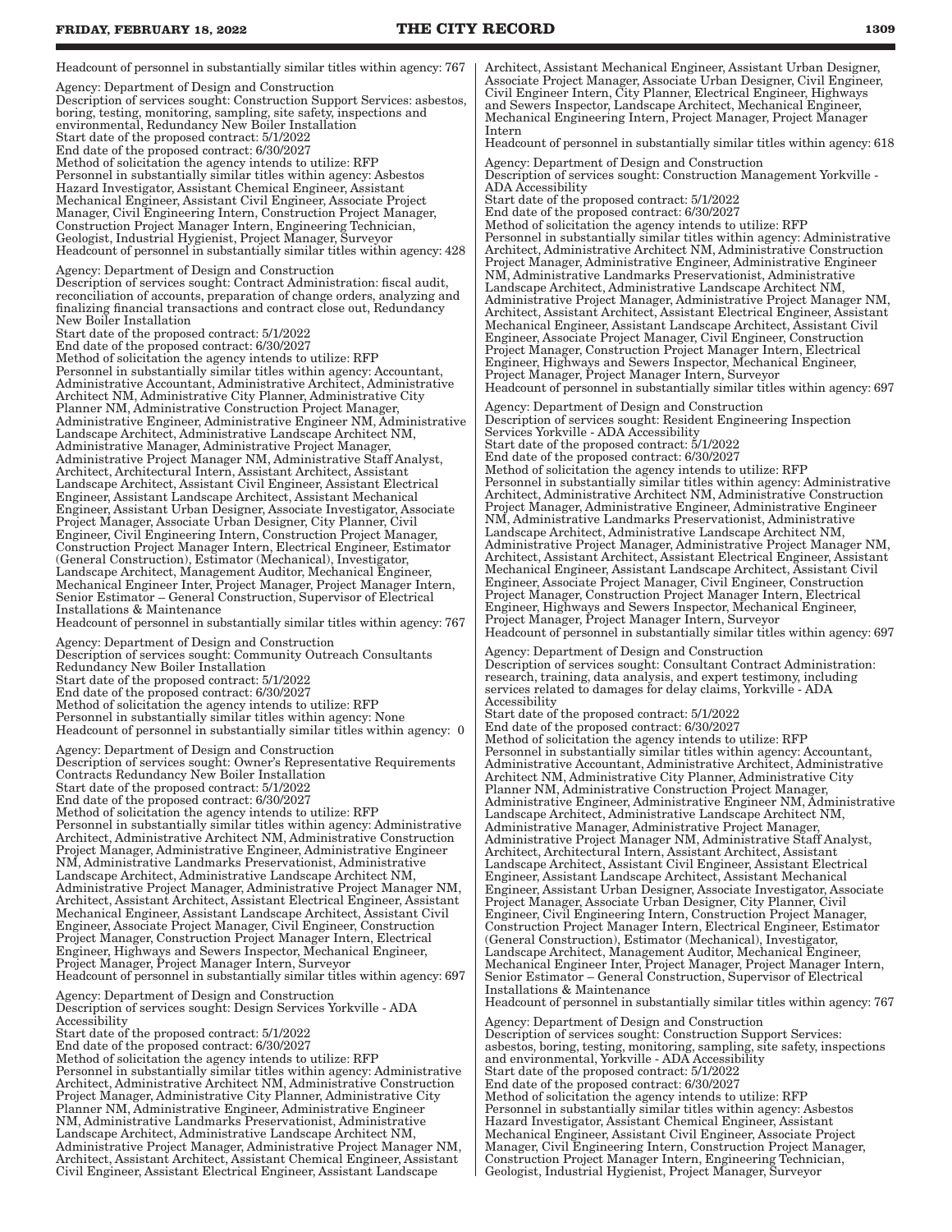Agency: Department of Design and Construction

Description of services sought: Construction Support Services: asbestos, boring, testing, monitoring, sampling, site safety, inspections and environmental, Redundancy New Boiler Installation Start date of the proposed contract: 5/1/2022 End date of the proposed contract: 6/30/2027 Method of solicitation the agency intends to utilize: RFP Personnel in substantially similar titles within agency: Asbestos Hazard Investigator, Assistant Chemical Engineer, Assistant Mechanical Engineer, Assistant Civil Engineer, Associate Project Manager, Civil Engineering Intern, Construction Project Manager, Construction Project Manager Intern, Engineering Technician, Geologist, Industrial Hygienist, Project Manager, Surveyor Headcount of personnel in substantially similar titles within agency: 428 Agency: Department of Design and Construction

Description of services sought: Contract Administration: fiscal audit, reconciliation of accounts, preparation of change orders, analyzing and finalizing financial transactions and contract close out, Redundancy New Boiler Installation

Start date of the proposed contract: 5/1/2022 End date of the proposed contract: 6/30/2027

Method of solicitation the agency intends to utilize: RFP Personnel in substantially similar titles within agency: Accountant, Administrative Accountant, Administrative Architect, Administrative Architect NM, Administrative City Planner, Administrative City Planner NM, Administrative Construction Project Manager, Administrative Engineer, Administrative Engineer NM, Administrative Landscape Architect, Administrative Landscape Architect NM, Administrative Manager, Administrative Project Manager, Administrative Project Manager NM, Administrative Staff Analyst, Architect, Architectural Intern, Assistant Architect, Assistant Landscape Architect, Assistant Civil Engineer, Assistant Electrical Engineer, Assistant Landscape Architect, Assistant Mechanical Engineer, Assistant Urban Designer, Associate Investigator, Associate Project Manager, Associate Urban Designer, City Planner, Civil Engineer, Civil Engineering Intern, Construction Project Manager, Construction Project Manager Intern, Electrical Engineer, Estimator (General Construction), Estimator (Mechanical), Investigator, Landscape Architect, Management Auditor, Mechanical Engineer, Mechanical Engineer Inter, Project Manager, Project Manager Intern, Senior Estimator – General Construction, Supervisor of Electrical Installations & Maintenance Headcount of personnel in substantially similar titles within agency: 767

Agency: Department of Design and Construction Description of services sought: Community Outreach Consultants Redundancy New Boiler Installation Start date of the proposed contract: 5/1/2022 End date of the proposed contract: 6/30/2027 Method of solicitation the agency intends to utilize: RFP Personnel in substantially similar titles within agency: None

Headcount of personnel in substantially similar titles within agency: 0 Agency: Department of Design and Construction Description of services sought: Owner's Representative Requirements Contracts Redundancy New Boiler Installation Start date of the proposed contract: 5/1/2022

End date of the proposed contract: 6/30/2027

Method of solicitation the agency intends to utilize: RFP

Personnel in substantially similar titles within agency: Administrative Architect, Administrative Architect NM, Administrative Construction Project Manager, Administrative Engineer, Administrative Engineer NM, Administrative Landmarks Preservationist, Administrative Landscape Architect, Administrative Landscape Architect NM, Administrative Project Manager, Administrative Project Manager NM, Architect, Assistant Architect, Assistant Electrical Engineer, Assistant Mechanical Engineer, Assistant Landscape Architect, Assistant Civil Engineer, Associate Project Manager, Civil Engineer, Construction Project Manager, Construction Project Manager Intern, Electrical Engineer, Highways and Sewers Inspector, Mechanical Engineer, Project Manager, Project Manager Intern, Surveyor Headcount of personnel in substantially similar titles within agency: 697

Agency: Department of Design and Construction Description of services sought: Design Services Yorkville - ADA Accessibility Start date of the proposed contract: 5/1/2022 End date of the proposed contract: 6/30/2027

Method of solicitation the agency intends to utilize: RFP

Personnel in substantially similar titles within agency: Administrative Architect, Administrative Architect NM, Administrative Construction Project Manager, Administrative City Planner, Administrative City Planner NM, Administrative Engineer, Administrative Engineer NM, Administrative Landmarks Preservationist, Administrative Landscape Architect, Administrative Landscape Architect NM, Administrative Project Manager, Administrative Project Manager NM, Architect, Assistant Architect, Assistant Chemical Engineer, Assistant Civil Engineer, Assistant Electrical Engineer, Assistant Landscape

Architect, Assistant Mechanical Engineer, Assistant Urban Designer, Associate Project Manager, Associate Urban Designer, Civil Engineer, Civil Engineer Intern, City Planner, Electrical Engineer, Highways and Sewers Inspector, Landscape Architect, Mechanical Engineer, Mechanical Engineering Intern, Project Manager, Project Manager Intern

Headcount of personnel in substantially similar titles within agency: 618

Agency: Department of Design and Construction Description of services sought: Construction Management Yorkville - ADA Accessibility Start date of the proposed contract: 5/1/2022 End date of the proposed contract: 6/30/2027

Method of solicitation the agency intends to utilize: RFP Personnel in substantially similar titles within agency: Administrative Architect, Administrative Architect NM, Administrative Construction Project Manager, Administrative Engineer, Administrative Engineer NM, Administrative Landmarks Preservationist, Administrative Landscape Architect, Administrative Landscape Architect NM, Administrative Project Manager, Administrative Project Manager NM, Architect, Assistant Architect, Assistant Electrical Engineer, Assistant Mechanical Engineer, Assistant Landscape Architect, Assistant Civil Engineer, Associate Project Manager, Civil Engineer, Construction Project Manager, Construction Project Manager Intern, Electrical Engineer, Highways and Sewers Inspector, Mechanical Engineer, Project Manager, Project Manager Intern, Surveyor Headcount of personnel in substantially similar titles within agency: 697

Agency: Department of Design and Construction Description of services sought: Resident Engineering Inspection Services Yorkville - ADA Accessibility Start date of the proposed contract: 5/1/2022 End date of the proposed contract: 6/30/2027 Method of solicitation the agency intends to utilize: RFP Personnel in substantially similar titles within agency: Administrative Architect, Administrative Architect NM, Administrative Construction Project Manager, Administrative Engineer, Administrative Engineer NM, Administrative Landmarks Preservationist, Administrative Landscape Architect, Administrative Landscape Architect NM, Administrative Project Manager, Administrative Project Manager NM, Architect, Assistant Architect, Assistant Electrical Engineer, Assistant Mechanical Engineer, Assistant Landscape Architect, Assistant Civil Engineer, Associate Project Manager, Civil Engineer, Construction Project Manager, Construction Project Manager Intern, Electrical Engineer, Highways and Sewers Inspector, Mechanical Engineer, Project Manager, Project Manager Intern, Surveyor Headcount of personnel in substantially similar titles within agency: 697

Agency: Department of Design and Construction Description of services sought: Consultant Contract Administration: research, training, data analysis, and expert testimony, including services related to damages for delay claims, Yorkville - ADA Accessibility

Start date of the proposed contract: 5/1/2022 End date of the proposed contract: 6/30/2027 Method of solicitation the agency intends to utilize: RFP Personnel in substantially similar titles within agency: Accountant, Administrative Accountant, Administrative Architect, Administrative Architect NM, Administrative City Planner, Administrative City Planner NM, Administrative Construction Project Manager, Administrative Engineer, Administrative Engineer NM, Administrative Landscape Architect, Administrative Landscape Architect NM,

Administrative Manager, Administrative Project Manager, Administrative Project Manager NM, Administrative Staff Analyst, Architect, Architectural Intern, Assistant Architect, Assistant Landscape Architect, Assistant Civil Engineer, Assistant Electrical Engineer, Assistant Landscape Architect, Assistant Mechanical Engineer, Assistant Urban Designer, Associate Investigator, Associate Project Manager, Associate Urban Designer, City Planner, Civil Engineer, Civil Engineering Intern, Construction Project Manager, Construction Project Manager Intern, Electrical Engineer, Estimator (General Construction), Estimator (Mechanical), Investigator, Landscape Architect, Management Auditor, Mechanical Engineer, Mechanical Engineer Inter, Project Manager, Project Manager Intern, Senior Estimator – General Construction, Supervisor of Electrical Installations & Maintenance

Headcount of personnel in substantially similar titles within agency: 767

Agency: Department of Design and Construction Description of services sought: Construction Support Services: asbestos, boring, testing, monitoring, sampling, site safety, inspections and environmental, Yorkville - ADA Accessibility Start date of the proposed contract: 5/1/2022 End date of the proposed contract: 6/30/2027 Method of solicitation the agency intends to utilize: RFP Personnel in substantially similar titles within agency: Asbestos Hazard Investigator, Assistant Chemical Engineer, Assistant Mechanical Engineer, Assistant Civil Engineer, Associate Project Manager, Civil Engineering Intern, Construction Project Manager, Construction Project Manager Intern, Engineering Technician, Geologist, Industrial Hygienist, Project Manager, Surveyor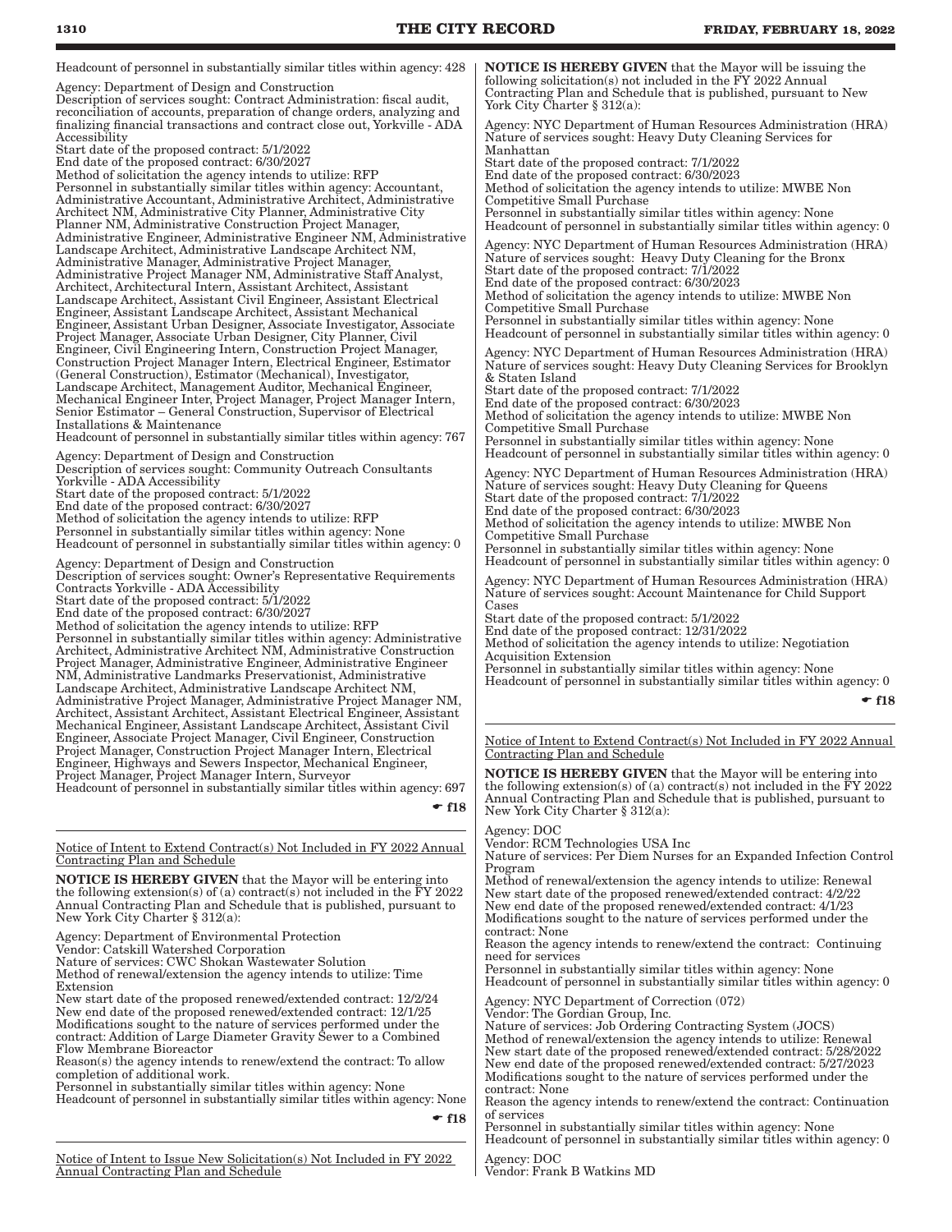Headcount of personnel in substantially similar titles within agency: 428

Agency: Department of Design and Construction Description of services sought: Contract Administration: fiscal audit, reconciliation of accounts, preparation of change orders, analyzing and finalizing financial transactions and contract close out, Yorkville - ADA Accessibility

Start date of the proposed contract: 5/1/2022 End date of the proposed contract: 6/30/2027 Method of solicitation the agency intends to utilize: RFP Personnel in substantially similar titles within agency: Accountant, Administrative Accountant, Administrative Architect, Administrative Architect NM, Administrative City Planner, Administrative City Planner NM, Administrative Construction Project Manager, Administrative Engineer, Administrative Engineer NM, Administrative Landscape Architect, Administrative Landscape Architect NM, Administrative Manager, Administrative Project Manager, Administrative Project Manager NM, Administrative Staff Analyst, Architect, Architectural Intern, Assistant Architect, Assistant Landscape Architect, Assistant Civil Engineer, Assistant Electrical Engineer, Assistant Landscape Architect, Assistant Mechanical Engineer, Assistant Urban Designer, Associate Investigator, Associate Project Manager, Associate Urban Designer, City Planner, Civil Engineer, Civil Engineering Intern, Construction Project Manager, Construction Project Manager Intern, Electrical Engineer, Estimator (General Construction), Estimator (Mechanical), Investigator, Landscape Architect, Management Auditor, Mechanical Engineer, Mechanical Engineer Inter, Project Manager, Project Manager Intern, Senior Estimator – General Construction, Supervisor of Electrical Installations & Maintenance

Headcount of personnel in substantially similar titles within agency: 767

Agency: Department of Design and Construction Description of services sought: Community Outreach Consultants Yorkville - ADA Accessibility Start date of the proposed contract: 5/1/2022 End date of the proposed contract: 6/30/2027 Method of solicitation the agency intends to utilize: RFP

Personnel in substantially similar titles within agency: None Headcount of personnel in substantially similar titles within agency: 0

Agency: Department of Design and Construction Description of services sought: Owner's Representative Requirements Contracts Yorkville - ADA Accessibility Start date of the proposed contract: 5/1/2022

End date of the proposed contract: 6/30/2027

Method of solicitation the agency intends to utilize: RFP Personnel in substantially similar titles within agency: Administrative Architect, Administrative Architect NM, Administrative Construction Project Manager, Administrative Engineer, Administrative Engineer NM, Administrative Landmarks Preservationist, Administrative Landscape Architect, Administrative Landscape Architect NM, Administrative Project Manager, Administrative Project Manager NM, Architect, Assistant Architect, Assistant Electrical Engineer, Assistant Mechanical Engineer, Assistant Landscape Architect, Assistant Civil Engineer, Associate Project Manager, Civil Engineer, Construction Project Manager, Construction Project Manager Intern, Electrical Engineer, Highways and Sewers Inspector, Mechanical Engineer, Project Manager, Project Manager Intern, Surveyor

Headcount of personnel in substantially similar titles within agency: 697

 $\div$  f18

Notice of Intent to Extend Contract(s) Not Included in FY 2022 Annual Contracting Plan and Schedule

NOTICE IS HEREBY GIVEN that the Mayor will be entering into the following extension(s) of (a) contract(s) not included in the FY 2022 Annual Contracting Plan and Schedule that is published, pursuant to New York City Charter § 312(a):

Agency: Department of Environmental Protection

Vendor: Catskill Watershed Corporation

Nature of services: CWC Shokan Wastewater Solution Method of renewal/extension the agency intends to utilize: Time Extension

New start date of the proposed renewed/extended contract: 12/2/24 New end date of the proposed renewed/extended contract: 12/1/25 Modifications sought to the nature of services performed under the contract: Addition of Large Diameter Gravity Sewer to a Combined Flow Membrane Bioreactor

Reason(s) the agency intends to renew/extend the contract: To allow completion of additional work.

Personnel in substantially similar titles within agency: None Headcount of personnel in substantially similar titles within agency: None

 $-$ f18

NOTICE IS HEREBY GIVEN that the Mayor will be issuing the following solicitation(s) not included in the FY 2022 Annual Contracting Plan and Schedule that is published, pursuant to New York City Charter § 312(a):

Agency: NYC Department of Human Resources Administration (HRA) Nature of services sought: Heavy Duty Cleaning Services for Manhattan

Start date of the proposed contract: 7/1/2022 End date of the proposed contract: 6/30/2023 Method of solicitation the agency intends to utilize: MWBE Non Competitive Small Purchase Personnel in substantially similar titles within agency: None

Headcount of personnel in substantially similar titles within agency: 0 Agency: NYC Department of Human Resources Administration (HRA)

Nature of services sought: Heavy Duty Cleaning for the Bronx Start date of the proposed contract: 7/1/2022 End date of the proposed contract: 6/30/2023

Method of solicitation the agency intends to utilize: MWBE Non Competitive Small Purchase

Personnel in substantially similar titles within agency: None Headcount of personnel in substantially similar titles within agency: 0

Agency: NYC Department of Human Resources Administration (HRA) Nature of services sought: Heavy Duty Cleaning Services for Brooklyn & Staten Island Start date of the proposed contract: 7/1/2022 End date of the proposed contract: 6/30/2023

Method of solicitation the agency intends to utilize: MWBE Non Competitive Small Purchase Personnel in substantially similar titles within agency: None Headcount of personnel in substantially similar titles within agency: 0

Agency: NYC Department of Human Resources Administration (HRA) Nature of services sought: Heavy Duty Cleaning for Queens Start date of the proposed contract: 7/1/2022 End date of the proposed contract: 6/30/2023 Method of solicitation the agency intends to utilize: MWBE Non Competitive Small Purchase Personnel in substantially similar titles within agency: None

Headcount of personnel in substantially similar titles within agency: 0

Agency: NYC Department of Human Resources Administration (HRA) Nature of services sought: Account Maintenance for Child Support Cases

Start date of the proposed contract: 5/1/2022

End date of the proposed contract: 12/31/2022 Method of solicitation the agency intends to utilize: Negotiation

Acquisition Extension Personnel in substantially similar titles within agency: None Headcount of personnel in substantially similar titles within agency: 0

 $-$ f18

Notice of Intent to Extend Contract(s) Not Included in FY 2022 Annual Contracting Plan and Schedule

**NOTICE IS HEREBY GIVEN** that the Mayor will be entering into the following extension(s) of (a) contract(s) not included in the FY 2022 Annual Contracting Plan and Schedule that is published, pursuant to New York City Charter § 312(a):

### Agency: DOC

Vendor: RCM Technologies USA Inc Nature of services: Per Diem Nurses for an Expanded Infection Control

Program Method of renewal/extension the agency intends to utilize: Renewal New start date of the proposed renewed/extended contract: 4/2/22 New end date of the proposed renewed/extended contract: 4/1/23 Modifications sought to the nature of services performed under the

contract: None Reason the agency intends to renew/extend the contract: Continuing

need for services

Personnel in substantially similar titles within agency: None Headcount of personnel in substantially similar titles within agency: 0

Agency: NYC Department of Correction (072)

Vendor: The Gordian Group, Inc.

Nature of services: Job Ordering Contracting System (JOCS) Method of renewal/extension the agency intends to utilize: Renewal New start date of the proposed renewed/extended contract: 5/28/2022 New end date of the proposed renewed/extended contract: 5/27/2023 Modifications sought to the nature of services performed under the contract: None

Reason the agency intends to renew/extend the contract: Continuation of services

Personnel in substantially similar titles within agency: None Headcount of personnel in substantially similar titles within agency: 0

Agency: DOC

Vendor: Frank B Watkins MD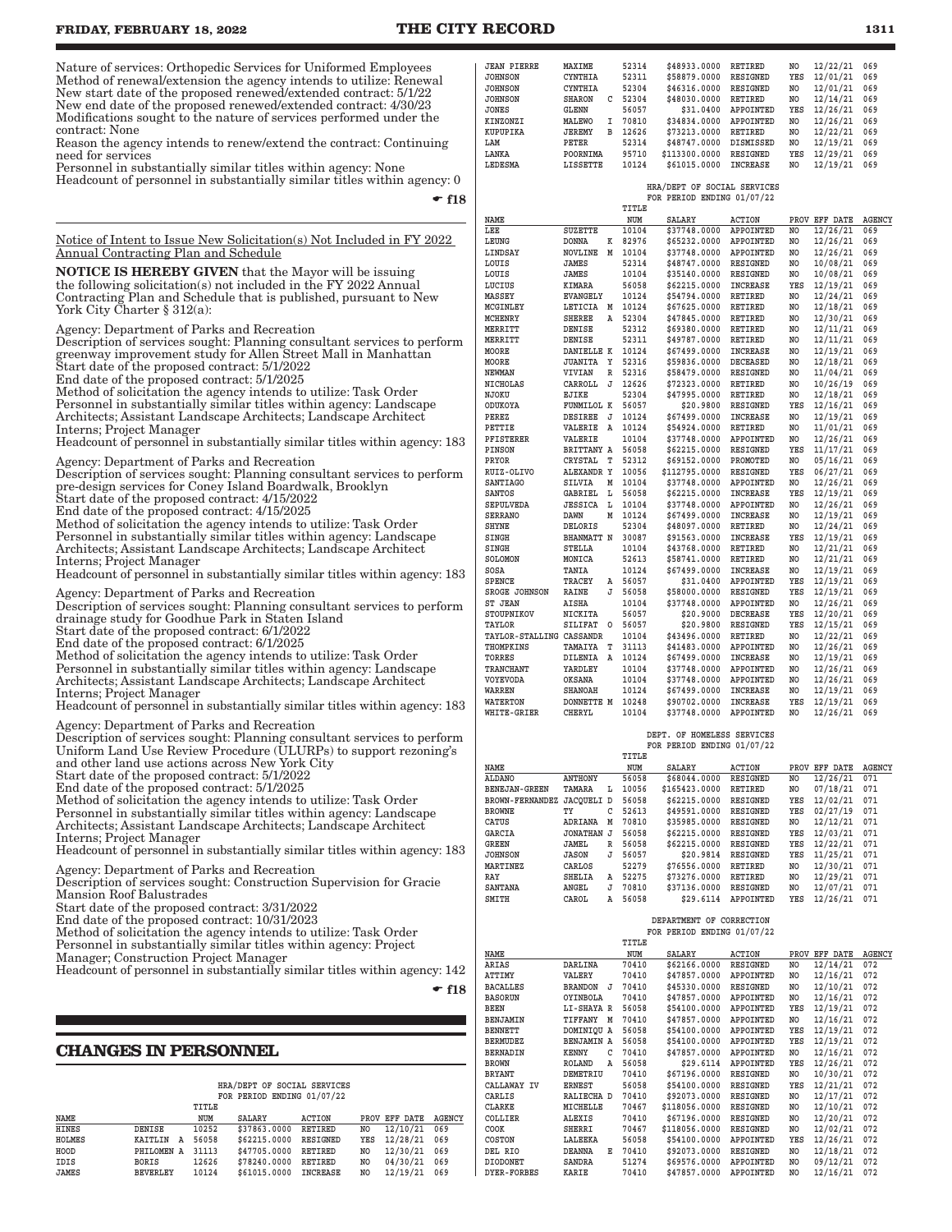Nature of services: Orthopedic Services for Uniformed Employees Method of renewal/extension the agency intends to utilize: Renewal New start date of the proposed renewed/extended contract: 5/1/22 New end date of the proposed renewed/extended contract: 4/30/23 Modifications sought to the nature of services performed under the contract: None

Reason the agency intends to renew/extend the contract: Continuing need for services

Personnel in substantially similar titles within agency: None Headcount of personnel in substantially similar titles within agency: 0

 $\div$  f18

Notice of Intent to Issue New Solicitation(s) Not Included in FY 2022 Annual Contracting Plan and Schedule

NOTICE IS HEREBY GIVEN that the Mayor will be issuing the following solicitation(s) not included in the FY 2022 Annual Contracting Plan and Schedule that is published, pursuant to New York City Charter § 312(a):

Agency: Department of Parks and Recreation

Description of services sought: Planning consultant services to perform greenway improvement study for Allen Street Mall in Manhattan Start date of the proposed contract: 5/1/2022

End date of the proposed contract: 5/1/2025

Method of solicitation the agency intends to utilize: Task Order Personnel in substantially similar titles within agency: Landscape Architects; Assistant Landscape Architects; Landscape Architect Interns; Project Manager

Headcount of personnel in substantially similar titles within agency: 183

Agency: Department of Parks and Recreation

Description of services sought: Planning consultant services to perform pre-design services for Coney Island Boardwalk, Brooklyn

Start date of the proposed contract: 4/15/2022

End date of the proposed contract: 4/15/2025

Method of solicitation the agency intends to utilize: Task Order Personnel in substantially similar titles within agency: Landscape

Architects; Assistant Landscape Architects; Landscape Architect Interns; Project Manager

Headcount of personnel in substantially similar titles within agency: 183

Agency: Department of Parks and Recreation Description of services sought: Planning consultant services to perform

drainage study for Goodhue Park in Staten Island Start date of the proposed contract: 6/1/2022

End date of the proposed contract: 6/1/2025

Method of solicitation the agency intends to utilize: Task Order Personnel in substantially similar titles within agency: Landscape Architects; Assistant Landscape Architects; Landscape Architect

Interns; Project Manager Headcount of personnel in substantially similar titles within agency: 183

Agency: Department of Parks and Recreation

Description of services sought: Planning consultant services to perform Uniform Land Use Review Procedure (ULURPs) to support rezoning's and other land use actions across New York City

Start date of the proposed contract: 5/1/2022

End date of the proposed contract: 5/1/2025

Method of solicitation the agency intends to utilize: Task Order Personnel in substantially similar titles within agency: Landscape Architects; Assistant Landscape Architects; Landscape Architect

Interns; Project Manager

Headcount of personnel in substantially similar titles within agency: 183

Agency: Department of Parks and Recreation

Description of services sought: Construction Supervision for Gracie Mansion Roof Balustrades

Start date of the proposed contract: 3/31/2022

End date of the proposed contract: 10/31/2023

Method of solicitation the agency intends to utilize: Task Order

Personnel in substantially similar titles within agency: Project

Manager; Construction Project Manager

Headcount of personnel in substantially similar titles within agency: 142

 $\div$  f18

#### **CHANGES IN PERSONNEL**

|  |  | HRA/DEPT OF SOCIAL SERVICES |
|--|--|-----------------------------|
|  |  | FOR PERIOD ENDING 01/07/22  |

|              |                 | TITLE |                       |        |    |                      |  |
|--------------|-----------------|-------|-----------------------|--------|----|----------------------|--|
| NAME         |                 | NUM   | <b>SALARY</b>         | ACTION |    | PROV EFF DATE AGENCY |  |
| <b>HINES</b> | DENISE          | 10252 | \$37863.0000 RETIRED  |        |    | NO 12/10/21 069      |  |
| HOLMES       | KAITLIN A       | 56058 | \$62215.0000 RESIGNED |        |    | YES 12/28/21 069     |  |
| HOOD         | PHILOMEN A      | 31113 | \$47705.0000 RETIRED  |        | NO | 12/30/21 069         |  |
| IDIS         | BORIS           | 12626 | \$78240.0000 RETIRED  |        | NO | 04/30/21 069         |  |
| <b>JAMES</b> | <b>BEVERLEY</b> | 10124 | \$61015.0000 INCREASE |        | NO | 12/19/21 069         |  |

| KUPUPIKA               | <b>JEREMY</b>     | в | 12626 | \$73213.0000                | RETIRED         | NO             | 12/22/21      | 069    |
|------------------------|-------------------|---|-------|-----------------------------|-----------------|----------------|---------------|--------|
| LAM                    | PETER             |   | 52314 | \$48747.0000                | DISMISSED       | NO             | 12/19/21      | 069    |
| LANKA                  | POORNIMA          |   | 95710 | \$113300.0000               | RESIGNED        | YES            | 12/29/21      | 069    |
| LEDESMA                | LISSETTE          |   | 10124 | \$61015.0000                | INCREASE        | N <sub>O</sub> | 12/19/21      | 069    |
|                        |                   |   |       |                             |                 |                |               |        |
|                        |                   |   |       | HRA/DEPT OF SOCIAL SERVICES |                 |                |               |        |
|                        |                   |   |       | FOR PERIOD ENDING 01/07/22  |                 |                |               |        |
|                        |                   |   | TITLE |                             |                 |                |               |        |
| NAME                   |                   |   | NUM   | SALARY                      | <b>ACTION</b>   |                | PROV EFF DATE | AGENCY |
| LEE                    | <b>SUZETTE</b>    |   | 10104 | \$37748.0000                | APPOINTED       | NO.            | 12/26/21      | 069    |
| LEUNG                  | <b>DONNA</b>      | K | 82976 | \$65232.0000                | APPOINTED       | NO.            | 12/26/21      | 069    |
| LINDSAY                | <b>NOVLINE</b>    | M | 10104 | \$37748.0000                | APPOINTED       | NO.            | 12/26/21      | 069    |
| LOUIS                  | JAMES             |   | 52314 | \$48747.0000                | RESIGNED        | NO             | 10/08/21      | 069    |
| LOUIS                  | JAMES             |   | 10104 | \$35140.0000                | RESIGNED        | NO             | 10/08/21      | 069    |
| LUCIUS                 | KIMARA            |   | 56058 | \$62215.0000                | <b>INCREASE</b> | YES            | 12/19/21      | 069    |
| MASSEY                 | <b>EVANGELY</b>   |   | 10124 | \$54794.0000                | RETIRED         | NO             | 12/24/21      | 069    |
| <b>MCGINLEY</b>        | LETICIA           | Μ | 10124 | \$67625.0000                | RETIRED         | NO             | 12/18/21      | 069    |
| MCHENRY                | <b>SHEREE</b>     | Α | 52304 | \$47845.0000                | RETIRED         | NO             | 12/30/21      | 069    |
| MERRITT                | DENISE            |   | 52312 | \$69380.0000                | RETIRED         | NO             | 12/11/21      | 069    |
| MERRITT                | DENISE            |   | 52311 | \$49787.0000                | RETIRED         | NO             | 12/11/21      | 069    |
| MOORE                  | DANIELLE K        |   | 10124 | \$67499.0000                | INCREASE        | NO             | 12/19/21      | 069    |
| MOORE                  | <b>JUANITA</b>    | Υ | 52316 | \$59836.0000                | DECEASED        | NO             | 12/18/21      | 069    |
| NEWMAN                 | VIVIAN            | R | 52316 | \$58479.0000                | RESIGNED        | NO.            | 11/04/21      | 069    |
| <b>NICHOLAS</b>        | CARROLL           | J | 12626 | \$72323.0000                | RETIRED         | NO.            | 10/26/19      | 069    |
| NJOKU                  | EJIKE             |   | 52304 | \$47995.0000                | RETIRED         | NO             | 12/18/21      | 069    |
| ODUKOYA                | FUNMILOL K        |   | 56057 | \$20.9800                   | RESIGNED        | YES            | 12/16/21      | 069    |
| PEREZ                  | <b>DESIREE</b>    | J | 10124 | \$67499.0000                | <b>INCREASE</b> | N <sub>O</sub> | 12/19/21      | 069    |
| PETTIE                 | VALERIE           | Α | 10124 | \$54924.0000                | <b>RETIRED</b>  | NO             | 11/01/21      | 069    |
| PFISTERER              | VALERIE           |   | 10104 | \$37748.0000                | APPOINTED       | NO             | 12/26/21      | 069    |
| PINSON                 | BRITTANY A        |   | 56058 | \$62215.0000                | RESIGNED        | YES            | 11/17/21      | 069    |
| PRYOR                  | CRYSTAL           | T | 52312 | \$69152.0000                | PROMOTED        | NO             | 05/16/21      | 069    |
| RUIZ-OLIVO             | ALEXANDR Y        |   | 10056 | \$112795.0000               | RESIGNED        | YES            | 06/27/21      | 069    |
| <b>SANTIAGO</b>        | SILVIA            | М | 10104 | \$37748.0000                | APPOINTED       | NO             | 12/26/21      | 069    |
| SANTOS                 | GABRIEL           | L | 56058 | \$62215.0000                | INCREASE        | YES            | 12/19/21      | 069    |
| <b>SEPULVEDA</b>       | <b>JESSICA</b>    | r | 10104 | \$37748.0000                | APPOINTED       | NO.            | 12/26/21      | 069    |
| <b>SERRANO</b>         | DAWN              | M | 10124 | \$67499.0000                | INCREASE        | NO             | 12/19/21      | 069    |
| SHYNE                  | DELORIS           |   | 52304 | \$48097.0000                | RETIRED         | NO             | 12/24/21      | 069    |
| SINGH                  | <b>BHANMATT N</b> |   | 30087 | \$91563.0000                | <b>INCREASE</b> | YES            | 12/19/21      | 069    |
| SINGH                  | STELLA            |   | 10104 | \$43768.0000                | RETIRED         | NO             | 12/21/21      | 069    |
| SOLOMON                | MONICA            |   | 52613 | \$58741.0000                | RETIRED         | NO.            | 12/21/21      | 069    |
| SOSA                   | TANIA             |   | 10124 | \$67499.0000                | <b>INCREASE</b> | NO             | 12/19/21      | 069    |
| <b>SPENCE</b>          | <b>TRACEY</b>     | A | 56057 | \$31.0400                   | APPOINTED       | YES            | 12/19/21      | 069    |
| <b>SROGE JOHNSON</b>   | RAINE             | J | 56058 | \$58000.0000                | RESIGNED        | YES            | 12/19/21      | 069    |
| <b>ST JEAN</b>         | AISHA             |   | 10104 | \$37748.0000                | APPOINTED       | NO             | 12/26/21      | 069    |
| STOUPNIKOV             | NICKITA           |   | 56057 | \$20.9000                   | <b>DECREASE</b> | YES            | 12/20/21      | 069    |
| TAYLOR                 | SILIFAT           | O | 56057 | \$20.9800                   | RESIGNED        | YES            | 12/15/21      | 069    |
| <b>TAYLOR-STALLING</b> | CASSANDR          |   | 10104 | \$43496.0000                | RETIRED         | NO             | 12/22/21      | 069    |
| THOMPKINS              | TAMAIYA           | т | 31113 | \$41483.0000                | APPOINTED       | NO             | 12/26/21      | 069    |
| TORRES                 | DILENIA           | Α | 10124 | \$67499.0000                | INCREASE        | NO             | 12/19/21      | 069    |
| <b>TRANCHANT</b>       | YARDLEY           |   | 10104 | \$37748.0000                | APPOINTED       | NO             | 12/26/21      | 069    |
| VOYEVODA               | OKSANA            |   | 10104 | \$37748.0000                | APPOINTED       | NO             | 12/26/21      | 069    |
| WARREN                 | SHANOAH           |   | 10124 | \$67499.0000                | INCREASE        | NO             | 12/19/21      | 069    |
| WATERTON               | DONNETTE M        |   | 10248 | \$90702.0000                | INCREASE        | YES            | 12/19/21      | 069    |
| <b>WHITE-GRIER</b>     | <b>CHERYL</b>     |   | 10104 | \$37748.0000                | APPOINTED       | NO.            | 12/26/21      | 069    |
|                        |                   |   |       |                             |                 |                |               |        |
|                        |                   |   |       |                             |                 |                |               |        |

**JEAN PIERRE MAXIME 52314 \$48933.0000 RETIRED NO 12/22/21 069**  $$58879.0000$ **JOHNSON CYNTHIA 52304 \$46316.0000 RESIGNED NO 12/01/21 069 JOHNSON SHARON C 52304 \$48030.0000 RETIRED NO 12/14/21 069**

**KINZONZI MALEWO I 70810 \$34834.0000 APPOINTED NO 12/26/21 069**

**56057** \$31.0400 APPOINTED YES 12/26/21<br>**I** 70810 \$34834.0000 APPOINTED NO 12/26/21

#### **DEPT. OF HOMELESS SERVICES FOR PERIOD ENDING 01/07/22**

|                        |                   |    | TITLE |               |                 |      |             |               |
|------------------------|-------------------|----|-------|---------------|-----------------|------|-------------|---------------|
| <b>NAME</b>            |                   |    | NUM   | <b>SALARY</b> | <b>ACTION</b>   | PROV | DATE<br>EFF | <b>AGENCY</b> |
| <b>ALDANO</b>          | <b>ANTHONY</b>    |    | 56058 | \$68044.0000  | <b>RESIGNED</b> | NO   | 12/26/21    | 071           |
| <b>BENEJAN-GREEN</b>   | TAMARA            | L  | 10056 | \$165423.0000 | <b>RETIRED</b>  | NO   | 07/18/21    | 071           |
| <b>BROWN-FERNANDEZ</b> | <b>JACOUELI D</b> |    | 56058 | \$62215.0000  | <b>RESIGNED</b> | YES  | 12/02/21    | 071           |
| <b>BROWNE</b>          | ТY                | C  | 52613 | \$49591.0000  | <b>RESIGNED</b> | YES  | 02/27/19    | 071           |
| CATUS                  | ADRIANA           | М  | 70810 | \$35985.0000  | <b>RESIGNED</b> | NO   | 12/12/21    | 071           |
| GARCIA                 | <b>JONATHAN</b>   | J  | 56058 | \$62215.0000  | <b>RESIGNED</b> | YES  | 12/03/21    | 071           |
| <b>GREEN</b>           | <b>JAMEL</b>      | R  | 56058 | \$62215.0000  | <b>RESIGNED</b> | YES  | 12/22/21    | 071           |
| <b>JOHNSON</b>         | JASON             | T. | 56057 | \$20.9814     | <b>RESIGNED</b> | YES  | 11/25/21    | 071           |
| <b>MARTINEZ</b>        | CARLOS            |    | 52279 | \$76556.0000  | <b>RETIRED</b>  | NO   | 12/30/21    | 071           |
| RAY                    | <b>SHELIA</b>     | Α  | 52275 | \$73276.0000  | <b>RETIRED</b>  | NO   | 12/29/21    | 071           |
| <b>SANTANA</b>         | ANGEL             | J  | 70810 | \$37136.0000  | <b>RESIGNED</b> | NO   | 12/07/21    | 071           |
| SMITH                  | CAROL             | Α  | 56058 | \$29.6114     | APPOINTED       | YES  | 12/26/21    | 071           |

#### **DEPARTMENT OF CORRECTION FOR PERIOD ENDING 01/07/22**

|                    |                   |   | TITLE |               |                 |      |                 |               |
|--------------------|-------------------|---|-------|---------------|-----------------|------|-----------------|---------------|
| NAME               |                   |   | NUM   | <b>SALARY</b> | <b>ACTION</b>   | PROV | <b>EFF DATE</b> | <b>AGENCY</b> |
| ARIAS              | <b>DARLINA</b>    |   | 70410 | \$62166.0000  | <b>RESIGNED</b> | NO   | 12/14/21        | 072           |
| ATTIMY             | VALERY            |   | 70410 | \$47857.0000  | APPOINTED       | NO   | 12/16/21        | 072           |
| <b>BACALLES</b>    | <b>BRANDON</b>    | J | 70410 | \$45330.0000  | RESIGNED        | NO   | 12/10/21        | 072           |
| <b>BASORUN</b>     | OYINBOLA          |   | 70410 | \$47857.0000  | APPOINTED       | NO   | 12/16/21        | 072           |
| BEEN               | LI-SHAYA R        |   | 56058 | \$54100.0000  | APPOINTED       | YES  | 12/19/21        | 072           |
| BENJAMIN           | TIFFANY           | M | 70410 | \$47857.0000  | APPOINTED       | NO   | 12/16/21        | 072           |
| <b>BENNETT</b>     | DOMINIQU A        |   | 56058 | \$54100.0000  | APPOINTED       | YES  | 12/19/21        | 072           |
| <b>BERMUDEZ</b>    | <b>BENJAMIN A</b> |   | 56058 | \$54100.0000  | APPOINTED       | YES  | 12/19/21        | 072           |
| <b>BERNADIN</b>    | <b>KENNY</b>      | С | 70410 | \$47857.0000  | APPOINTED       | NO   | 12/16/21        | 072           |
| <b>BROWN</b>       | <b>ROLAND</b>     | A | 56058 | \$29.6114     | APPOINTED       | YES  | 12/26/21        | 072           |
| <b>BRYANT</b>      | DEMETRIU          |   | 70410 | \$67196.0000  | RESIGNED        | NO   | 10/30/21        | 072           |
| CALLAWAY IV        | <b>ERNEST</b>     |   | 56058 | \$54100.0000  | RESIGNED        | YES  | 12/21/21        | 072           |
| CARLIS             | RALIECHA D        |   | 70410 | \$92073.0000  | RESIGNED        | NO   | 12/17/21        | 072           |
| CLARKE             | MICHELLE          |   | 70467 | \$118056.0000 | RESIGNED        | NO   | 12/10/21        | 072           |
| COLLIER            | <b>ALEXIS</b>     |   | 70410 | \$67196.0000  | RESIGNED        | NO   | 12/20/21        | 072           |
| COOK               | <b>SHERRI</b>     |   | 70467 | \$118056.0000 | RESIGNED        | NO   | 12/02/21        | 072           |
| <b>COSTON</b>      | LALEEKA           |   | 56058 | \$54100.0000  | APPOINTED       | YES  | 12/26/21        | 072           |
| DEL RIO            | <b>DEANNA</b>     | Е | 70410 | \$92073.0000  | RESIGNED        | NO   | 12/18/21        | 072           |
| <b>DIODONET</b>    | <b>SANDRA</b>     |   | 51274 | \$69576.0000  | APPOINTED       | NO   | 09/12/21        | 072           |
| <b>DYER-FORBES</b> | <b>KARIE</b>      |   | 70410 | \$47857.0000  | APPOINTED       | NO   | 12/16/21        | 072           |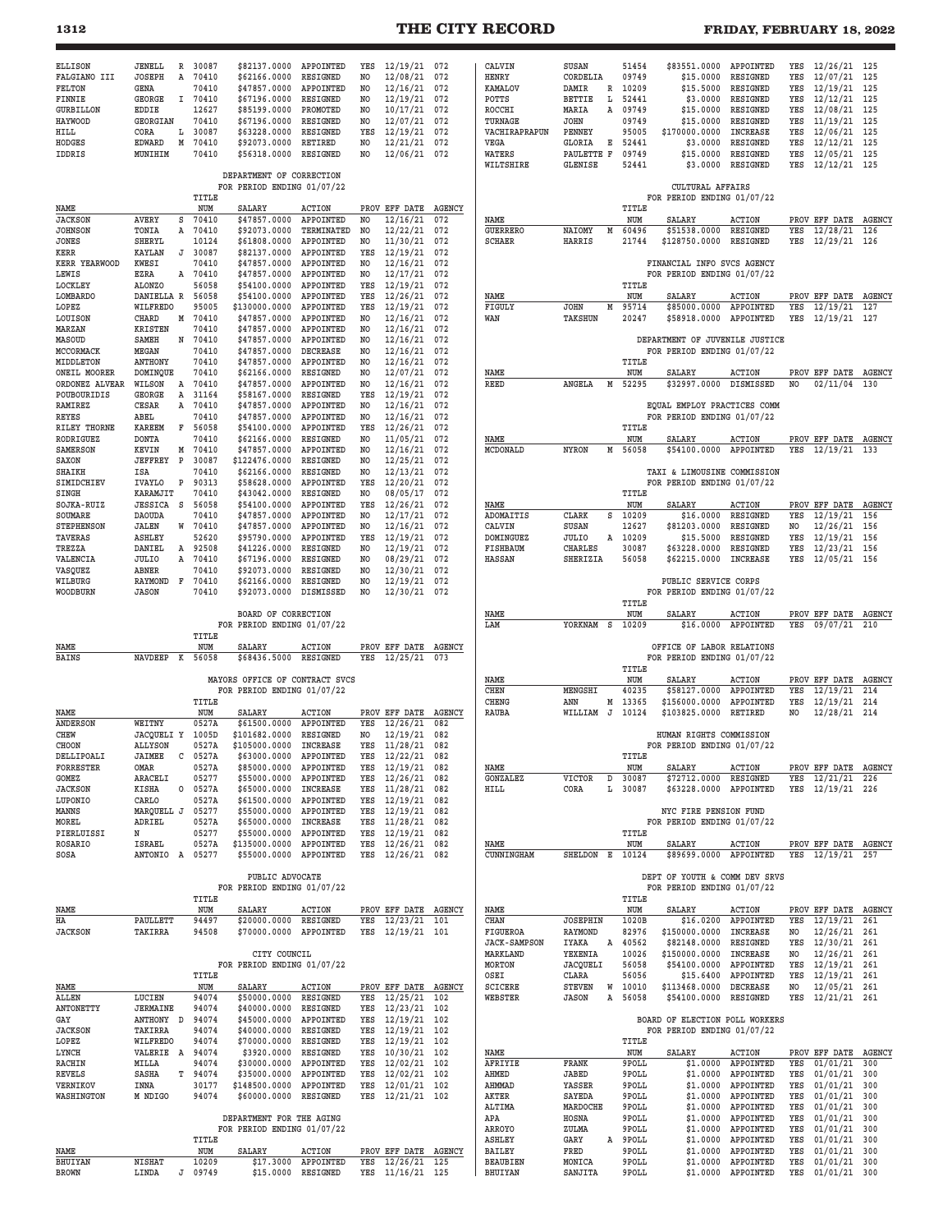# **1312 THE CITY RECORD FRIDAY, FEBRUARY 18, 2022**

| <b>ELLISON</b>                | JENELL<br>R                    | 30087          | \$82137.0000                                           | APPOINTED                    | YES                   | 12/19/21 072                     |               | CALVIN                           | SUSAN                            | 51454          | \$83551.0000                                                 | APPOINTED                  | YES        | 12/26/21 125                     |               |
|-------------------------------|--------------------------------|----------------|--------------------------------------------------------|------------------------------|-----------------------|----------------------------------|---------------|----------------------------------|----------------------------------|----------------|--------------------------------------------------------------|----------------------------|------------|----------------------------------|---------------|
| FALGIANO III<br><b>FELTON</b> | JOSEPH<br>Α<br>GENA            | 70410<br>70410 | \$62166.0000<br>\$47857.0000                           | RESIGNED<br>APPOINTED        | NO.<br>NO.            | 12/08/21<br>12/16/21             | 072<br>072    | HENRY<br><b>KAMALOV</b>          | CORDELIA<br>DAMIR<br>R           | 09749<br>10209 | \$15,0000<br>\$15.5000                                       | RESIGNED<br>RESIGNED       | YES<br>YES | 12/07/21<br>12/19/21             | 125<br>125    |
| FINNIE                        | GEORGE                         | I 70410        | \$67196.0000                                           | RESIGNED                     | NO.                   | 12/19/21                         | 072           | POTTS                            | <b>BETTIE</b><br>Ŀ               | 52441          | \$3,0000                                                     | RESIGNED                   | YES        | 12/12/21                         | 125           |
| <b>GURBILLON</b><br>HAYWOOD   | EDDIE<br><b>GEORGIAN</b>       | 12627<br>70410 | \$85199.0000<br>\$67196.0000                           | PROMOTED<br>RESIGNED         | NO.<br>NO.            | 10/17/21<br>12/07/21             | 072<br>072    | ROCCHI<br>TURNAGE                | MARIA<br>Α<br><b>JOHN</b>        | 09749<br>09749 | \$15,0000<br>\$15.0000                                       | RESIGNED<br>RESIGNED       | YES<br>YES | 12/08/21<br>11/19/21             | 125<br>125    |
| HILL                          | CORA<br>L                      | 30087          | \$63228.0000                                           | <b>RESIGNED</b>              | YES                   | 12/19/21                         | 072           | VACHIRAPRAPUN                    | <b>PENNEY</b>                    | 95005          | \$170000.0000                                                | <b>INCREASE</b>            | YES        | 12/06/21                         | 125           |
| HODGES<br>IDDRIS              | EDWARD<br>Μ<br>MUNIHIM         | 70410<br>70410 | \$92073.0000<br>\$56318.0000                           | RETIRED<br>RESIGNED          | NO.<br>N <sub>O</sub> | 12/21/21<br>12/06/21             | 072<br>072    | VEGA<br>WATERS                   | Е<br>GLORIA<br>PAULETTE F        | 52441<br>09749 | \$3.0000<br>\$15.0000                                        | RESIGNED<br>RESIGNED       | YES<br>YES | 12/12/21<br>12/05/21             | 125<br>125    |
|                               |                                |                |                                                        |                              |                       |                                  |               | WILTSHIRE                        | <b>GLENISE</b>                   | 52441          | \$3.0000                                                     | RESIGNED                   | YES        | 12/12/21 125                     |               |
|                               |                                |                | DEPARTMENT OF CORRECTION<br>FOR PERIOD ENDING 01/07/22 |                              |                       |                                  |               |                                  |                                  |                | CULTURAL AFFAIRS                                             |                            |            |                                  |               |
| NAME                          |                                | TITLE<br>NUM   | SALARY                                                 | <b>ACTION</b>                |                       | PROV EFF DATE                    | <b>AGENCY</b> |                                  |                                  | TITLE          | FOR PERIOD ENDING 01/07/22                                   |                            |            |                                  |               |
| <b>JACKSON</b>                | AVERY<br>s                     | 70410          | \$47857.0000                                           | APPOINTED                    | NO.                   | 12/16/21                         | 072           | NAME                             |                                  | NUM            | <b>SALARY</b>                                                | <b>ACTION</b>              |            | PROV EFF DATE                    | <b>AGENCY</b> |
| <b>JOHNSON</b><br>JONES       | TONIA<br>А<br><b>SHERYL</b>    | 70410<br>10124 | \$92073.0000<br>\$61808.0000                           | TERMINATED<br>APPOINTED      | NO.<br>NO.            | 12/22/21<br>11/30/21             | 072<br>072    | <b>GUERRERO</b><br><b>SCHAER</b> | NAIOMY<br>М<br>HARRIS            | 60496<br>21744 | \$51538.0000<br>\$128750.0000                                | RESIGNED<br>RESIGNED       | YES<br>YES | 12/28/21<br>12/29/21 126         | 126           |
| KERR                          | KAYLAN<br>J<br>KWESI           | 30087<br>70410 | \$82137.0000<br>\$47857.0000                           | APPOINTED<br>APPOINTED       | YES<br>NO.            | 12/19/21<br>12/16/21             | 072<br>072    |                                  |                                  |                | FINANCIAL INFO SVCS AGENCY                                   |                            |            |                                  |               |
| KERR YEARWOOD<br>LEWIS        | EZRA<br>A                      | 70410          | \$47857.0000                                           | APPOINTED                    | NO.                   | 12/17/21                         | 072           |                                  |                                  |                | FOR PERIOD ENDING 01/07/22                                   |                            |            |                                  |               |
| <b>LOCKLEY</b><br>LOMBARDO    | <b>ALONZO</b><br>DANIELLA R    | 56058<br>56058 | \$54100.0000<br>\$54100.0000                           | APPOINTED<br>APPOINTED       | YES<br>YES            | 12/19/21<br>12/26/21             | 072<br>072    | NAME                             |                                  | TITLE<br>NUM   | <b>SALARY</b>                                                | <b>ACTION</b>              |            | PROV EFF DATE                    | <b>AGENCY</b> |
| LOPEZ                         | WILFREDO                       | 95005          | \$130000.0000                                          | APPOINTED                    | YES                   | 12/19/21                         | 072           | FIGULY                           | <b>JOHN</b><br>М                 | 95714          | \$85000.0000                                                 | APPOINTED                  | YES        | 12/19/21                         | 127           |
| LOUISON<br>MARZAN             | CHARD<br>М<br>KRISTEN          | 70410<br>70410 | \$47857.0000<br>\$47857.0000                           | APPOINTED<br>APPOINTED       | NO.<br>NO             | 12/16/21<br>12/16/21             | 072<br>072    | WAN                              | <b>TAKSHUN</b>                   | 20247          | \$58918.0000                                                 | APPOINTED                  | YES        | 12/19/21                         | 127           |
| MASOUD                        | SAMEH<br>N                     | 70410          | \$47857.0000                                           | APPOINTED                    | N <sub>O</sub>        | 12/16/21                         | 072           |                                  |                                  |                | DEPARTMENT OF JUVENILE JUSTICE                               |                            |            |                                  |               |
| MCCORMACK<br>MIDDLETON        | MEGAN<br>ANTHONY               | 70410<br>70410 | \$47857.0000<br>\$47857.0000                           | <b>DECREASE</b><br>APPOINTED | NO.<br>NO.            | 12/16/21<br>12/16/21             | 072<br>072    |                                  |                                  | TITLE          | FOR PERIOD ENDING 01/07/22                                   |                            |            |                                  |               |
| ONEIL MOORER                  | DOMINQUE                       | 70410          | \$62166.0000                                           | RESIGNED                     | N <sub>O</sub>        | 12/07/21                         | 072           | NAME                             |                                  | NUM            | <b>SALARY</b>                                                | <b>ACTION</b>              |            | PROV EFF DATE                    | <b>AGENCY</b> |
| ORDONEZ ALVEAR<br>POUBOURIDIS | WILSON<br>A<br>GEORGE<br>Α     | 70410<br>31164 | \$47857.0000<br>\$58167.0000                           | APPOINTED<br>RESIGNED        | N <sub>O</sub><br>YES | 12/16/21<br>12/19/21             | 072<br>072    | <b>REED</b>                      | ANGELA<br>M                      | 52295          | \$32997.0000                                                 | DISMISSED                  | NO.        | 02/11/04                         | 130           |
| RAMIREZ                       | CESAR<br>Α                     | 70410          | \$47857.0000                                           | APPOINTED                    | NO.                   | 12/16/21                         | 072           |                                  |                                  |                | EQUAL EMPLOY PRACTICES COMM                                  |                            |            |                                  |               |
| REYES<br>RILEY THORNE         | ABEL<br><b>KAREEM</b><br>F     | 70410<br>56058 | \$47857.0000<br>\$54100.0000                           | APPOINTED<br>APPOINTED       | NO.<br>YES            | 12/16/21<br>12/26/21             | 072<br>072    |                                  |                                  | TITLE          | FOR PERIOD ENDING 01/07/22                                   |                            |            |                                  |               |
| RODRIGUEZ                     | <b>DONTA</b>                   | 70410          | \$62166.0000                                           | RESIGNED                     | NO.                   | 11/05/21                         | 072           | NAME                             |                                  | NUM            | SALARY                                                       | <b>ACTION</b>              |            | PROV EFF DATE                    | <b>AGENCY</b> |
| <b>SAMERSON</b><br>SAXON      | KEVIN<br>м<br><b>JEFFREY P</b> | 70410<br>30087 | \$47857.0000<br>\$122476.0000                          | APPOINTED<br>RESIGNED        | NO.<br>NO.            | 12/16/21<br>12/25/21             | 072<br>072    | MCDONALD                         | <b>NYRON</b><br>м                | 56058          | \$54100.0000                                                 | APPOINTED                  | YES        | 12/19/21                         | 133           |
| SHAIKH                        | ISA                            | 70410          | \$62166.0000                                           | RESIGNED                     | NO.                   | 12/13/21                         | 072           |                                  |                                  |                | TAXI & LIMOUSINE COMMISSION                                  |                            |            |                                  |               |
| SIMIDCHIEV<br>SINGH           | IVAYLO<br>P<br>KARAMJIT        | 90313<br>70410 | \$58628.0000<br>\$43042.0000                           | APPOINTED<br>RESIGNED        | YES<br>NO.            | 12/20/21<br>08/05/17             | 072<br>072    |                                  |                                  | TITLE          | FOR PERIOD ENDING 01/07/22                                   |                            |            |                                  |               |
| SOJKA-RUIZ                    | <b>JESSICA S</b>               | 56058          | \$54100.0000                                           | APPOINTED                    | YES                   | 12/26/21                         | 072           | NAME                             |                                  | NUM            | SALARY                                                       | <b>ACTION</b>              |            | PROV EFF DATE AGENCY             |               |
| SOUMARE<br><b>STEPHENSON</b>  | <b>DAOUDA</b><br>JALEN<br>W    | 70410<br>70410 | \$47857.0000<br>\$47857.0000                           | APPOINTED<br>APPOINTED       | NO.<br>NO.            | 12/17/21<br>12/16/21             | 072<br>072    | <b>ADOMAITIS</b><br>CALVIN       | CLARK<br>s<br>SUSAN              | 10209<br>12627 | \$16.0000<br>\$81203.0000                                    | RESIGNED<br>RESIGNED       | YES<br>NO. | 12/19/21<br>12/26/21             | 156<br>156    |
| <b>TAVERAS</b>                | <b>ASHLEY</b>                  | 52620          | \$95790.0000                                           | APPOINTED                    | YES                   | 12/19/21                         | 072           | <b>DOMINGUEZ</b>                 | JULIO<br>А                       | 10209          | \$15,5000                                                    | <b>RESIGNED</b>            | YES        | 12/19/21                         | 156           |
| TREZZA<br>VALENCIA            | DANIEL<br>A<br>JULIO<br>A      | 92508<br>70410 | \$41226.0000<br>\$67196.0000                           | RESIGNED<br>RESIGNED         | NO.<br>NO.            | 12/19/21<br>08/29/21             | 072<br>072    | FISHBAUM<br><b>HASSAN</b>        | <b>CHARLES</b><br>SHERIZIA       | 30087<br>56058 | \$63228.0000<br>\$62215.0000                                 | RESIGNED<br>INCREASE       | YES<br>YES | 12/23/21<br>12/05/21 156         | 156           |
| VASQUEZ                       | ABNER                          | 70410          | \$92073.0000                                           | <b>RESIGNED</b>              | NO.                   | 12/30/21                         | 072           |                                  |                                  |                |                                                              |                            |            |                                  |               |
| WILBURG<br>WOODBURN           | RAYMOND<br>F<br><b>JASON</b>   | 70410<br>70410 | \$62166.0000<br>\$92073.0000                           | RESIGNED<br>DISMISSED        | NO<br>N <sub>O</sub>  | 12/19/21<br>12/30/21             | 072<br>072    |                                  |                                  |                | PUBLIC SERVICE CORPS<br>FOR PERIOD ENDING 01/07/22           |                            |            |                                  |               |
|                               |                                |                |                                                        |                              |                       |                                  |               |                                  |                                  | TITLE          |                                                              |                            |            |                                  |               |
|                               |                                |                | BOARD OF CORRECTION                                    |                              |                       |                                  |               | NAME                             |                                  | NUM            | <b>SALARY</b>                                                | <b>ACTION</b>              |            | PROV EFF DATE                    | <b>AGENCY</b> |
|                               |                                |                | FOR PERIOD ENDING 01/07/22                             |                              |                       |                                  |               | LAM                              | YORKNAM S                        | 10209          | \$16.0000                                                    | APPOINTED                  | YES        | 09/07/21                         | 210           |
| NAME                          |                                | TITLE<br>NUM   | SALARY                                                 | <b>ACTION</b>                |                       | PROV EFF DATE                    | <b>AGENCY</b> |                                  |                                  |                | OFFICE OF LABOR RELATIONS                                    |                            |            |                                  |               |
| <b>BAINS</b>                  | NAVDEEP<br>к                   | 56058          | \$68436.5000                                           | RESIGNED                     | YES                   | 12/25/21                         | 073           |                                  |                                  |                | FOR PERIOD ENDING 01/07/22                                   |                            |            |                                  |               |
|                               |                                |                | MAYORS OFFICE OF CONTRACT SVCS                         |                              |                       |                                  |               | NAME                             |                                  | TITLE<br>NUM   | <b>SALARY</b>                                                | <b>ACTION</b>              |            | PROV EFF DATE                    | <b>AGENCY</b> |
|                               |                                |                | FOR PERIOD ENDING 01/07/22                             |                              |                       |                                  |               | CHEN                             | MENGSHI                          | 40235          | \$58127.0000                                                 | APPOINTED                  | YES        | 12/19/21                         | 214           |
| NAME                          |                                | TITLE<br>NUM   | SALARY                                                 | ACTION                       |                       | PROV EFF DATE                    | <b>AGENCY</b> | CHENG<br>RAUBA                   | М<br>ANN<br>WILLIAM J            | 13365<br>10124 | \$156000.0000<br>\$103825.0000                               | APPOINTED<br>RETIRED       | YES<br>NO  | 12/19/21<br>12/28/21             | 214<br>214    |
| <b>ANDERSON</b>               | WEITNY                         | 0527A          | \$61500.0000                                           | APPOINTED                    | YES                   | 12/26/21                         | 082           |                                  |                                  |                |                                                              |                            |            |                                  |               |
| CHEW<br>CHOON                 | JACQUELI Y<br><b>ALLYSON</b>   | 1005D<br>0527A | \$101682.0000<br>\$105000.0000                         | RESIGNED<br><b>INCREASE</b>  | NO<br>YES             | 12/19/21<br>11/28/21             | 082<br>082    |                                  |                                  |                | HUMAN RIGHTS COMMISSION<br>FOR PERIOD ENDING 01/07/22        |                            |            |                                  |               |
| DELLIPOALI                    | JAIMEE<br>C                    | 0527A          | \$63000.0000                                           | APPOINTED                    | YES                   | 12/22/21                         | 082           |                                  |                                  | TITLE          |                                                              |                            |            |                                  |               |
| FORRESTER<br>GOMEZ            | OMAR<br>ARACELI                | 0527A<br>05277 | \$85000.0000<br>\$55000.0000                           | APPOINTED<br>APPOINTED       | YES<br>YES            | 12/19/21<br>12/26/21             | 082<br>082    | NAME<br>GONZALEZ                 | VICTOR<br>D                      | NUM<br>30087   | SALARY<br>\$72712.0000                                       | <b>ACTION</b><br>RESIGNED  | YES        | PROV EFF DATE AGENCY<br>12/21/21 | 226           |
| <b>JACKSON</b>                | KISHA<br>O                     | 0527A          | \$65000.0000                                           | INCREASE                     | YES                   | 11/28/21                         | 082           | HILL                             | CORA<br>Ŀ                        | 30087          | \$63228.0000                                                 | APPOINTED                  |            | YES 12/19/21 226                 |               |
| LUPONIO<br>MANNS              | CARLO<br>MARQUELL J            | 0527A<br>05277 | \$61500.0000<br>\$55000.0000                           | APPOINTED<br>APPOINTED       | YES<br>YES            | 12/19/21<br>12/19/21             | 082<br>082    |                                  |                                  |                | NYC FIRE PENSION FUND                                        |                            |            |                                  |               |
| MOREL                         | ADRIEL                         | 0527A          | \$65000.0000                                           | INCREASE                     | YES                   | 11/28/21                         | 082           |                                  |                                  |                | FOR PERIOD ENDING 01/07/22                                   |                            |            |                                  |               |
| PIERLUISSI<br>ROSARIO         | N<br><b>ISRAEL</b>             | 05277<br>0527A | \$55000.0000<br>\$135000.0000                          | APPOINTED<br>APPOINTED       | YES<br>YES            | 12/19/21<br>12/26/21             | 082<br>082    | NAME                             |                                  | TITLE<br>NUM   | <b>SALARY</b>                                                | <b>ACTION</b>              |            | PROV EFF DATE AGENCY             |               |
| SOSA                          | ANTONIO A 05277                |                | \$55000.0000                                           | APPOINTED                    | YES                   | 12/26/21 082                     |               | CUNNINGHAM                       | SHELDON E                        | 10124          | \$89699.0000 APPOINTED                                       |                            |            | YES 12/19/21 257                 |               |
|                               |                                |                | PUBLIC ADVOCATE                                        |                              |                       |                                  |               |                                  |                                  |                | DEPT OF YOUTH & COMM DEV SRVS                                |                            |            |                                  |               |
|                               |                                | TITLE          | FOR PERIOD ENDING 01/07/22                             |                              |                       |                                  |               |                                  |                                  | TITLE          | FOR PERIOD ENDING 01/07/22                                   |                            |            |                                  |               |
| NAME<br>HA                    | PAULLETT                       | NUM<br>94497   | SALARY<br>\$20000.0000                                 | <b>ACTION</b><br>RESIGNED    | YES                   | PROV EFF DATE AGENCY<br>12/23/21 | 101           | NAME<br>CHAN                     | <b>JOSEPHIN</b>                  | NUM<br>1020B   | SALARY<br>\$16.0200                                          | <b>ACTION</b><br>APPOINTED | YES        | PROV EFF DATE AGENCY<br>12/19/21 | 261           |
| <b>JACKSON</b>                | TAKIRRA                        | 94508          | \$70000.0000 APPOINTED                                 |                              | YES                   | 12/19/21 101                     |               | FIGUEROA                         | <b>RAYMOND</b>                   | 82976          | \$150000.0000                                                | INCREASE                   | NO         | 12/26/21                         | 261           |
|                               |                                |                | CITY COUNCIL                                           |                              |                       |                                  |               | <b>JACK-SAMPSON</b><br>MARKLAND  | A<br>IYAKA<br>YEXENIA            | 40562<br>10026 | \$82148.0000<br>\$150000.0000                                | RESIGNED<br>INCREASE       | YES<br>NO  | 12/30/21<br>12/26/21             | 261<br>261    |
|                               |                                |                | FOR PERIOD ENDING 01/07/22                             |                              |                       |                                  |               | MORTON                           | JACQUELI                         | 56058          | \$54100.0000                                                 | APPOINTED                  | YES        | 12/19/21                         | 261           |
|                               |                                | TITLE          |                                                        |                              |                       |                                  |               | OSEI                             | CLARA                            | 56056          | \$15.6400                                                    | APPOINTED                  | YES        | 12/19/21 261                     |               |
| NAME<br>ALLEN                 | LUCIEN                         | NUM<br>94074   | SALARY<br>\$50000.0000                                 | ACTION<br>RESIGNED           | YES                   | PROV EFF DATE AGENCY<br>12/25/21 | 102           | <b>SCICERE</b><br>WEBSTER        | <b>STEVEN</b><br>W<br>JASON<br>A | 10010<br>56058 | \$113468.0000<br>\$54100.0000                                | DECREASE<br>RESIGNED       | NO<br>YES  | 12/05/21<br>12/21/21 261         | 261           |
| <b>ANTONETTY</b><br>GAY       | <b>JERMAINE</b>                | 94074          | \$40000.0000                                           | RESIGNED                     | YES                   | 12/23/21 102                     |               |                                  |                                  |                |                                                              |                            |            |                                  |               |
| <b>JACKSON</b>                | ANTHONY D<br>TAKIRRA           | 94074<br>94074 | \$45000.0000<br>\$40000.0000                           | APPOINTED<br>RESIGNED        | YES<br>YES            | 12/19/21 102<br>12/19/21 102     |               |                                  |                                  |                | BOARD OF ELECTION POLL WORKERS<br>FOR PERIOD ENDING 01/07/22 |                            |            |                                  |               |
| LOPEZ                         | WILFREDO                       | 94074          | \$70000.0000                                           | RESIGNED                     | YES                   | 12/19/21                         | 102           |                                  |                                  | TITLE          |                                                              |                            |            |                                  |               |
| LYNCH<br>RACHIN               | VALERIE A 94074<br>MILLA       | 94074          | \$3920.0000<br>\$30000.0000                            | RESIGNED<br>APPOINTED        | YES<br>YES            | 10/30/21<br>12/02/21 102         | 102           | NAME<br><b>AFRIYIE</b>           | <b>FRANK</b>                     | NUM<br>9POLL   | SALARY<br>\$1,0000                                           | ACTION<br>APPOINTED        | YES        | PROV EFF DATE AGENCY<br>01/01/21 | 300           |
| <b>REVELS</b>                 | SASHA                          | T 94074        | \$35000.0000                                           | APPOINTED                    | YES                   | $12/02/21$ 102                   |               | AHMED                            | JABED                            | 9POLL          | \$1.0000                                                     | APPOINTED                  | YES        | 01/01/21                         | 300           |
| VERNIKOV<br>WASHINGTON        | INNA<br>M NDIGO                | 30177<br>94074 | \$148500.0000<br>\$60000.0000                          | APPOINTED<br>RESIGNED        | YES<br>YES            | 12/01/21<br>12/21/21 102         | 102           | AHMMAD<br>AKTER                  | YASSER<br>SAYEDA                 | 9POLL<br>9POLL | \$1.0000<br>\$1.0000                                         | APPOINTED<br>APPOINTED     | YES<br>YES | $01/01/21$ 300<br>$01/01/21$ 300 |               |
|                               |                                |                |                                                        |                              |                       |                                  |               | ALTIMA                           | MARDOCHE                         | 9POLL          | \$1.0000                                                     | APPOINTED                  | YES        | 01/01/21                         | 300           |
|                               |                                |                | DEPARTMENT FOR THE AGING<br>FOR PERIOD ENDING 01/07/22 |                              |                       |                                  |               | APA<br>ARROYO                    | HOSNA<br>ZULMA                   | 9POLL<br>9POLL | \$1.0000<br>\$1.0000                                         | APPOINTED<br>APPOINTED     | YES<br>YES | $01/01/21$ 300<br>$01/01/21$ 300 |               |
|                               |                                | TITLE          |                                                        |                              |                       |                                  |               | <b>ASHLEY</b>                    | GARY<br>A                        | 9POLL          | \$1.0000                                                     | APPOINTED                  | YES        | $01/01/21$ 300                   |               |
| NAME<br><b>BHUIYAN</b>        | <b>NISHAT</b>                  | NUM<br>10209   | <b>SALARY</b><br>\$17.3000                             | <b>ACTION</b><br>APPOINTED   | YES                   | PROV EFF DATE AGENCY<br>12/26/21 | 125           | BAILEY<br><b>BEAUBIEN</b>        | FRED<br>MONICA                   | 9POLL<br>9POLL | \$1.0000<br>\$1.0000                                         | APPOINTED<br>APPOINTED     | YES<br>YES | $01/01/21$ 300<br>$01/01/21$ 300 |               |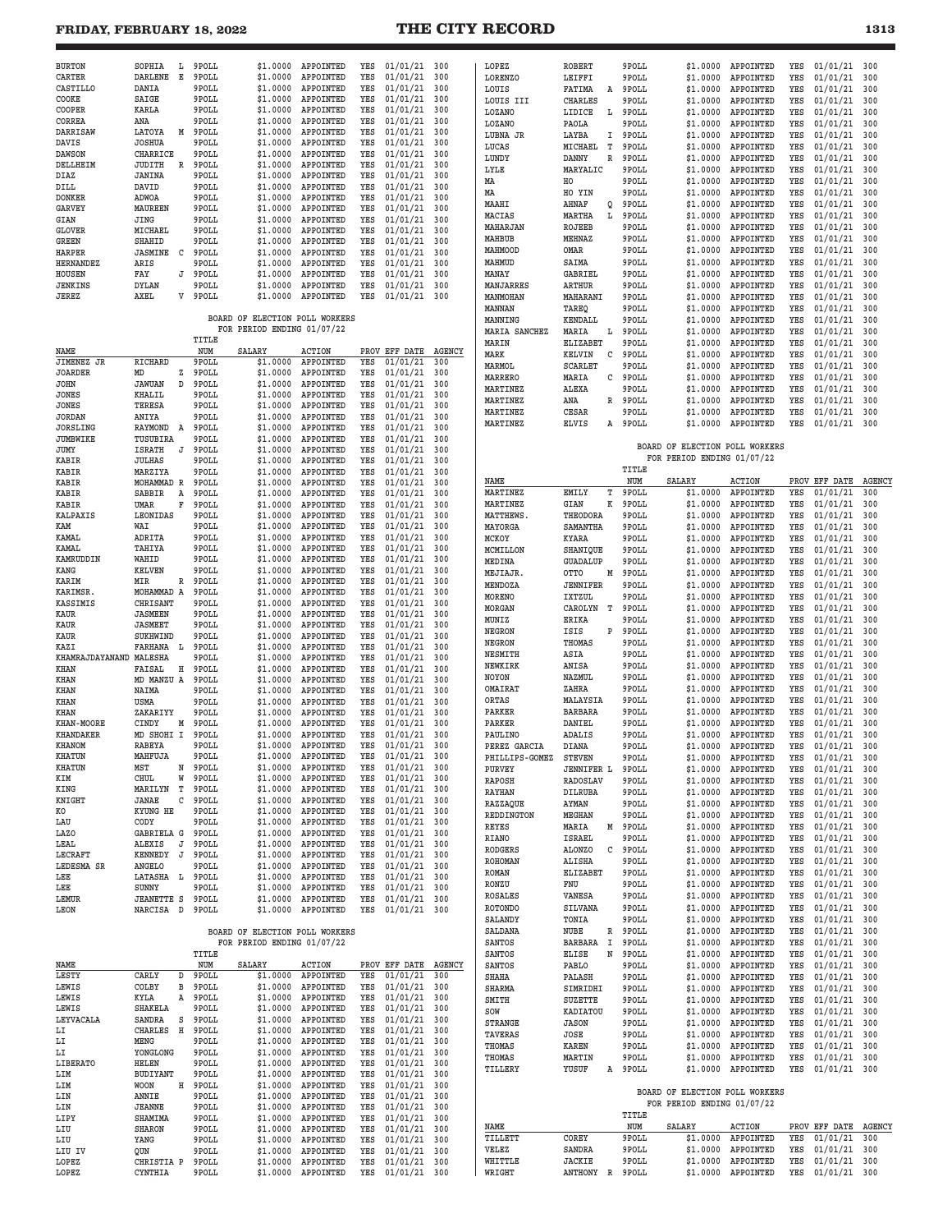### **FRIDAY, FEBRUARY 18, 2022 THE CITY RECORD**

| <b>BURTON</b>                    | SOPHIA                         | Ŀ      | 9POLL          | \$1.0000                                                     | APPOINTED                                | YES        | 01/01/21                         | 300        | LOPEZ                     | <b>ROBERT</b>                 |   | 9POLL            | \$1.0000                                                     | APPOINTED                  | YES        | 01/01/21                         | 300           |
|----------------------------------|--------------------------------|--------|----------------|--------------------------------------------------------------|------------------------------------------|------------|----------------------------------|------------|---------------------------|-------------------------------|---|------------------|--------------------------------------------------------------|----------------------------|------------|----------------------------------|---------------|
| CARTER<br>CASTILLO               | <b>DARLENE</b><br>DANIA        | Е      | 9POLL<br>9POLL | \$1.0000<br>\$1,0000                                         | APPOINTED<br>APPOINTED                   | YES<br>YES | 01/01/21<br>01/01/21             | 300<br>300 | LORENZO<br>LOUIS          | LEIFFI<br>FATIMA              | Α | 9POLL<br>9POLL   | \$1.0000<br>\$1.0000                                         | APPOINTED<br>APPOINTED     | YES<br>YES | 01/01/21<br>01/01/21             | 300<br>300    |
| COOKE                            | SAIGE                          |        | 9POLL          | \$1.0000                                                     | APPOINTED                                | YES        | 01/01/21                         | 300        | LOUIS III                 | <b>CHARLES</b>                |   | 9POLL            | \$1.0000                                                     | APPOINTED                  | YES        | 01/01/21                         | 300           |
| COOPER                           | KARLA                          |        | 9POLL          | \$1.0000                                                     | APPOINTED                                | YES        | 01/01/21                         | 300        | LOZANO                    | LIDICE<br>L                   |   | 9POLL            | \$1.0000                                                     | APPOINTED                  | YES        | 01/01/21                         | 300           |
| CORREA                           | ANA                            |        | 9POLL          | \$1.0000                                                     | APPOINTED<br>APPOINTED                   | YES        | 01/01/21                         | 300        | LOZANO                    | PAOLA                         |   | 9POLL            | \$1.0000                                                     | APPOINTED                  | YES        | 01/01/21                         | 300           |
| DARRISAW<br>DAVIS                | LATOYA<br><b>JOSHUA</b>        | Μ      | 9POLL<br>9POLL | \$1.0000<br>\$1.0000                                         | APPOINTED                                | YES<br>YES | 01/01/21<br>01/01/21             | 300<br>300 | LUBNA JR                  | LAYBA<br>I                    |   | 9POLL            | \$1.0000<br>\$1,0000                                         | APPOINTED                  | YES        | 01/01/21<br>01/01/21             | 300           |
| <b>DAWSON</b>                    | CHARRICE                       |        | 9POLL          | \$1.0000                                                     | APPOINTED                                | YES        | 01/01/21                         | 300        | LUCAS<br>LUNDY            | MICHAEL<br>т<br>DANNY<br>R    |   | 9POLL<br>9POLL   | \$1,0000                                                     | APPOINTED<br>APPOINTED     | YES<br>YES | 01/01/21                         | 300<br>300    |
| DELLHEIM                         | JUDITH                         | R      | 9POLL          | \$1,0000                                                     | APPOINTED                                | YES        | 01/01/21                         | 300        | LYLE                      | MARYALIC                      |   | 9POLL            | \$1,0000                                                     | APPOINTED                  | YES        | 01/01/21                         | 300           |
| DIAZ<br>DILL                     | JANINA<br>DAVID                |        | 9POLL<br>9POLL | \$1.0000<br>\$1.0000                                         | APPOINTED<br>APPOINTED                   | YES<br>YES | 01/01/21<br>01/01/21             | 300<br>300 | MA                        | HO                            |   | 9POLL            | \$1.0000                                                     | APPOINTED                  | YES        | 01/01/21                         | 300           |
| <b>DONKER</b>                    | ADWOA                          |        | 9POLL          | \$1.0000                                                     | APPOINTED                                | YES        | 01/01/21                         | 300        | MA                        | HO YIN                        |   | 9POLL            | \$1.0000                                                     | APPOINTED                  | YES        | 01/01/21                         | 300           |
| <b>GARVEY</b>                    | MAUREEN                        |        | 9POLL          | \$1.0000                                                     | APPOINTED                                | YES        | 01/01/21                         | 300        | MAAHI<br>MACIAS           | AHNAF<br>Q<br>MARTHA<br>L     |   | 9POLL<br>9POLL   | \$1.0000<br>\$1.0000                                         | APPOINTED<br>APPOINTED     | YES<br>YES | 01/01/21<br>01/01/21             | 300<br>300    |
| GIAN<br><b>GLOVER</b>            | JING<br>MICHAEL                |        | 9POLL<br>9POLL | \$1.0000<br>\$1,0000                                         | APPOINTED<br>APPOINTED                   | YES<br>YES | 01/01/21<br>01/01/21             | 300<br>300 | MAHARJAN                  | ROJEEB                        |   | 9POLL            | \$1.0000                                                     | APPOINTED                  | YES        | 01/01/21                         | 300           |
| GREEN                            | SHAHID                         |        | 9POLL          | \$1.0000                                                     | APPOINTED                                | YES        | 01/01/21                         | 300        | MAHBUB                    | MEHNAZ                        |   | 9POLL            | \$1.0000                                                     | APPOINTED                  | YES        | 01/01/21                         | 300           |
| <b>HARPER</b>                    | <b>JASMINE</b>                 | C      | 9POLL          | \$1.0000                                                     | APPOINTED                                | YES        | 01/01/21                         | 300        | MAHMOOD                   | OMAR                          |   | 9POLL            | \$1.0000                                                     | APPOINTED                  | YES        | 01/01/21                         | 300           |
| <b>HERNANDEZ</b>                 | ARIS                           | J      | 9POLL<br>9POLL | \$1,0000                                                     | APPOINTED                                | YES        | 01/01/21                         | 300        | MAHMUD<br>MANAY           | SAIMA<br>GABRIEI              |   | 9POLL<br>9POLL   | \$1,0000<br>\$1,0000                                         | APPOINTED<br>APPOINTED     | YES<br>YES | 01/01/21<br>01/01/21             | 300<br>300    |
| HOUSEN<br>JENKINS                | FAY<br>DYLAN                   |        | 9POLL          | \$1.0000<br>\$1.0000                                         | APPOINTED<br>APPOINTED                   | YES<br>YES | 01/01/21<br>01/01/21             | 300<br>300 | MANJARRES                 | ARTHUR                        |   | 9POLL            | \$1,0000                                                     | APPOINTED                  | YES        | 01/01/21                         | 300           |
| JEREZ                            | AXEL                           |        | V 9POLL        | \$1.0000                                                     | APPOINTED                                | YES        | 01/01/21                         | 300        | MANMOHAN                  | MAHARANI                      |   | 9POLL            | \$1.0000                                                     | APPOINTED                  | YES        | 01/01/21                         | 300           |
|                                  |                                |        |                |                                                              |                                          |            |                                  |            | MANNAN                    | TAREQ                         |   | 9POLL            | \$1.0000                                                     | APPOINTED                  | YES        | 01/01/21                         | 300           |
|                                  |                                |        |                | BOARD OF ELECTION POLL WORKERS<br>FOR PERIOD ENDING 01/07/22 |                                          |            |                                  |            | MANNING<br>MARIA SANCHEZ  | KENDALL<br>MARIA              |   | 9POLL<br>9POLL   | \$1.0000<br>\$1.0000                                         | APPOINTED<br>APPOINTED     | YES<br>YES | 01/01/21<br>01/01/21             | 300<br>300    |
|                                  |                                |        | TITLE          |                                                              |                                          |            |                                  |            | MARIN                     | L<br><b>ELIZABET</b>          |   | 9POLL            | \$1.0000                                                     | APPOINTED                  | YES        | 01/01/21                         | 300           |
| NAME                             |                                |        | NUM            | SALARY                                                       | <b>ACTION</b>                            |            | PROV EFF DATE AGENCY             |            | MARK                      | KELVIN<br>C                   |   | 9POLL            | \$1.0000                                                     | APPOINTED                  | YES        | 01/01/21                         | 300           |
| JIMENEZ JR<br><b>JOARDER</b>     | <b>RICHARD</b><br>MD           | z      | 9POLL<br>9POLL | \$1,0000<br>\$1.0000                                         | APPOINTED<br>APPOINTED                   | YES<br>YES | 01/01/21<br>01/01/21             | 300<br>300 | MARMOL                    | <b>SCARLET</b>                |   | 9POLL            | \$1,0000                                                     | APPOINTED                  | YES        | 01/01/21                         | 300           |
| JOHN                             | <b>JAWUAN</b>                  | D      | 9POLL          | \$1.0000                                                     | APPOINTED                                | YES        | 01/01/21                         | 300        | <b>MARRERO</b>            | MARIA<br>C                    |   | 9POLL            | \$1.0000                                                     | APPOINTED                  | YES        | 01/01/21                         | 300           |
| <b>JONES</b>                     | <b>KHALIL</b>                  |        | 9POLL          | \$1.0000                                                     | APPOINTED                                | YES        | 01/01/21                         | 300        | MARTINEZ<br>MARTINEZ      | ALEXA<br>ANA                  | R | 9POLL<br>9POLL   | \$1,0000<br>\$1.0000                                         | APPOINTED<br>APPOINTED     | YES<br>YES | 01/01/21<br>01/01/21             | 300<br>300    |
| <b>JONES</b>                     | TERESA                         |        | 9POLL          | \$1.0000                                                     | APPOINTED                                | YES        | 01/01/21                         | 300        | MARTINEZ                  | CESAR                         |   | 9POLL            | \$1.0000                                                     | APPOINTED                  | YES        | 01/01/21                         | 300           |
| <b>JORDAN</b><br><b>JORSLING</b> | ANIYA<br>RAYMOND               | A      | 9POLL<br>9POLL | \$1.0000<br>\$1,0000                                         | APPOINTED<br>APPOINTED                   | YES<br>YES | 01/01/21<br>01/01/21             | 300<br>300 | MARTINEZ                  | ELVIS<br>A                    |   | 9POLL            | \$1.0000                                                     | APPOINTED                  | YES        | 01/01/21                         | 300           |
| <b>JUMBWIKE</b>                  | TUSUBIRA                       |        | 9POLL          | \$1.0000                                                     | APPOINTED                                | YES        | 01/01/21                         | 300        |                           |                               |   |                  |                                                              |                            |            |                                  |               |
| JUMY                             | <b>ISRATH</b>                  | J      | 9POLL          | \$1.0000                                                     | APPOINTED                                | YES        | 01/01/21                         | 300        |                           |                               |   |                  | BOARD OF ELECTION POLL WORKERS<br>FOR PERIOD ENDING 01/07/22 |                            |            |                                  |               |
| KABIR<br>KABIR                   | JULHAS<br>MARZIYA              |        | 9POLL<br>9POLL | \$1.0000<br>\$1.0000                                         | APPOINTED<br>APPOINTED                   | YES<br>YES | 01/01/21<br>01/01/21             | 300<br>300 |                           |                               |   | TITLE            |                                                              |                            |            |                                  |               |
| KABIR                            | MOHAMMAD R                     |        | 9POLL          | \$1.0000                                                     | APPOINTED                                | YES        | 01/01/21                         | 300        | NAME                      |                               |   | NUM              | <b>SALARY</b>                                                | <b>ACTION</b>              |            | PROV EFF DATE                    | <b>AGENCY</b> |
| KABIR                            | SABBIR                         | Α      | 9POLL          | \$1.0000                                                     | APPOINTED                                | YES        | 01/01/21                         | 300        | MARTINEZ                  | EMILY                         | т | 9POLL            | \$1.0000                                                     | APPOINTED                  | YES        | 01/01/21                         | 300           |
| KABIR<br><b>KALPAXIS</b>         | UMAR<br>LEONIDAS               | F      | 9POLL<br>9POLL | \$1.0000<br>\$1.0000                                         | APPOINTED<br>APPOINTED                   | YES<br>YES | 01/01/21<br>01/01/21             | 300<br>300 | MARTINEZ<br>MATTHEWS      | GIAN<br>К<br>THEODORA         |   | 9POLL<br>9POLL   | \$1.0000<br>\$1.0000                                         | APPOINTED<br>APPOINTED     | YES<br>YES | 01/01/21<br>01/01/21             | 300<br>300    |
| KAM                              | WAI                            |        | 9POLL          | \$1.0000                                                     | APPOINTED                                | YES        | 01/01/21                         | 300        | MAYORGA                   | SAMANTHA                      |   | 9POLL            | \$1.0000                                                     | APPOINTED                  | YES        | 01/01/21                         | 300           |
| KAMAL                            | ADRITA                         |        | 9POLL          | \$1.0000                                                     | APPOINTED                                | YES        | 01/01/21                         | 300        | MCKOY                     | KYARA                         |   | 9POLL            | \$1.0000                                                     | APPOINTED                  | YES        | 01/01/21                         | 300           |
| KAMAL                            | TAHIYA                         |        | 9POLL<br>9POLL | \$1.0000                                                     | APPOINTED<br>APPOINTED                   | YES<br>YES | 01/01/21                         | 300<br>300 | MCMILLON                  | SHANIQUE                      |   | 9POLL            | \$1.0000                                                     | APPOINTED                  | YES        | 01/01/21                         | 300           |
| KAMRUDDIN<br>KANG                | WAHID<br><b>KELVEN</b>         |        | 9POLL          | \$1.0000<br>\$1.0000                                         | APPOINTED                                | YES        | 01/01/21<br>01/01/21             | 300        | MEDINA                    | <b>GUADALUP</b><br>OTTO       |   | 9POLL<br>9POLL   | \$1.0000                                                     | APPOINTED<br>APPOINTED     | YES<br>YES | 01/01/21                         | 300<br>300    |
| <b>KARIM</b>                     | MIR                            | R      | 9POLL          | \$1,0000                                                     | APPOINTED                                | YES        | 01/01/21                         | 300        | <b>MEJIAJR</b><br>MENDOZA | Μ<br><b>JENNIFER</b>          |   | 9POLL            | \$1.0000<br>\$1.0000                                         | APPOINTED                  | YES        | 01/01/21<br>01/01/21             | 300           |
| KARIMSR.                         | MOHAMMAD A                     |        | 9POLL          | \$1.0000                                                     | APPOINTED                                | YES        | 01/01/21                         | 300        | <b>MORENO</b>             | IXTZUL                        |   | 9POLL            | \$1.0000                                                     | APPOINTED                  | YES        | 01/01/21                         | 300           |
| KASSIMIS<br><b>KAUR</b>          | CHRISANT<br><b>JASMEEN</b>     |        | 9POLL<br>9POLL | \$1.0000<br>\$1.0000                                         | APPOINTED<br>APPOINTED                   | YES<br>YES | 01/01/21<br>01/01/21             | 300<br>300 | MORGAN                    | CAROLYN<br>т                  |   | 9POLL            | \$1.0000                                                     | APPOINTED                  | YES        | 01/01/21                         | 300           |
| KAUR                             | <b>JASMEET</b>                 |        | 9POLL          | \$1.0000                                                     | APPOINTED                                | YES        | 01/01/21                         | 300        | MUNIZ                     | <b>ERIKA</b>                  |   | 9POLL            | \$1.0000                                                     | APPOINTED                  | YES        | 01/01/21                         | 300           |
| <b>KAUR</b>                      | SUKHWIND                       |        | 9POLL          | \$1.0000                                                     | APPOINTED                                | YES        | 01/01/21                         | 300        | NEGRON<br>NEGRON          | ISIS<br>P<br>THOMAS           |   | 9POLL<br>9POLL   | \$1.0000<br>\$1.0000                                         | APPOINTED<br>APPOINTED     | YES<br>YES | 01/01/21<br>01/01/21             | 300<br>300    |
| KAZI<br>KHAMRAJDAYANAND MALESHA  | FARHANA                        | L      | 9POLL<br>9POLL | \$1.0000<br>\$1.0000                                         | APPOINTED<br>APPOINTED                   | YES<br>YES | 01/01/21<br>01/01/21             | 300<br>300 | <b>NESMITH</b>            | ASIA                          |   | 9POLL            | \$1.0000                                                     | APPOINTED                  | YES        | 01/01/21                         | 300           |
| KHAN                             | FAISAL                         | Η      | 9POLL          | \$1.0000                                                     | APPOINTED                                | YES        | 01/01/21                         | 300        | <b>NEWKIRK</b>            | ANISA                         |   | 9POLL            | \$1,0000                                                     | APPOINTED                  | YES        | 01/01/21                         | 300           |
| KHAN                             | MD MANZU A                     |        | 9POLL          | \$1,0000                                                     | APPOINTED                                | YES        | 01/01/21                         | 300        | NOYON                     | NAZMUL                        |   | 9POLL            | \$1.0000                                                     | APPOINTED                  | YES        | 01/01/21                         | 300           |
|                                  |                                |        |                |                                                              |                                          |            |                                  |            |                           | ZAHRA                         |   | 9POLL            |                                                              |                            |            | 01/01/21                         | 300           |
| KHAN                             | NAIMA                          |        | 9POLL          | \$1.0000                                                     | APPOINTED                                | YES        | 01/01/21                         | 300        | OMAIRAT                   |                               |   |                  | \$1.0000                                                     | APPOINTED                  | YES        |                                  |               |
| KHAN                             | USMA                           |        | 9POLL          | \$1.0000                                                     | APPOINTED                                | YES<br>YES | 01/01/21                         | 300        | ORTAS<br>PARKER           | MALAYSIA<br><b>BARBARA</b>    |   | 9POLL<br>9POLL   | \$1.0000<br>\$1,0000                                         | APPOINTED<br>APPOINTED     | YES<br>YES | 01/01/21<br>01/01/21             | 300<br>300    |
| KHAN<br>KHAN-MOORE               | ZAKARIYY<br>CINDY              | М      | 9POLL<br>9POLL | \$1.0000<br>\$1,0000                                         | APPOINTED<br>APPOINTED                   | YES        | 01/01/21<br>01/01/21             | 300<br>300 | PARKER                    | DANIEL                        |   | 9POLL            | \$1.0000                                                     | APPOINTED                  | YES        | 01/01/21                         | 300           |
| <b>KHANDAKER</b>                 | MD SHOHI I                     |        | 9POLL          | \$1,0000                                                     | APPOINTED                                | YES        | 01/01/21                         | 300        | PAULINO                   | ADALIS                        |   | 9POLL            | \$1.0000                                                     | APPOINTED                  | YES        | 01/01/21                         | 300           |
| KHANOM                           | <b>RABEYA</b><br>MAHRILTZ      |        | 9POLL<br>9POLL | \$1.0000                                                     | APPOINTED                                | YES<br>YES | 01/01/21                         | 300        | PEREZ GARCIA              | <b>DIANA</b>                  |   | 9POLL            | \$1.0000                                                     | APPOINTED                  | YES        | 01/01/21                         | 300           |
| <b>KHATUN</b><br><b>KHATUN</b>   | MST                            | N      | 9POLL          | \$1.0000                                                     | APPOINTED<br>\$1.0000 APPOINTED          | YES        | 01/01/21<br>$01/01/21$ 300       | 300        | PHILLIPS-GOMEZ<br>PURVEY  | <b>STEVEN</b>                 |   | 9POLL<br>9POLL   | \$1.0000                                                     | APPOINTED                  | YES        | 01/01/21<br>$01/01/21$ 300       | 300           |
| KIM                              | CHUL                           | W      | 9POLL          |                                                              | \$1.0000 APPOINTED                       | YES        | $01/01/21$ 300                   |            | RAPOSH                    | <b>JENNIFER L</b><br>RADOSLAV |   | 9POLL            | \$1,0000<br>\$1.0000                                         | APPOINTED<br>APPOINTED     | YES<br>YES | $01/01/21$ 300                   |               |
| KING                             | MARILYN                        | т      | 9POLL          | \$1.0000                                                     | APPOINTED                                | YES        | $01/01/21$ 300                   |            | RAYHAN                    | DILRUBA                       |   | 9POLL            | \$1.0000                                                     | APPOINTED                  | YES        | $01/01/21$ 300                   |               |
| KNIGHT<br>КO                     | JANAE<br>KYUNG HE              | С      | 9POLL<br>9POLL | \$1.0000                                                     | APPOINTED<br>\$1.0000 APPOINTED          | YES<br>YES | 01/01/21 300                     |            | RAZZAQUE                  | AYMAN                         |   | 9POLL            | \$1.0000                                                     | APPOINTED                  | YES        | 01/01/21                         | 300           |
| LAU                              | CODY                           |        | 9POLL          | \$1.0000                                                     | APPOINTED                                | YES        | 01/01/21 300<br>01/01/21 300     |            | REDDINGTON                | MEGHAN                        |   | 9POLL            | \$1.0000                                                     | APPOINTED                  | YES        | 01/01/21                         | 300           |
| LAZO                             | GABRIELA G                     |        | 9POLL          | \$1,0000                                                     | APPOINTED                                | YES        | $01/01/21$ 300                   |            | REYES<br>RIANO            | MARIA<br><b>ISRAEL</b>        |   | M 9POLL<br>9POLL | \$1.0000<br>\$1.0000                                         | APPOINTED<br>APPOINTED     | YES<br>YES | 01/01/21<br>01/01/21             | 300<br>300    |
| LEAL<br>LECRAFT                  | ALEXIS<br>KENNEDY              | J<br>J | 9POLL<br>9POLL | \$1.0000                                                     | \$1.0000 APPOINTED<br>APPOINTED          | YES<br>YES | $01/01/21$ 300<br>$01/01/21$ 300 |            | RODGERS                   | <b>ALONZO</b>                 | С | 9POLL            | \$1.0000                                                     | APPOINTED                  | YES        | 01/01/21                         | 300           |
| LEDESMA SR                       | ANGELO                         |        | 9POLL          | \$1.0000                                                     | APPOINTED                                | YES        | 01/01/21 300                     |            | ROHOMAN                   | ALISHA                        |   | 9POLL            | \$1.0000                                                     | APPOINTED                  | YES        | 01/01/21                         | 300           |
| LEE                              | LATASHA                        | L      | 9POLL          | \$1.0000                                                     | APPOINTED                                | YES        | 01/01/21 300                     |            | ROMAN                     | <b>ELIZABET</b><br>FNU        |   | 9POLL<br>9POLL   | \$1.0000                                                     | APPOINTED                  | YES<br>YES | 01/01/21                         | 300<br>300    |
| LEE                              | SUNNY                          |        | 9POLL          | \$1.0000                                                     | APPOINTED                                | YES        | 01/01/21                         | 300        | RONZU<br><b>ROSALES</b>   | VANESA                        |   | 9POLL            | \$1.0000<br>\$1.0000                                         | APPOINTED<br>APPOINTED     | YES        | 01/01/21<br>01/01/21             | 300           |
| LEMUR<br>LEON                    | <b>JEANETTE S</b><br>NARCISA D |        | 9POLL<br>9POLL | \$1.0000                                                     | \$1.0000 APPOINTED<br>APPOINTED          | YES<br>YES | $01/01/21$ 300<br>$01/01/21$ 300 |            | <b>ROTONDO</b>            | SILVANA                       |   | 9POLL            | \$1.0000                                                     | APPOINTED                  | YES        | 01/01/21                         | 300           |
|                                  |                                |        |                |                                                              |                                          |            |                                  |            | SALANDY                   | TONIA                         |   | 9POLL            | \$1.0000                                                     | APPOINTED                  | YES        | 01/01/21                         | 300           |
|                                  |                                |        |                | BOARD OF ELECTION POLL WORKERS                               |                                          |            |                                  |            | <b>SALDANA</b>            | NUBE                          | R | 9 POLL           | \$1.0000                                                     | APPOINTED                  | YES        | 01/01/21                         | 300           |
|                                  |                                |        | TITLE          | FOR PERIOD ENDING 01/07/22                                   |                                          |            |                                  |            | <b>SANTOS</b>             | BARBARA<br>I                  |   | 9POLL            | \$1.0000<br>\$1,0000                                         | APPOINTED                  | YES        | 01/01/21                         | 300           |
| NAME                             |                                |        | NUM            | SALARY                                                       | <b>ACTION</b>                            |            | PROV EFF DATE AGENCY             |            | SANTOS<br>SANTOS          | ELISE<br>N<br>PABLO           |   | 9POLL<br>9POLL   | \$1.0000                                                     | APPOINTED<br>APPOINTED     | YES<br>YES | 01/01/21<br>$01/01/21$ 300       | 300           |
| LESTY                            | CARLY                          | D      | 9POLL          |                                                              | \$1.0000 APPOINTED                       | YES        | 01/01/21                         | 300        | <b>SHAHA</b>              | PALASH                        |   | 9POLL            | \$1.0000                                                     | APPOINTED                  | YES        | 01/01/21                         | 300           |
| LEWIS                            | COLBY                          | в      | 9POLL          | \$1.0000                                                     | APPOINTED                                | YES        | $01/01/21$ 300                   |            | SHARMA                    | SIMRIDHI                      |   | 9POLL            | \$1.0000                                                     | APPOINTED                  | YES        | 01/01/21                         | 300           |
| LEWIS<br>LEWIS                   | KYLA<br><b>SHAKELA</b>         | Α      | 9POLL<br>9POLL |                                                              | \$1.0000 APPOINTED<br>\$1.0000 APPOINTED | YES<br>YES | 01/01/21 300<br>01/01/21 300     |            | SMITH<br>SOW              | <b>SUZETTE</b><br>KADIATOU    |   | 9POLL<br>9POLL   | \$1.0000<br>\$1.0000                                         | APPOINTED<br>APPOINTED     | YES<br>YES | 01/01/21<br>01/01/21             | 300<br>300    |
| LEYVACALA                        | SANDRA                         | S      | 9POLL          | \$1.0000                                                     | APPOINTED                                | YES        | 01/01/21 300                     |            | <b>STRANGE</b>            | <b>JASON</b>                  |   | 9POLL            | \$1.0000                                                     | APPOINTED                  | YES        | 01/01/21                         | 300           |
| LI                               | CHARLES                        | H      | 9POLL          |                                                              | \$1.0000 APPOINTED                       | YES        | $01/01/21$ 300                   |            | TAVERAS                   | JOSE                          |   | 9POLL            | \$1.0000                                                     | APPOINTED                  | YES        | 01/01/21                         | 300           |
| LI<br>LI                         | MENG<br>YONGLONG               |        | 9POLL<br>9POLL | \$1.0000                                                     | \$1.0000 APPOINTED<br>APPOINTED          | YES<br>YES | $01/01/21$ 300<br>01/01/21 300   |            | THOMAS                    | KAREN                         |   | 9POLL            | \$1.0000                                                     | APPOINTED                  | YES        | 01/01/21                         | 300           |
| LIBERATO                         | HELEN                          |        | 9POLL          | \$1.0000                                                     | APPOINTED                                | YES        | 01/01/21 300                     |            | THOMAS<br>TILLERY         | MARTIN<br>YUSUF               |   | 9POLL<br>A 9POLL | \$1.0000<br>\$1.0000                                         | APPOINTED<br>APPOINTED     | YES<br>YES | 01/01/21<br>01/01/21 300         | 300           |
| LIM                              | BUDIYANT                       |        | 9POLL          | \$1.0000                                                     | APPOINTED                                | YES        | 01/01/21                         | 300        |                           |                               |   |                  |                                                              |                            |            |                                  |               |
| LIM<br>LIN                       | WOON<br>ANNIE                  | Н      | 9POLL<br>9POLL |                                                              | \$1.0000 APPOINTED<br>\$1.0000 APPOINTED | YES<br>YES | 01/01/21 300<br>$01/01/21$ 300   |            |                           |                               |   |                  | BOARD OF ELECTION POLL WORKERS                               |                            |            |                                  |               |
| LIN                              | <b>JEANNE</b>                  |        | 9POLL          | \$1.0000                                                     | APPOINTED                                | YES        | $01/01/21$ 300                   |            |                           |                               |   |                  | FOR PERIOD ENDING 01/07/22                                   |                            |            |                                  |               |
| LIPY                             | SHAMIMA                        |        | 9POLL          |                                                              | \$1.0000 APPOINTED                       | YES        | 01/01/21 300                     |            | NAME                      |                               |   | TITLE<br>NUM     |                                                              |                            |            |                                  |               |
| LIU<br>LIU                       | <b>SHARON</b><br>YANG          |        | 9POLL<br>9POLL | \$1.0000<br>\$1.0000                                         | APPOINTED<br>APPOINTED                   | YES<br>YES | 01/01/21 300<br>01/01/21         | 300        | TILLETT                   | COREY                         |   | 9POLL            | SALARY<br>\$1.0000                                           | <b>ACTION</b><br>APPOINTED | YES        | PROV EFF DATE AGENCY<br>01/01/21 | 300           |
| LIU IV                           | QUN                            |        | 9POLL          | \$1.0000                                                     | APPOINTED                                | YES        | 01/01/21 300                     |            | VELEZ                     | SANDRA                        |   | 9POLL            | \$1.0000                                                     | APPOINTED                  | YES        | 01/01/21                         | 300           |
| LOPEZ<br>LOPEZ                   | CHRISTIA P<br>CYNTHIA          |        | 9POLL<br>9POLL | \$1.0000                                                     | APPOINTED<br>\$1.0000 APPOINTED          | YES<br>YES | $01/01/21$ 300<br>01/01/21 300   |            | WHITTLE<br>WRIGHT         | <b>JACKIE</b><br>ANTHONY R    |   | 9POLL<br>9 POLL  | \$1.0000<br>\$1.0000                                         | APPOINTED<br>APPOINTED     | YES<br>YES | $01/01/21$ 300<br>$01/01/21$ 300 |               |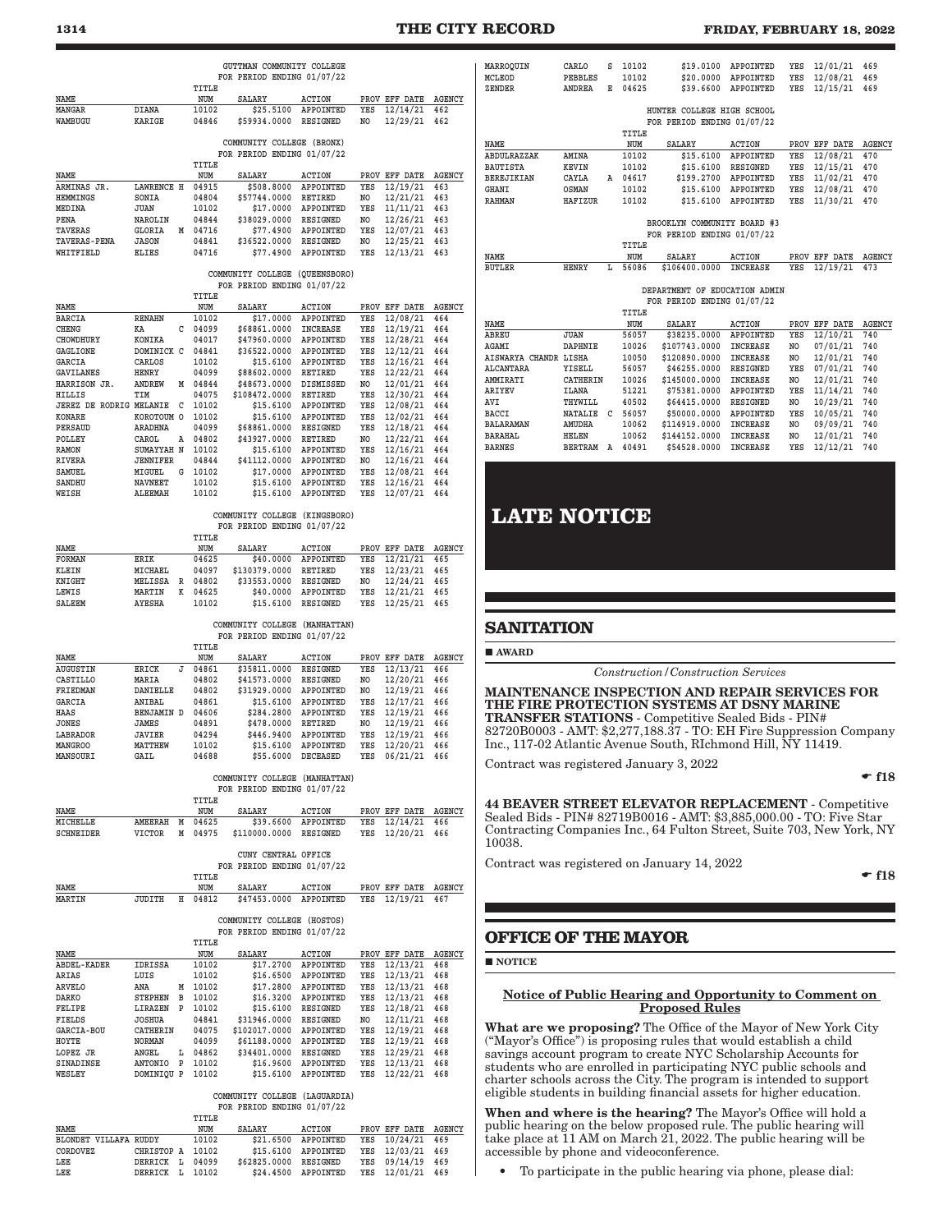### **1314 THE CITY RECORD FRIDAY, FEBRUARY 18, 2022**

|                                                 |                               |   |                  | GUTTMAN COMMUNITY COLLEGE                                          |                                                             |            |                               |                      |  |  |  |  |
|-------------------------------------------------|-------------------------------|---|------------------|--------------------------------------------------------------------|-------------------------------------------------------------|------------|-------------------------------|----------------------|--|--|--|--|
|                                                 |                               |   |                  | FOR PERIOD ENDING 01/07/22                                         |                                                             |            |                               |                      |  |  |  |  |
| NAME                                            |                               |   | TITLE<br>NUM     | <b>SALARY</b>                                                      | <b>ACTION</b>                                               |            | PROV EFF DATE                 | <b>AGENCY</b>        |  |  |  |  |
| <b>MANGAR</b>                                   | <b>DIANA</b>                  |   | 10102            | \$25.5100                                                          | APPOINTED                                                   | YES        | 12/14/21                      | 462                  |  |  |  |  |
| WAMBUGU                                         | KARIGE                        |   | 04846            | \$59934.0000                                                       | RESIGNED                                                    | NO         | 12/29/21                      | 462                  |  |  |  |  |
|                                                 |                               |   |                  | COMMUNITY COLLEGE (BRONX)                                          |                                                             |            |                               |                      |  |  |  |  |
| FOR PERIOD ENDING 01/07/22                      |                               |   |                  |                                                                    |                                                             |            |                               |                      |  |  |  |  |
|                                                 |                               |   | TITLE            |                                                                    |                                                             |            |                               |                      |  |  |  |  |
| NAME<br>ARMINAS JR.                             | LAWRENCE H                    |   | NUM<br>04915     | <b>SALARY</b><br>\$508.8000                                        | <b>ACTION</b><br>APPOINTED                                  | YES        | PROV EFF DATE<br>12/19/21     | <b>AGENCY</b><br>463 |  |  |  |  |
| <b>HEMMINGS</b>                                 | SONIA                         |   | 04804            | \$57744.0000                                                       | RETIRED                                                     | NO.        | 12/21/21                      | 463                  |  |  |  |  |
| MEDINA                                          | JUAN                          |   | 10102            | \$17.0000                                                          | APPOINTED                                                   | YES        | 11/11/21                      | 463                  |  |  |  |  |
| PENA<br><b>TAVERAS</b>                          | NAROLIN<br>GLORIA             | M | 04844<br>04716   | \$38029.0000<br>\$77.4900                                          | <b>RESIGNED</b><br>APPOINTED                                | NO<br>YES  | 12/26/21<br>12/07/21          | 463<br>463           |  |  |  |  |
| <b>TAVERAS-PENA</b>                             | JASON                         |   | 04841            | \$36522.0000                                                       | RESIGNED                                                    | NO         | 12/25/21                      | 463                  |  |  |  |  |
| WHITFIELD                                       | ELIES                         |   | 04716            | \$77.4900                                                          | APPOINTED                                                   | YES        | 12/13/21                      | 463                  |  |  |  |  |
|                                                 |                               |   |                  | COMMUNITY COLLEGE (QUEENSBORO)                                     |                                                             |            |                               |                      |  |  |  |  |
|                                                 |                               |   |                  | FOR PERIOD ENDING 01/07/22                                         |                                                             |            |                               |                      |  |  |  |  |
|                                                 |                               |   | TITLE            |                                                                    |                                                             |            |                               |                      |  |  |  |  |
| <b>NAME</b><br><b>BARCIA</b>                    | <b>RENAHN</b>                 |   | NUM<br>10102     | <b>SALARY</b><br>\$17.0000                                         | <b>ACTION</b><br>APPOINTED                                  | YES        | PROV EFF DATE<br>12/08/21     | <b>AGENCY</b><br>464 |  |  |  |  |
| CHENG                                           | ΚA                            | С | 04099            | \$68861.0000                                                       | INCREASE                                                    | YES        | 12/19/21                      | 464                  |  |  |  |  |
| CHOWDHURY                                       | KONIKA                        |   | 04017            | \$47960.0000                                                       | APPOINTED                                                   | YES        | 12/28/21                      | 464                  |  |  |  |  |
| GAGLIONE<br>GARCIA                              | DOMINICK C<br>CARLOS          |   | 04841<br>10102   | \$36522.0000<br>\$15.6100                                          | APPOINTED<br>APPOINTED                                      | YES<br>YES | 12/12/21<br>12/16/21          | 464<br>464           |  |  |  |  |
| <b>GAVILANES</b>                                | <b>HENRY</b>                  |   | 04099            | \$88602.0000                                                       | RETIRED                                                     | YES        | 12/22/21                      | 464                  |  |  |  |  |
| HARRISON JR.                                    | <b>ANDREW</b>                 | M | 04844            | \$48673.0000                                                       | DISMISSED                                                   | NO         | 12/01/21                      | 464                  |  |  |  |  |
| <b>HILLIS</b><br><b>JEREZ DE RODRIG MELANIE</b> | TIM                           | C | 04075<br>10102   | \$108472.0000<br>\$15.6100                                         | RETIRED<br>APPOINTED                                        | YES<br>YES | 12/30/21<br>12/08/21          | 464<br>464           |  |  |  |  |
| <b>KONARE</b>                                   | KOROTOUM O                    |   | 10102            | \$15.6100                                                          | APPOINTED                                                   | YES        | 12/02/21                      | 464                  |  |  |  |  |
| PERSAUD                                         | <b>ARADHNA</b>                |   | 04099            | \$68861.0000                                                       | RESIGNED                                                    | YES        | 12/18/21                      | 464                  |  |  |  |  |
| POLLEY                                          | CAROL                         | Α | 04802<br>10102   | \$43927.0000                                                       | RETIRED                                                     | NO         | 12/22/21                      | 464                  |  |  |  |  |
| RAMON<br><b>RIVERA</b>                          | SUMAYYAH N<br><b>JENNIFER</b> |   | 04844            | \$15.6100<br>\$41112.0000                                          | APPOINTED<br>APPOINTED                                      | YES<br>NO  | 12/16/21<br>12/16/21          | 464<br>464           |  |  |  |  |
| SAMUEL                                          | MIGUEL                        | G | 10102            | \$17.0000                                                          | APPOINTED                                                   | YES        | 12/08/21                      | 464                  |  |  |  |  |
| SANDHU                                          | <b>NAVNEET</b>                |   | 10102            | \$15.6100                                                          | APPOINTED                                                   | YES        | 12/16/21                      | 464                  |  |  |  |  |
| WEISH                                           | <b>ALEEMAH</b>                |   | 10102            | \$15,6100                                                          | APPOINTED                                                   | <b>YES</b> | 12/07/21                      | 464                  |  |  |  |  |
|                                                 |                               |   |                  | COMMUNITY COLLEGE (KINGSBORO)                                      |                                                             |            |                               |                      |  |  |  |  |
|                                                 |                               |   |                  | FOR PERIOD ENDING 01/07/22                                         |                                                             |            |                               |                      |  |  |  |  |
| NAME                                            |                               |   | TITLE<br>NUM     | SALARY                                                             | <b>ACTION</b>                                               |            | PROV EFF DATE                 | <b>AGENCY</b>        |  |  |  |  |
| <b>FORMAN</b>                                   | ERIK                          |   | 04625            | \$40.0000                                                          | APPOINTED                                                   | YES        | 12/21/21                      | 465                  |  |  |  |  |
| KLEIN                                           | MICHAEL                       |   | 04097            | \$130379.0000                                                      | RETIRED                                                     | YES        | 12/23/21                      | 465                  |  |  |  |  |
| KNIGHT                                          | MELISSA                       | R | 04802            | \$33553.0000                                                       | RESIGNED                                                    | NO         | 12/24/21                      | 465                  |  |  |  |  |
| LEWIS                                           | MARTIN<br><b>AYESHA</b>       | K | 04625<br>10102   | \$40.0000<br>\$15.6100                                             | APPOINTED                                                   | YES<br>YES | 12/21/21<br>12/25/21          | 465                  |  |  |  |  |
| SALEEM                                          |                               |   |                  |                                                                    | RESIGNED                                                    |            |                               | 465                  |  |  |  |  |
|                                                 |                               |   |                  |                                                                    |                                                             |            |                               |                      |  |  |  |  |
|                                                 |                               |   |                  | COMMUNITY COLLEGE (MANHATTAN)                                      |                                                             |            |                               |                      |  |  |  |  |
|                                                 |                               |   |                  | FOR PERIOD ENDING 01/07/22                                         |                                                             |            |                               |                      |  |  |  |  |
|                                                 |                               |   | TITLE            |                                                                    |                                                             |            |                               |                      |  |  |  |  |
| NAME<br><b>AUGUSTIN</b>                         | ERICK                         | J | NUM<br>04861     | SALARY<br>\$35811.0000                                             | <b>ACTION</b><br>RESIGNED                                   | YES        | PROV EFF DATE<br>12/13/21     | <b>AGENCY</b><br>466 |  |  |  |  |
| CASTILLO                                        | MARIA                         |   | 04802            | \$41573.0000                                                       | <b>RESIGNED</b>                                             | NO.        | 12/20/21                      | 466                  |  |  |  |  |
| FRIEDMAN                                        | DANIELLE                      |   | 04802            | \$31929.0000                                                       | APPOINTED                                                   | NO         | 12/19/21                      | 466                  |  |  |  |  |
| GARCIA<br>HAAS                                  | ANIBAL<br>BENJAMIN D          |   | 04861<br>04606   | \$15.6100<br>\$284.2800                                            | APPOINTED<br>APPOINTED                                      | YES<br>YES | 12/17/21<br>12/19/21          | 466<br>466           |  |  |  |  |
| JONES                                           | JAMES                         |   | 04891            | \$478.0000                                                         | RETIRED                                                     | NO         | 12/19/21                      | 466                  |  |  |  |  |
| LABRADOR                                        | <b>JAVIER</b>                 |   | 04294            | \$446.9400                                                         | APPOINTED                                                   | YES        | 12/19/21                      | 466                  |  |  |  |  |
| <b>MANGROO</b><br><b>MANSOURI</b>               | <b>MATTHEW</b><br>GAIL        |   | 10102<br>04688   | \$15,6100<br>\$55.6000                                             | APPOINTED<br>DECEASED                                       | YES        | 12/20/21<br>YES 06/21/21 466  | 466                  |  |  |  |  |
|                                                 |                               |   |                  |                                                                    |                                                             |            |                               |                      |  |  |  |  |
|                                                 |                               |   |                  | COMMUNITY COLLEGE (MANHATTAN)                                      |                                                             |            |                               |                      |  |  |  |  |
|                                                 |                               |   | TITLE            | FOR PERIOD ENDING 01/07/22                                         |                                                             |            |                               |                      |  |  |  |  |
| <b>NAME</b>                                     |                               |   | <b>NUM</b>       | <b>SALARY</b>                                                      | <b>ACTION</b>                                               |            | PROV EFF DATE AGENCY          |                      |  |  |  |  |
| MICHELLE                                        | AMEERAH M                     |   | 04625            |                                                                    | \$39.6600 APPOINTED                                         |            | YES 12/14/21 466              |                      |  |  |  |  |
| SCHNEIDER                                       | VICTOR                        |   | M 04975          | \$110000.0000 RESIGNED                                             |                                                             | YES        | 12/20/21 466                  |                      |  |  |  |  |
|                                                 |                               |   |                  | CUNY CENTRAL OFFICE                                                |                                                             |            |                               |                      |  |  |  |  |
|                                                 |                               |   |                  | FOR PERIOD ENDING 01/07/22                                         |                                                             |            |                               |                      |  |  |  |  |
|                                                 |                               |   | TITLE            |                                                                    |                                                             |            |                               |                      |  |  |  |  |
| NAME<br>MARTIN                                  | JUDITH                        | н | NUM<br>04812     | SALARY<br>\$47453.0000 APPOINTED                                   | <b>ACTION</b>                                               | YES        | PROV EFF DATE<br>12/19/21 467 | AGENCY               |  |  |  |  |
|                                                 |                               |   |                  |                                                                    |                                                             |            |                               |                      |  |  |  |  |
|                                                 |                               |   |                  | COMMUNITY COLLEGE (HOSTOS)                                         |                                                             |            |                               |                      |  |  |  |  |
|                                                 |                               |   | TITLE            | FOR PERIOD ENDING 01/07/22                                         |                                                             |            |                               |                      |  |  |  |  |
| NAME                                            |                               |   | NUM              | <b>SALARY</b>                                                      | <b>ACTION</b>                                               |            | PROV EFF DATE AGENCY          |                      |  |  |  |  |
| ABDEL-KADER                                     | <b>IDRISSA</b>                |   | 10102            |                                                                    | \$17.2700 APPOINTED                                         | YES        | $12/13/21$ 468                |                      |  |  |  |  |
| ARIAS<br>ARVELO                                 | LUIS<br>ANA                   |   | 10102<br>M 10102 |                                                                    | \$16.6500 APPOINTED YES 12/13/21 468<br>\$17.2800 APPOINTED |            | YES 12/13/21 468              |                      |  |  |  |  |
| DARKO                                           | STEPHEN B                     |   | 10102            |                                                                    | \$16.3200 APPOINTED                                         |            | YES 12/13/21 468              |                      |  |  |  |  |
| FELIPE                                          | LIRAZEN P                     |   | 10102            |                                                                    | \$15.6100 RESIGNED                                          |            | YES 12/18/21 468              |                      |  |  |  |  |
| FIELDS<br><b>GARCIA-BOU</b>                     | JOSHUA                        |   | 04841<br>04075   | \$31946.0000 RESIGNED                                              |                                                             | <b>NO</b>  | $12/11/21$ 468                |                      |  |  |  |  |
| HOYTE                                           | CATHERIN<br>NORMAN            |   | 04099            | \$102017.0000 APPOINTED<br>\$61188.0000 APPOINTED YES 12/19/21 468 |                                                             |            | YES 12/19/21 468              |                      |  |  |  |  |
| LOPEZ JR                                        | <b>ANGEL</b>                  |   | L 04862          | \$34401.0000 RESIGNED                                              |                                                             |            | YES 12/29/21 468              |                      |  |  |  |  |
| SINADINSE                                       | ANTONIO P                     |   | 10102            |                                                                    | \$16.9600 APPOINTED                                         |            | YES 12/13/21 468              |                      |  |  |  |  |
| WESLEY                                          | DOMINIQU P                    |   | 10102            |                                                                    | \$15.6100 APPOINTED YES 12/22/21 468                        |            |                               |                      |  |  |  |  |
|                                                 |                               |   |                  | COMMUNITY COLLEGE (LAGUARDIA)                                      |                                                             |            |                               |                      |  |  |  |  |
|                                                 |                               |   |                  | FOR PERIOD ENDING 01/07/22                                         |                                                             |            |                               |                      |  |  |  |  |
| NAME                                            |                               |   | TITLE<br>NUM     | SALARY                                                             | ACTION                                                      |            | PROV EFF DATE AGENCY          |                      |  |  |  |  |
| BLONDET VILLAFA RUDDY                           |                               |   | 10102            |                                                                    | \$21.6500 APPOINTED                                         | YES        | 10/24/21 469                  |                      |  |  |  |  |
| CORDOVEZ<br>LEE                                 | CHRISTOP A<br>DERRICK L 04099 |   | 10102            | \$62825.0000 RESIGNED                                              | \$15.6100 APPOINTED                                         | YES<br>YES | 12/03/21 469<br>09/14/19 469  |                      |  |  |  |  |

**LEE DERRICK L 10102 \$24.4500 APPOINTED YES 12/01/21 469**

| MARROQUIN             | CARLO          | s | 10102      | \$19.0100                     | APPOINTED        | YES | 12/01/21      | 469           |
|-----------------------|----------------|---|------------|-------------------------------|------------------|-----|---------------|---------------|
| MCLEOD                | PEBBLES        |   | 10102      | \$20,0000                     | APPOINTED        | YES | 12/08/21      | 469           |
| ZENDER                | <b>ANDREA</b>  | Е | 04625      | \$39.6600                     | APPOINTED        | YES | 12/15/21      | 469           |
|                       |                |   |            |                               |                  |     |               |               |
|                       |                |   |            | HUNTER COLLEGE HIGH SCHOOL    |                  |     |               |               |
|                       |                |   |            | FOR PERIOD ENDING 01/07/22    |                  |     |               |               |
|                       |                |   | TITLE      |                               |                  |     |               |               |
| <b>NAME</b>           |                |   | NUM        | <b>SALARY</b>                 | <b>ACTION</b>    |     | PROV EFF DATE | <b>AGENCY</b> |
| <b>ABDULRAZZAK</b>    | AMINA          |   | 10102      | \$15.6100                     | <b>APPOINTED</b> | YES | 12/08/21      | 470           |
| <b>BAUTISTA</b>       | <b>KEVIN</b>   |   | 10102      | \$15,6100                     | <b>RESIGNED</b>  | YES | 12/15/21      | 470           |
| <b>BEREJIKIAN</b>     | CAYLA          | А | 04617      | \$199.2700                    | APPOINTED        | YES | 11/02/21      | 470           |
| GHANI                 | <b>OSMAN</b>   |   | 10102      | \$15,6100                     | APPOINTED        | YES | 12/08/21      | 470           |
| <b>RAHMAN</b>         | <b>HAFIZUR</b> |   | 10102      | \$15,6100                     | APPOINTED        | YES | 11/30/21      | 470           |
|                       |                |   |            |                               |                  |     |               |               |
|                       |                |   |            | BROOKLYN COMMUNITY BOARD #3   |                  |     |               |               |
|                       |                |   |            | FOR PERIOD ENDING 01/07/22    |                  |     |               |               |
|                       |                |   | TITLE      |                               |                  |     |               |               |
| <b>NAME</b>           |                |   | <b>NUM</b> | <b>SALARY</b>                 | <b>ACTION</b>    |     | PROV EFF DATE | <b>AGENCY</b> |
| <b>BUTLER</b>         | <b>HENRY</b>   | L | 56086      | \$106400.0000                 | <b>INCREASE</b>  | YES | 12/19/21      | 473           |
|                       |                |   |            |                               |                  |     |               |               |
|                       |                |   |            | DEPARTMENT OF EDUCATION ADMIN |                  |     |               |               |
|                       |                |   |            | FOR PERIOD ENDING 01/07/22    |                  |     |               |               |
|                       |                |   | TITLE      |                               |                  |     |               |               |
| NAME                  |                |   | NUM        | <b>SALARY</b>                 | <b>ACTION</b>    |     | PROV EFF DATE | <b>AGENCY</b> |
| ABREU                 | <b>JUAN</b>    |   | 56057      | \$38235.0000                  | <b>APPOINTED</b> | YES | 12/10/21      | 740           |
| <b>AGAMI</b>          | <b>DAPHNIE</b> |   | 10026      | \$107743.0000                 | <b>INCREASE</b>  | NO. | 07/01/21      | 740           |
| AISWARYA CHANDR LISHA |                |   | 10050      | \$120890.0000                 | <b>INCREASE</b>  | NO. | 12/01/21      | 740           |
| <b>ALCANTARA</b>      | YISELL         |   | 56057      | \$46255.0000                  | <b>RESIGNED</b>  | YES | 07/01/21      | 740           |
| <b>AMMIRATI</b>       | CATHERIN       |   | 10026      | \$145000.0000                 | <b>INCREASE</b>  | NO. | 12/01/21      | 740           |
| ARIYEV                | <b>ILANA</b>   |   | 51221      | \$75381.0000                  | APPOINTED        | YES | 11/14/21      | 740           |
| AVI                   | THYWILL        |   | 40502      | \$64415.0000                  | <b>RESIGNED</b>  | NO. | 10/29/21      | 740           |
| <b>BACCI</b>          | <b>NATALIE</b> | с | 56057      | \$50000.0000                  | APPOINTED        | YES | 10/05/21      | 740           |
| <b>BALARAMAN</b>      | <b>AMUDHA</b>  |   | 10062      | \$114919.0000                 | <b>INCREASE</b>  | NO. | 09/09/21      | 740           |
| <b>BARAHAL</b>        | HELEN          |   | 10062      | \$144152.0000                 | <b>INCREASE</b>  | NO. | 12/01/21      | 740           |
| <b>BARNES</b>         | <b>BERTRAM</b> | Α | 40491      | \$54528.0000                  | <b>INCREASE</b>  | YES | 12/12/21      | 740           |
|                       |                |   |            |                               |                  |     |               |               |

# **LATE NOTICE**

#### **SANITATION**

#### AWARD

#### *Construction/Construction Services*

MAINTENANCE INSPECTION AND REPAIR SERVICES FOR THE FIRE PROTECTION SYSTEMS AT DSNY MARINE TRANSFER STATIONS - Competitive Sealed Bids - PIN# 82720B0003 - AMT: \$2,277,188.37 - TO: EH Fire Suppression Company Inc., 117-02 Atlantic Avenue South, RIchmond Hill, NY 11419.

Contract was registered January 3, 2022

44 BEAVER STREET ELEVATOR REPLACEMENT - Competitive Sealed Bids - PIN# 82719B0016 - AMT: \$3,885,000.00 - TO: Five Star Contracting Companies Inc., 64 Fulton Street, Suite 703, New York, NY 10038.

Contract was registered on January 14, 2022

 $-$ f18

#### **OFFICE OF THE MAYOR**

 $\blacksquare$  NOTICE

#### Notice of Public Hearing and Opportunity to Comment on Proposed Rules

What are we proposing? The Office of the Mayor of New York City ("Mayor's Office") is proposing rules that would establish a child savings account program to create NYC Scholarship Accounts for students who are enrolled in participating NYC public schools and charter schools across the City. The program is intended to support eligible students in building financial assets for higher education.

When and where is the hearing? The Mayor's Office will hold a public hearing on the below proposed rule. The public hearing will take place at 11 AM on March 21, 2022. The public hearing will be accessible by phone and videoconference.

• To participate in the public hearing via phone, please dial:

 $-$ f18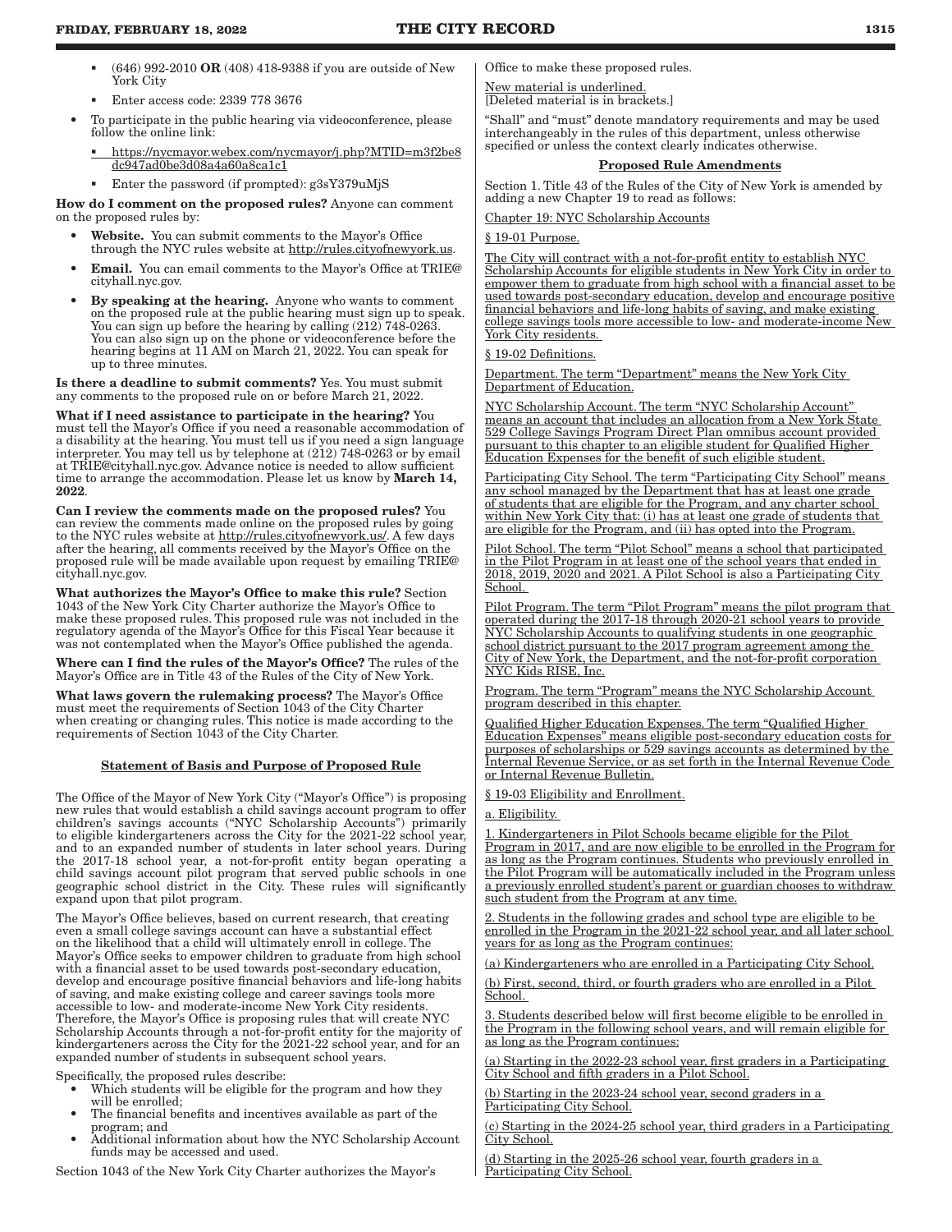- $(646)$  992-2010 OR (408) 418-9388 if you are outside of New York City
- **Enter access code: 2339 778 3676**
- To participate in the public hearing via videoconference, please follow the online link:
	- https://nycmayor.webex.com/nycmayor/j.php?MTID=m3f2be8 dc947ad0be3d08a4a60a8ca1c1
- Enter the password (if prompted): g3sY379uMjS

How do I comment on the proposed rules? Anyone can comment on the proposed rules by:

- Website. You can submit comments to the Mayor's Office through the NYC rules website at http://rules.cityofnewyork.us.
- Email. You can email comments to the Mayor's Office at TRIE@ cityhall.nyc.gov.
- By speaking at the hearing. Anyone who wants to comment on the proposed rule at the public hearing must sign up to speak. You can sign up before the hearing by calling  $(212)$  748-0263. You can also sign up on the phone or videoconference before the hearing begins at 11 AM on March 21, 2022. You can speak for up to three minutes.

Is there a deadline to submit comments? Yes. You must submit any comments to the proposed rule on or before March 21, 2022.

What if I need assistance to participate in the hearing? You must tell the Mayor's Office if you need a reasonable accommodation of a disability at the hearing. You must tell us if you need a sign language interpreter. You may tell us by telephone at (212) 748-0263 or by email at TRIE@cityhall.nyc.gov. Advance notice is needed to allow sufficient time to arrange the accommodation. Please let us know by March 14, 2022.

Can I review the comments made on the proposed rules? You can review the comments made online on the proposed rules by going to the NYC rules website at http://rules.cityofnewyork.us/. A few days after the hearing, all comments received by the Mayor's Office on the proposed rule will be made available upon request by emailing TRIE@ cityhall.nyc.gov.

What authorizes the Mayor's Office to make this rule? Section 1043 of the New York City Charter authorize the Mayor's Office to make these proposed rules. This proposed rule was not included in the regulatory agenda of the Mayor's Office for this Fiscal Year because it was not contemplated when the Mayor's Office published the agenda.

Where can I find the rules of the Mayor's Office? The rules of the Mayor's Office are in Title 43 of the Rules of the City of New York.

What laws govern the rulemaking process? The Mayor's Office must meet the requirements of Section 1043 of the City Charter when creating or changing rules. This notice is made according to the requirements of Section 1043 of the City Charter.

#### Statement of Basis and Purpose of Proposed Rule

The Office of the Mayor of New York City ("Mayor's Office") is proposing new rules that would establish a child savings account program to offer children's savings accounts ("NYC Scholarship Accounts") primarily to eligible kindergarteners across the City for the 2021-22 school year, and to an expanded number of students in later school years. During the 2017-18 school year, a not-for-profit entity began operating a child savings account pilot program that served public schools in one geographic school district in the City. These rules will significantly expand upon that pilot program.

The Mayor's Office believes, based on current research, that creating even a small college savings account can have a substantial effect on the likelihood that a child will ultimately enroll in college. The Mayor's Office seeks to empower children to graduate from high school with a financial asset to be used towards post-secondary education, develop and encourage positive financial behaviors and life-long habits of saving, and make existing college and career savings tools more accessible to low- and moderate-income New York City residents. Therefore, the Mayor's Office is proposing rules that will create NYC Scholarship Accounts through a not-for-profit entity for the majority of kindergarteners across the City for the 2021-22 school year, and for an expanded number of students in subsequent school years.

Specifically, the proposed rules describe:

- Which students will be eligible for the program and how they will be enrolled;
- The financial benefits and incentives available as part of the program; and
- Additional information about how the NYC Scholarship Account funds may be accessed and used.

Section 1043 of the New York City Charter authorizes the Mayor's

Office to make these proposed rules.

New material is underlined. [Deleted material is in brackets.]

"Shall" and "must" denote mandatory requirements and may be used interchangeably in the rules of this department, unless otherwise specified or unless the context clearly indicates otherwise.

#### Proposed Rule Amendments

Section 1. Title 43 of the Rules of the City of New York is amended by adding a new Chapter 19 to read as follows:

Chapter 19: NYC Scholarship Accounts

#### § 19-01 Purpose.

The City will contract with a not-for-profit entity to establish NYC Scholarship Accounts for eligible students in New York City in order to empower them to graduate from high school with a financial asset to be used towards post-secondary education, develop and encourage positive financial behaviors and life-long habits of saving, and make existing college savings tools more accessible to low- and moderate-income New York City residents.

#### § 19-02 Definitions.

Department. The term "Department" means the New York City Department of Education.

NYC Scholarship Account. The term "NYC Scholarship Account" means an account that includes an allocation from a New York State 529 College Savings Program Direct Plan omnibus account provided pursuant to this chapter to an eligible student for Qualified Higher Education Expenses for the benefit of such eligible student.

Participating City School. The term "Participating City School" means any school managed by the Department that has at least one grade of students that are eligible for the Program, and any charter school within New York City that: (i) has at least one grade of students that are eligible for the Program, and (ii) has opted into the Program.

Pilot School. The term "Pilot School" means a school that participated in the Pilot Program in at least one of the school years that ended in 2018, 2019, 2020 and 2021. A Pilot School is also a Participating City School.

Pilot Program. The term "Pilot Program" means the pilot program that operated during the 2017-18 through 2020-21 school years to provide NYC Scholarship Accounts to qualifying students in one geographic school district pursuant to the 2017 program agreement among the City of New York, the Department, and the not-for-profit corporation NYC Kids RISE, Inc.

Program. The term "Program" means the NYC Scholarship Account program described in this chapter.

Qualified Higher Education Expenses. The term "Qualified Higher Education Expenses" means eligible post-secondary education costs for purposes of scholarships or 529 savings accounts as determined by the Internal Revenue Service, or as set forth in the Internal Revenue Code or Internal Revenue Bulletin.

§ 19-03 Eligibility and Enrollment.

a. Eligibility.

1. Kindergarteners in Pilot Schools became eligible for the Pilot Program in 2017, and are now eligible to be enrolled in the Program for as long as the Program continues. Students who previously enrolled in the Pilot Program will be automatically included in the Program unless a previously enrolled student's parent or guardian chooses to withdraw such student from the Program at any time.

2. Students in the following grades and school type are eligible to be enrolled in the Program in the 2021-22 school year, and all later school years for as long as the Program continues:

(a) Kindergarteners who are enrolled in a Participating City School.

(b) First, second, third, or fourth graders who are enrolled in a Pilot School.

Students described below will first become eligible to be enrolled in the Program in the following school years, and will remain eligible for as long as the Program continues:

(a) Starting in the 2022-23 school year, first graders in a Participating City School and fifth graders in a Pilot School.

(b) Starting in the 2023-24 school year, second graders in a Participating City School.

(c) Starting in the 2024-25 school year, third graders in a Participating City School.

(d) Starting in the 2025-26 school year, fourth graders in a Participating City School.